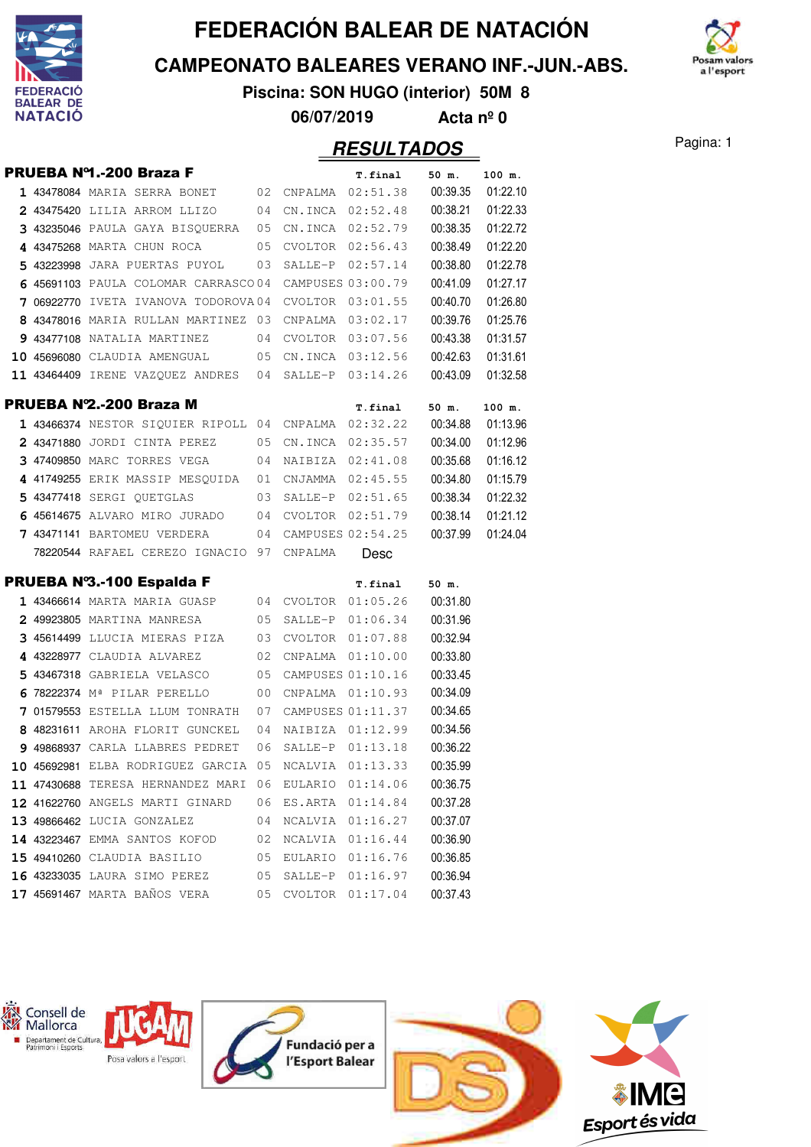

**CAMPEONATO BALEARES VERANO INF.-JUN.-ABS.**



**Piscina: SON HUGO (interior) 50M 8 06/07/2019 Acta nº 0**

|  | PRUEBA Nº1.-200 Braza F                              |    |                  | T.final              | 50 m.    | 100 m.   |
|--|------------------------------------------------------|----|------------------|----------------------|----------|----------|
|  | 1 43478084 MARIA SERRA BONET 02 CNPALMA 02:51.38     |    |                  |                      | 00:39.35 | 01:22.10 |
|  | 2 43475420 LILIA ARROM LLIZO                         | 04 |                  | CN.INCA 02:52.48     | 00:38.21 | 01:22.33 |
|  | 3 43235046 PAULA GAYA BISQUERRA 05                   |    |                  | CN.INCA 02:52.79     | 00:38.35 | 01:22.72 |
|  | 4 43475268 MARTA CHUN ROCA                           | 05 |                  | $CVOLTOR$ $02:56.43$ | 00:38.49 | 01:22.20 |
|  | 5 43223998 JARA PUERTAS PUYOL                        | 03 | SALLE-P          | 02:57.14             | 00:38.80 | 01:22.78 |
|  | 6 45691103 PAULA COLOMAR CARRASCO04                  |    |                  | CAMPUSES 03:00.79    | 00:41.09 | 01:27.17 |
|  | 7 06922770 IVETA IVANOVA TODOROVA04                  |    |                  | $CVOLTOR$ $03:01.55$ | 00:40.70 | 01:26.80 |
|  | 8 43478016 MARIA RULLAN MARTINEZ 03                  |    |                  | CNPALMA 03:02.17     | 00:39.76 | 01:25.76 |
|  | 9 43477108 NATALIA MARTINEZ                          | 04 |                  | CVOLTOR 03:07.56     | 00:43.38 | 01:31.57 |
|  | <b>10 45696080</b> CLAUDIA AMENGUAL                  |    |                  | 05 CN.INCA 03:12.56  | 00:42.63 | 01:31.61 |
|  | 11 43464409 IRENE VAZQUEZ ANDRES 04                  |    |                  | SALLE-P 03:14.26     | 00:43.09 | 01:32.58 |
|  | PRUEBA Nº2.-200 Braza M                              |    |                  | T.final              | 50 m.    | 100 m.   |
|  | 1 43466374 NESTOR SIQUIER RIPOLL 04 CNPALMA 02:32.22 |    |                  |                      | 00:34.88 | 01:13.96 |
|  | 2 43471880 JORDI CINTA PEREZ                         | 05 |                  | CN.INCA 02:35.57     | 00:34.00 | 01:12.96 |
|  | 3 47409850 MARC TORRES VEGA                          | 04 |                  | NAIBIZA 02:41.08     | 00:35.68 | 01:16.12 |
|  | 4 41749255 ERIK MASSIP MESQUIDA                      | 01 |                  | CNJAMMA 02:45.55     | 00:34.80 | 01:15.79 |
|  | 5 43477418 SERGI QUETGLAS                            | 03 |                  | SALLE-P 02:51.65     | 00:38.34 | 01:22.32 |
|  | 6 45614675 ALVARO MIRO JURADO                        | 04 |                  | CVOLTOR 02:51.79     | 00:38.14 | 01:21.12 |
|  | 7 43471141 BARTOMEU VERDERA                          | 04 |                  | CAMPUSES 02:54.25    | 00:37.99 | 01:24.04 |
|  | 78220544 RAFAEL CEREZO IGNACIO 97                    |    | CNPALMA          | Desc                 |          |          |
|  | PRUEBA Nº3.-100 Espalda F                            |    |                  | T.final              | 50 m.    |          |
|  | 1 43466614 MARTA MARIA GUASP                         |    |                  | 04 CVOLTOR 01:05.26  | 00:31.80 |          |
|  | 2 49923805 MARTINA MANRESA                           | 05 |                  | SALLE-P 01:06.34     | 00:31.96 |          |
|  | 3 45614499 LLUCIA MIERAS PIZA                        | 03 |                  | CVOLTOR 01:07.88     | 00:32.94 |          |
|  | 4 43228977 CLAUDIA ALVAREZ                           | 02 | CNPALMA          | 01:10.00             | 00:33.80 |          |
|  | 5 43467318 GABRIELA VELASCO                          | 05 |                  | CAMPUSES 01:10.16    | 00:33.45 |          |
|  | 6 78222374 M <sup>ª</sup> PILAR PERELLO              | 00 |                  | CNPALMA 01:10.93     | 00:34.09 |          |
|  | 7 01579553 ESTELLA LLUM TONRATH                      | 07 |                  | CAMPUSES 01:11.37    | 00:34.65 |          |
|  | 8 48231611 AROHA FLORIT GUNCKEL                      | 04 |                  | NAIBIZA 01:12.99     | 00:34.56 |          |
|  | 9 49868937 CARLA LLABRES PEDRET                      | 06 |                  | SALLE-P 01:13.18     | 00:36.22 |          |
|  | 10 45692981 ELBA RODRIGUEZ GARCIA 05                 |    | NCALVIA 01:13.33 |                      | 00:35.99 |          |
|  | 11 47430688 TERESA HERNANDEZ MARI                    | 06 | EULARIO          | 01:14.06             | 00:36.75 |          |
|  | 12 41622760 ANGELS MARTI GINARD                      | 06 | ES.ARTA          | 01:14.84             | 00:37.28 |          |
|  | 13 49866462 LUCIA GONZALEZ                           | 04 | NCALVIA          | 01:16.27             | 00:37.07 |          |
|  | 14 43223467 EMMA SANTOS KOFOD                        | 02 | NCALVIA          | 01:16.44             | 00:36.90 |          |
|  | 15 49410260 CLAUDIA BASILIO                          | 05 | EULARIO          | 01:16.76             | 00:36.85 |          |
|  | 16 43233035 LAURA SIMO PEREZ                         | 05 | SALLE-P          | 01:16.97             | 00:36.94 |          |
|  | 17 45691467 MARTA BAÑOS VERA                         | 05 | <b>CVOLTOR</b>   | 01:17.04             | 00:37.43 |          |

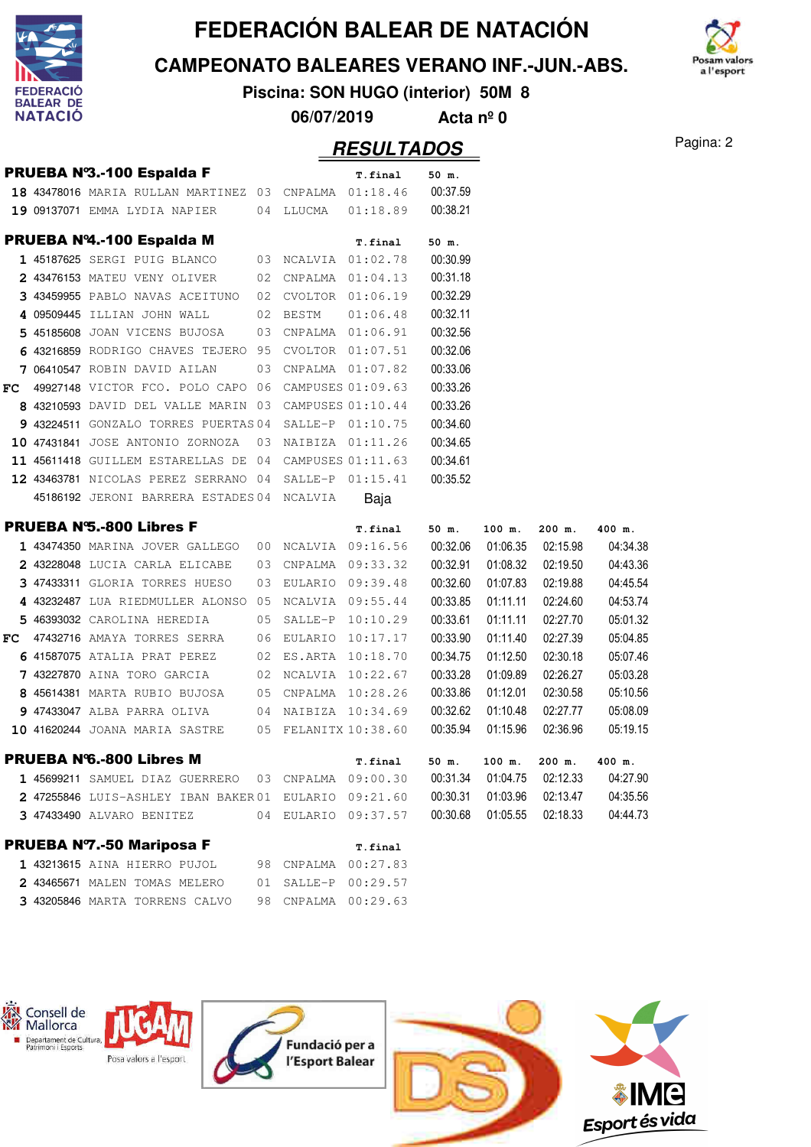

**CAMPEONATO BALEARES VERANO INF.-JUN.-ABS.**



**Piscina: SON HUGO (interior) 50M 8**

**06/07/2019 Acta nº 0**

|     |                                                       |    |                     | <b>RESULTADOS</b>    |          |          |          |          | Pagina: 2 |
|-----|-------------------------------------------------------|----|---------------------|----------------------|----------|----------|----------|----------|-----------|
|     | PRUEBA Nº3.-100 Espalda F                             |    |                     | T.final              | 50 m.    |          |          |          |           |
|     | 18 43478016 MARIA RULLAN MARTINEZ 03 CNPALMA 01:18.46 |    |                     |                      | 00:37.59 |          |          |          |           |
|     | 19 09137071 EMMA LYDIA NAPIER                         |    | 04 LLUCMA           | 01:18.89             | 00:38.21 |          |          |          |           |
|     | PRUEBA Nº4.-100 Espalda M                             |    |                     | T.final              | 50 m.    |          |          |          |           |
|     | 1 45187625 SERGI PUIG BLANCO                          |    | 03 NCALVIA 01:02.78 |                      | 00:30.99 |          |          |          |           |
|     | 2 43476153 MATEU VENY OLIVER                          |    | 02 CNPALMA 01:04.13 |                      | 00:31.18 |          |          |          |           |
|     | 3 43459955 PABLO NAVAS ACEITUNO                       | 02 |                     | CVOLTOR 01:06.19     | 00:32.29 |          |          |          |           |
|     | 4 09509445 ILLIAN JOHN WALL                           | 02 | <b>BESTM</b>        | 01:06.48             | 00:32.11 |          |          |          |           |
|     | 5 45185608 JOAN VICENS BUJOSA                         |    |                     | 03 CNPALMA 01:06.91  | 00:32.56 |          |          |          |           |
|     | 6 43216859 RODRIGO CHAVES TEJERO 95 CVOLTOR 01:07.51  |    |                     |                      | 00:32.06 |          |          |          |           |
|     | 7 06410547 ROBIN DAVID AILAN                          | 03 |                     | CNPALMA  01:07.82    | 00:33.06 |          |          |          |           |
|     | $FC$ 49927148 victor FCO. polo capo 06                |    |                     | CAMPUSES 01:09.63    | 00:33.26 |          |          |          |           |
|     | 8 43210593 DAVID DEL VALLE MARIN 03 CAMPUSES 01:10.44 |    |                     |                      | 00:33.26 |          |          |          |           |
|     | 9 43224511 GONZALO TORRES PUERTAS 04 SALLE-P 01:10.75 |    |                     |                      | 00:34.60 |          |          |          |           |
|     | 10 47431841 JOSE ANTONIO ZORNOZA                      |    |                     | 03 NAIBIZA 01:11.26  | 00:34.65 |          |          |          |           |
|     | 11 45611418 GUILLEM ESTARELLAS DE 04                  |    |                     | CAMPUSES 01:11.63    | 00:34.61 |          |          |          |           |
|     | 12 43463781 NICOLAS PEREZ SERRANO 04 SALLE-P 01:15.41 |    |                     |                      | 00:35.52 |          |          |          |           |
|     | 45186192 JERONI BARRERA ESTADES 04 NCALVIA            |    |                     | Baja                 |          |          |          |          |           |
|     | <b>PRUEBA N'S.-800 Libres F</b>                       |    |                     | T.final              | 50 m.    | 100 m.   | 200 m.   | 400 m.   |           |
|     | 1 43474350 MARINA JOVER GALLEGO                       |    |                     | 00 NCALVIA 09:16.56  | 00:32.06 | 01:06.35 | 02:15.98 | 04:34.38 |           |
|     | 2 43228048 LUCIA CARLA ELICABE                        | 03 |                     | CNPALMA 09:33.32     | 00:32.91 | 01:08.32 | 02:19.50 | 04:43.36 |           |
|     | 3 47433311 GLORIA TORRES HUESO                        | 03 |                     | EULARIO 09:39.48     | 00:32.60 | 01:07.83 | 02:19.88 | 04:45.54 |           |
|     | 4 43232487 LUA RIEDMULLER ALONSO                      | 05 |                     | NCALVIA 09:55.44     | 00:33.85 | 01:11.11 | 02:24.60 | 04:53.74 |           |
|     | 5 46393032 CAROLINA HEREDIA                           | 05 |                     | SALLE-P 10:10.29     | 00:33.61 | 01:11.11 | 02:27.70 | 05:01.32 |           |
| FC. | 47432716 AMAYA TORRES SERRA                           |    |                     | 06 EULARIO 10:17.17  | 00:33.90 | 01:11.40 | 02:27.39 | 05:04.85 |           |
|     | 6 41587075 ATALIA PRAT PEREZ                          |    |                     | 02 ES.ARTA 10:18.70  | 00:34.75 | 01:12.50 | 02:30.18 | 05:07.46 |           |
|     | 7 43227870 AINA TORO GARCIA                           |    |                     | 02 NCALVIA 10:22.67  | 00:33.28 | 01:09.89 | 02:26.27 | 05:03.28 |           |
|     | 8 45614381 MARTA RUBIO BUJOSA                         |    |                     | 05 CNPALMA 10:28.26  | 00:33.86 | 01:12.01 | 02:30.58 | 05:10.56 |           |
|     | 9 47433047 ALBA PARRA OLIVA                           |    |                     | 04 NAIBIZA 10:34.69  | 00:32.62 | 01:10.48 | 02:27.77 | 05:08.09 |           |
|     | 10 41620244 JOANA MARIA SASTRE                        |    |                     | 05 FELANITX 10:38.60 | 00:35.94 | 01:15.96 | 02:36.96 | 05:19.15 |           |
|     | <b>PRUEBA N'6.-800 Libres M</b>                       |    |                     | T.final              | 50 m.    | 100 m.   | 200 m.   | 400 m.   |           |
|     | 1 45699211 SAMUEL DIAZ GUERRERO 03 CNPALMA 09:00.30   |    |                     |                      | 00:31.34 | 01:04.75 | 02:12.33 | 04:27.90 |           |
|     | 2 47255846 LUIS-ASHLEY IBAN BAKER01 EULARIO 09:21.60  |    |                     |                      | 00:30.31 | 01:03.96 | 02:13.47 | 04:35.56 |           |
|     | 3 47433490 ALVARO BENITEZ                             |    |                     | 04 EULARIO 09:37.57  | 00:30.68 | 01:05.55 | 02:18.33 | 04:44.73 |           |
|     | <b>PRUEBA Nº7.-50 Mariposa F</b>                      |    |                     | T.final              |          |          |          |          |           |
|     | 1 43213615 AINA HIERRO PUJOL                          |    | 98 CNPALMA 00:27.83 |                      |          |          |          |          |           |
|     | 2 43465671 MALEN TOMAS MELERO                         |    | 01 SALLE-P 00:29.57 |                      |          |          |          |          |           |
|     | 3 43205846 MARTA TORRENS CALVO                        | 98 |                     | CNPALMA 00:29.63     |          |          |          |          |           |
|     |                                                       |    |                     |                      |          |          |          |          |           |

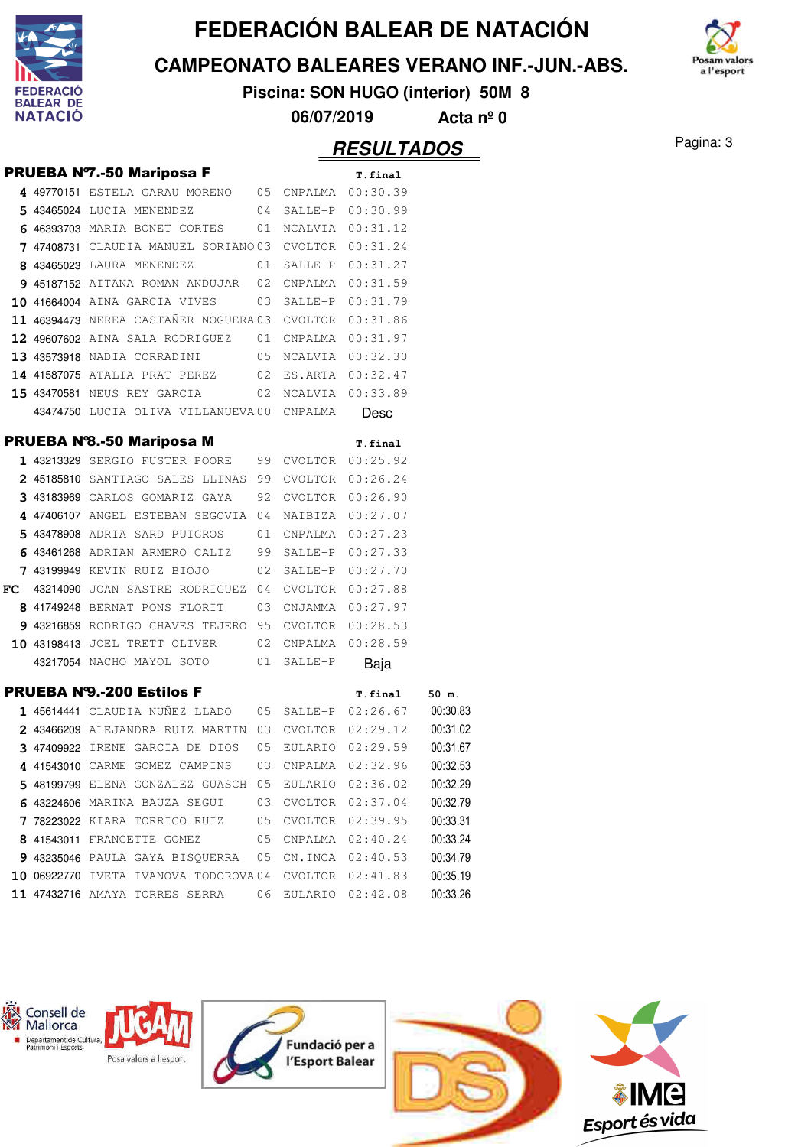

**CAMPEONATO BALEARES VERANO INF.-JUN.-ABS.**



**Piscina: SON HUGO (interior) 50M 8**

**06/07/2019 Acta nº 0**

|  | <b>PRUEBA N7.-50 Mariposa F</b>                               |  | T.final             |          |
|--|---------------------------------------------------------------|--|---------------------|----------|
|  | 4 49770151 ESTELA GARAU MORENO 05 CNPALMA 00:30.39            |  |                     |          |
|  | 5 43465024 LUCIA MENENDEZ 04 SALLE-P 00:30.99                 |  |                     |          |
|  | 6 46393703 MARIA BONET CORTES 01 NCALVIA 00:31.12             |  |                     |          |
|  | 7 47408731 CLAUDIA MANUEL SORIANO 03 CVOLTOR 00:31.24         |  |                     |          |
|  | 8 43465023 LAURA MENENDEZ                                     |  | 01 SALLE-P 00:31.27 |          |
|  | 9 45187152 AITANA ROMAN ANDUJAR 02 CNPALMA 00:31.59           |  |                     |          |
|  | 10 41664004 AINA GARCIA VIVES 03 SALLE-P 00:31.79             |  |                     |          |
|  | 11 46394473 NEREA CASTAÑER NOGUERA 03 CVOLTOR 00:31.86        |  |                     |          |
|  | 12 49607602 AINA SALA RODRIGUEZ 01 CNPALMA 00:31.97           |  |                     |          |
|  | 13 43573918 NADIA CORRADINI 05 NCALVIA 00:32.30               |  |                     |          |
|  | 14 41587075 ATALIA PRAT PEREZ 02 ES.ARTA 00:32.47             |  |                     |          |
|  | 15 43470581 NEUS REY GARCIA 62 NCALVIA 00:33.89               |  |                     |          |
|  | 43474750 LUCIA OLIVA VILLANUEVA00 CNPALMA                     |  | Desc                |          |
|  | <b>PRUEBA Nº8.-50 Mariposa M</b>                              |  | T.final             |          |
|  | 1 43213329 SERGIO FUSTER POORE 99 CVOLTOR 00:25.92            |  |                     |          |
|  | 2 45185810 SANTIAGO SALES LLINAS 99 CVOLTOR 00:26.24          |  |                     |          |
|  | 3 43183969 CARLOS GOMARIZ GAYA 92 CVOLTOR 00:26.90            |  |                     |          |
|  | 4 47406107 ANGEL ESTEBAN SEGOVIA 04 NAIBIZA 00:27.07          |  |                     |          |
|  | 5 43478908 ADRIA SARD PUIGROS 01 CNPALMA 00:27.23             |  |                     |          |
|  | 6 43461268 ADRIAN ARMERO CALIZ 99 SALLE-P 00:27.33            |  |                     |          |
|  | 7 43199949 KEVIN RUIZ BIOJO 02 SALLE-P 00:27.70               |  |                     |          |
|  | FC 43214090 JOAN SASTRE RODRIGUEZ 04 CVOLTOR $00:27.88$       |  |                     |          |
|  | 8 41749248 BERNAT PONS FLORIT 03 CNJAMMA 00:27.97             |  |                     |          |
|  | 9 43216859 RODRIGO CHAVES TEJERO 95 CVOLTOR 00:28.53          |  |                     |          |
|  | 10 43198413 JOEL TRETT OLIVER 02 CNPALMA 00:28.59             |  |                     |          |
|  | 43217054 NACHO MAYOL SOTO 01 SALLE-P                          |  | Baja                |          |
|  | <b>PRUEBA N'9.-200 Estilos F</b>                              |  | T.final             | 50 m.    |
|  | 1 45614441 CLAUDIA NUÑEZ LLADO 05 SALLE-P 02:26.67 00:30.83   |  |                     |          |
|  | 2 43466209 ALEJANDRA RUIZ MARTIN 03 CVOLTOR 02:29.12 00:31.02 |  |                     |          |
|  | 3 47409922 IRENE GARCIA DE DIOS 05 EULARIO 02:29.59           |  |                     | 00:31.67 |
|  | 4 41543010 CARME GOMEZ CAMPINS 03 CNPALMA 02:32.96            |  |                     | 00:32.53 |
|  | 5 48199799 ELENA GONZALEZ GUASCH 05 EULARIO 02:36.02          |  |                     | 00:32.29 |
|  | 6 43224606 MARINA BAUZA SEGUI 03 CVOLTOR 02:37.04             |  |                     | 00:32.79 |
|  | 7 78223022 KIARA TORRICO RUIZ 05 CVOLTOR 02:39.95             |  |                     | 00:33.31 |
|  | 8 41543011 FRANCETTE GOMEZ 05 CNPALMA 02:40.24                |  |                     | 00:33.24 |
|  | 9 43235046 PAULA GAYA BISQUERRA 05 CN.INCA 02:40.53           |  |                     | 00:34.79 |
|  | $10$ 06922770 iveta ivanova todorova04 cvoltor 02:41.83       |  |                     | 00:35.19 |
|  | 11 47432716 AMAYA TORRES SERRA 06 EULARIO 02:42.08            |  |                     | 00:33.26 |
|  |                                                               |  |                     |          |

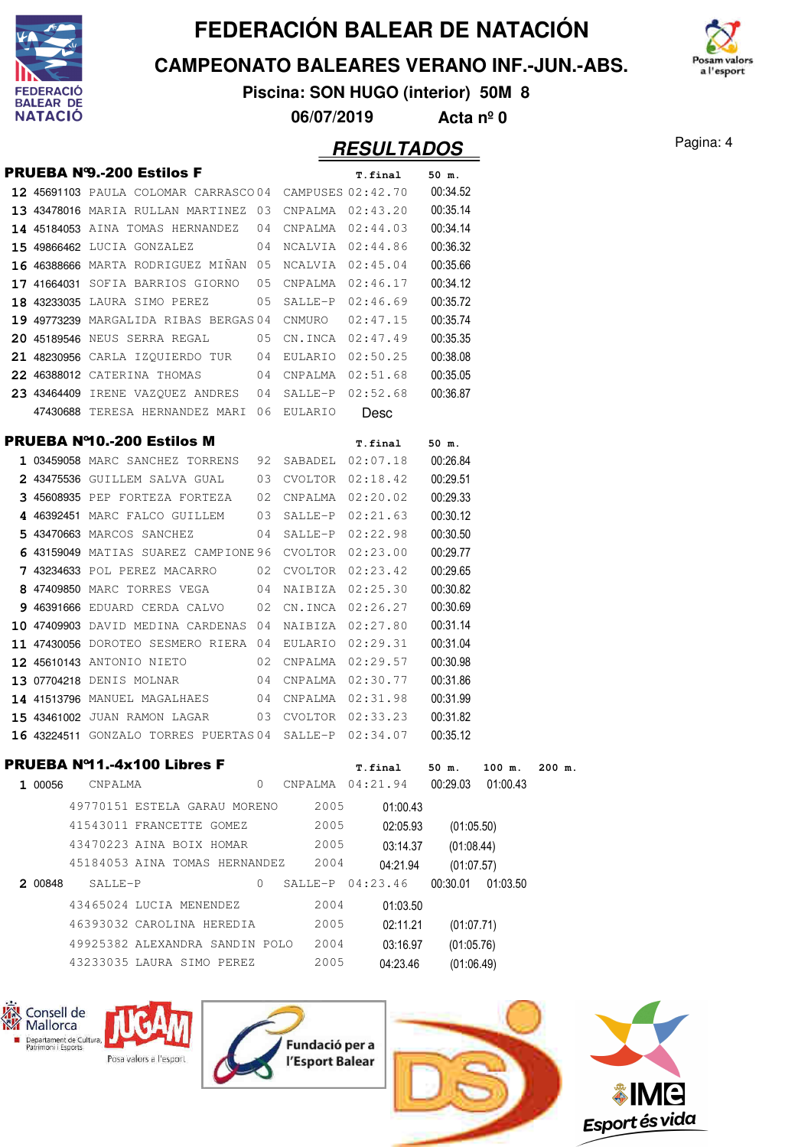

**CAMPEONATO BALEARES VERANO INF.-JUN.-ABS.**



**Piscina: SON HUGO (interior) 50M 8**

**06/07/2019 Acta nº 0**

#### Pagina: 4 **RESULTADOS**

|         | <b>PRUEBA N'9.-200 Estilos F</b>                               |         |      | T.final             | 50 m.      |                    |  |
|---------|----------------------------------------------------------------|---------|------|---------------------|------------|--------------------|--|
|         | <b>12 45691103</b> PAULA COLOMAR CARRASCO 04 CAMPUSES 02:42.70 |         |      |                     | 00:34.52   |                    |  |
|         | 13 43478016 MARIA RULLAN MARTINEZ 03 CNPALMA 02:43.20          |         |      |                     | 00:35.14   |                    |  |
|         | 14 45184053 AINA TOMAS HERNANDEZ                               |         |      | 04 CNPALMA 02:44.03 | 00:34.14   |                    |  |
|         | <b>15 49866462</b> LUCIA GONZALEZ                              |         |      | 04 NCALVIA 02:44.86 | 00:36.32   |                    |  |
|         | 16 46388666 MARTA RODRIGUEZ MINAN 05 NCALVIA 02:45.04          |         |      |                     | 00:35.66   |                    |  |
|         | 17 41664031 SOFIA BARRIOS GIORNO                               |         |      | 05 CNPALMA 02:46.17 | 00:34.12   |                    |  |
|         | 18 43233035 LAURA SIMO PEREZ                                   |         |      | 05 SALLE-P 02:46.69 | 00:35.72   |                    |  |
|         | 19 49773239 MARGALIDA RIBAS BERGAS 04 CNMURO                   |         |      | 02:47.15            | 00:35.74   |                    |  |
|         | <b>20 45189546</b> NEUS SERRA REGAL                            |         |      | 05 CN.INCA 02:47.49 | 00:35.35   |                    |  |
|         | 21 48230956 CARLA IZQUIERDO TUR 04 EULARIO 02:50.25            |         |      |                     | 00:38.08   |                    |  |
|         | 22 46388012 CATERINA THOMAS 04 CNPALMA 02:51.68                |         |      |                     | 00:35.05   |                    |  |
|         | 23 43464409 IRENE VAZQUEZ ANDRES                               |         |      | 04 SALLE-P 02:52.68 | 00:36.87   |                    |  |
|         | 47430688 TERESA HERNANDEZ MARI 06 EULARIO                      |         |      | <b>Desc</b>         |            |                    |  |
|         | <b>PRUEBA Nº10.-200 Estilos M</b>                              |         |      | T.final             | 50 m.      |                    |  |
|         | 1 03459058 MARC SANCHEZ TORRENS 92 SABADEL 02:07.18            |         |      |                     | 00:26.84   |                    |  |
|         | 2 43475536 GUILLEM SALVA GUAL                                  |         |      | 03 CVOLTOR 02:18.42 | 00:29.51   |                    |  |
|         | 3 45608935 PEP FORTEZA FORTEZA                                 |         |      | 02 CNPALMA 02:20.02 | 00:29.33   |                    |  |
|         | 4 46392451 MARC FALCO GUILLEM                                  |         |      | 03 SALLE-P 02:21.63 | 00:30.12   |                    |  |
|         | 5 43470663 MARCOS SANCHEZ                                      |         |      | 04 SALLE-P 02:22.98 | 00:30.50   |                    |  |
|         | 6 43159049 MATIAS SUAREZ CAMPIONE 96 CVOLTOR 02:23.00          |         |      |                     | 00:29.77   |                    |  |
|         | 7 43234633 POL PEREZ MACARRO 02 CVOLTOR 02:23.42               |         |      |                     | 00:29.65   |                    |  |
|         | 8 47409850 MARC TORRES VEGA 04 NAIBIZA 02:25.30                |         |      |                     | 00:30.82   |                    |  |
|         | 9 46391666 EDUARD CERDA CALVO                                  |         |      | 02 CN.INCA 02:26.27 | 00:30.69   |                    |  |
|         | 10 47409903 DAVID MEDINA CARDENAS 04 NAIBIZA 02:27.80          |         |      |                     | 00:31.14   |                    |  |
|         | 11 47430056 DOROTEO SESMERO RIERA 04 EULARIO 02:29.31          |         |      |                     | 00:31.04   |                    |  |
|         | 12 45610143 ANTONIO NIETO 02 CNPALMA 02:29.57                  |         |      |                     | 00:30.98   |                    |  |
|         | 13 07704218 DENIS MOLNAR                                       |         |      | 04 CNPALMA 02:30.77 | 00:31.86   |                    |  |
|         | 14 41513796 MANUEL MAGALHAES 04 CNPALMA 02:31.98               |         |      |                     | 00:31.99   |                    |  |
|         | 15 43461002 JUAN RAMON LAGAR 03 CVOLTOR 02:33.23               |         |      |                     | 00:31.82   |                    |  |
|         | 16 43224511 GONZALO TORRES PUERTAS 04 SALLE-P 02:34.07         |         |      |                     | 00:35.12   |                    |  |
|         | PRUEBA Nº11.-4x100 Libres F                                    |         |      | T.final             |            | 50 m. 100 m.       |  |
| 1 00056 | CNPALMA                                                        | $\circ$ |      | CNPALMA 04:21.94    |            | 00:29.03 01:00.43  |  |
|         | 49770151 ESTELA GARAU MORENO 2005                              |         |      | 01:00.43            |            |                    |  |
|         | 41543011 FRANCETTE GOMEZ                                       |         | 2005 | 02:05.93            | (01:05.50) |                    |  |
|         | 43470223 AINA BOIX HOMAR 2005                                  |         |      | 03:14.37            | (01:08.44) |                    |  |
|         | 45184053 AINA TOMAS HERNANDEZ 2004                             |         |      | 04:21.94            | (01:07.57) |                    |  |
| 2 00848 | SALLE-P                                                        | $\circ$ |      | SALLE-P 04:23.46    |            | 00:30.01  01:03.50 |  |
|         | 43465024 LUCIA MENENDEZ                                        |         | 2004 | 01:03.50            |            |                    |  |
|         | 46393032 CAROLINA HEREDIA                                      |         | 2005 | 02:11.21            | (01:07.71) |                    |  |
|         | 49925382 ALEXANDRA SANDIN POLO 2004                            |         |      | 03:16.97            | (01:05.76) |                    |  |
|         | 43233035 LAURA SIMO PEREZ                                      |         | 2005 | 04:23.46            | (01:06.49) |                    |  |
|         |                                                                |         |      |                     |            |                    |  |









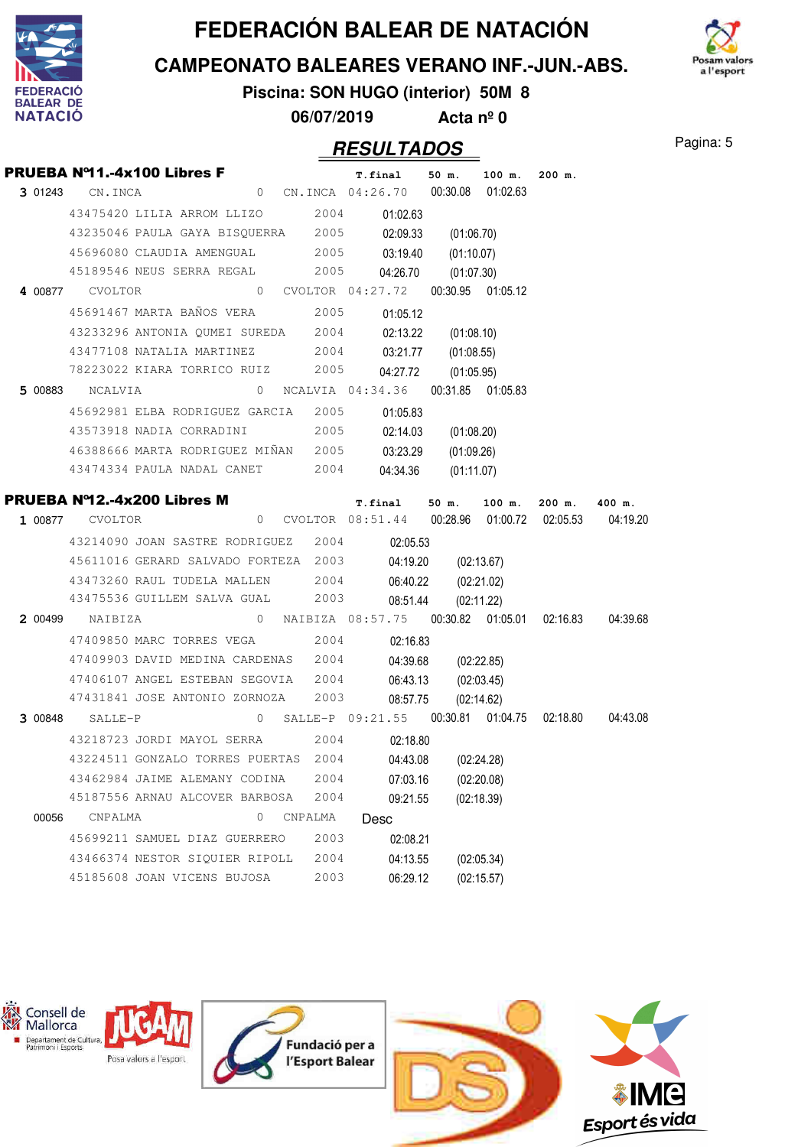

**CAMPEONATO BALEARES VERANO INF.-JUN.-ABS.**



**Piscina: SON HUGO (interior) 50M 8 06/07/2019 Acta nº 0**

|       | PRUEBA Nº11.-4x100 Libres F                                                                                                       |  |         |         |      |          |                     | T.final 50 m. 100 m. | $200$ m. |  |
|-------|-----------------------------------------------------------------------------------------------------------------------------------|--|---------|---------|------|----------|---------------------|----------------------|----------|--|
|       | 3 01243 CN.INCA 0 CN.INCA 04:26.70 00:30.08 01:02.63                                                                              |  |         |         |      |          |                     |                      |          |  |
|       | 43475420 LILIA ARROM LLIZO 2004 01:02.63                                                                                          |  |         |         |      |          |                     |                      |          |  |
|       | 43235046 PAULA GAYA BISQUERRA 2005 02:09.33 (01:06.70)                                                                            |  |         |         |      |          |                     |                      |          |  |
|       | 45696080 CLAUDIA AMENGUAL 2005 03:19.40 (01:10.07)                                                                                |  |         |         |      |          |                     |                      |          |  |
|       | 45189546 NEUS SERRA REGAL 2005                                                                                                    |  |         |         |      |          | 04:26.70 (01:07.30) |                      |          |  |
|       | 4 00877 CVOLTOR 0 CVOLTOR 04:27.72 00:30.95 01:05.12                                                                              |  |         |         |      |          |                     |                      |          |  |
|       | 45691467 MARTA BAÑOS VERA 2005                                                                                                    |  |         |         |      | 01:05.12 |                     |                      |          |  |
|       | 43233296 ANTONIA QUMEI SUREDA 2004                                                                                                |  |         |         |      |          | 02:13.22 (01:08.10) |                      |          |  |
|       | 43477108 NATALIA MARTINEZ 2004 03:21.77 (01:08.55)                                                                                |  |         |         |      |          |                     |                      |          |  |
|       | 78223022 KIARA TORRICO RUIZ 2005                                                                                                  |  |         |         |      |          | 04:27.72 (01:05.95) |                      |          |  |
|       |                                                                                                                                   |  |         |         |      |          |                     |                      |          |  |
|       | 45692981 ELBA RODRIGUEZ GARCIA 2005 01:05.83                                                                                      |  |         |         |      |          |                     |                      |          |  |
|       | 43573918 NADIA CORRADINI 2005 02:14.03 (01:08.20)                                                                                 |  |         |         |      |          |                     |                      |          |  |
|       | 46388666 MARTA RODRIGUEZ MIÑAN 2005 03:23.29 (01:09.26)                                                                           |  |         |         |      |          |                     |                      |          |  |
|       | 43474334 PAULA NADAL CANET 2004                                                                                                   |  |         |         |      |          | 04:34.36 (01:11.07) |                      |          |  |
|       |                                                                                                                                   |  |         |         |      |          |                     |                      |          |  |
|       | PRUEBA Nº12.-4x200 Libres M<br>T.final 50 m. 100 m. 200 m. 400 m.<br>1 00877 CVOLTOR 08:51.44 00:28.96 01:00.72 02:05.53 04:19.20 |  |         |         |      |          |                     |                      |          |  |
|       | 43214090 JOAN SASTRE RODRIGUEZ 2004 02:05.53                                                                                      |  |         |         |      |          |                     |                      |          |  |
|       | 45611016 GERARD SALVADO FORTEZA 2003 04:19.20 (02:13.67)                                                                          |  |         |         |      |          |                     |                      |          |  |
|       | 43473260 RAUL TUDELA MALLEN 2004                                                                                                  |  |         |         |      |          | 06:40.22 (02:21.02) |                      |          |  |
|       | 43475536 GUILLEM SALVA GUAL 2003                                                                                                  |  |         |         |      | 08:51.44 |                     | (02:11.22)           |          |  |
|       | 2 00499 NAIBIZA 08:57.75 00:30.82 01:05.01 02:16.83 04:39.68                                                                      |  |         |         |      |          |                     |                      |          |  |
|       | 47409850 MARC TORRES VEGA 2004                                                                                                    |  |         |         |      | 02:16.83 |                     |                      |          |  |
|       | 47409903 DAVID MEDINA CARDENAS 2004                                                                                               |  |         |         |      |          | 04:39.68 (02:22.85) |                      |          |  |
|       | 47406107 ANGEL ESTEBAN SEGOVIA 2004                                                                                               |  |         |         |      |          | 06:43.13 (02:03.45) |                      |          |  |
|       | 47431841 JOSE ANTONIO ZORNOZA 2003                                                                                                |  |         |         |      | 08:57.75 |                     | (02:14.62)           |          |  |
|       | 3 00848 SALLE-P 09:21.55 00:30.81 01:04.75 02:18.80 04:43.08                                                                      |  |         |         |      |          |                     |                      |          |  |
|       | 43218723 JORDI MAYOL SERRA 2004 02:18.80                                                                                          |  |         |         |      |          |                     |                      |          |  |
|       | 43224511 GONZALO TORRES PUERTAS 2004                                                                                              |  |         |         |      | 04:43.08 |                     | (02:24.28)           |          |  |
|       | 43462984 JAIME ALEMANY CODINA                                                                                                     |  |         | 2004    |      | 07:03.16 |                     | (02:20.08)           |          |  |
|       | 45187556 ARNAU ALCOVER BARBOSA                                                                                                    |  |         | 2004    |      | 09:21.55 |                     | (02:18.39)           |          |  |
| 00056 | CNPALMA                                                                                                                           |  | $\circ$ | CNPALMA | Desc |          |                     |                      |          |  |
|       | 45699211 SAMUEL DIAZ GUERRERO                                                                                                     |  |         | 2003    |      | 02:08.21 |                     |                      |          |  |
|       | 43466374 NESTOR SIQUIER RIPOLL                                                                                                    |  |         | 2004    |      | 04:13.55 |                     | (02:05.34)           |          |  |
|       | 45185608 JOAN VICENS BUJOSA                                                                                                       |  |         | 2003    |      | 06:29.12 |                     | (02:15.57)           |          |  |

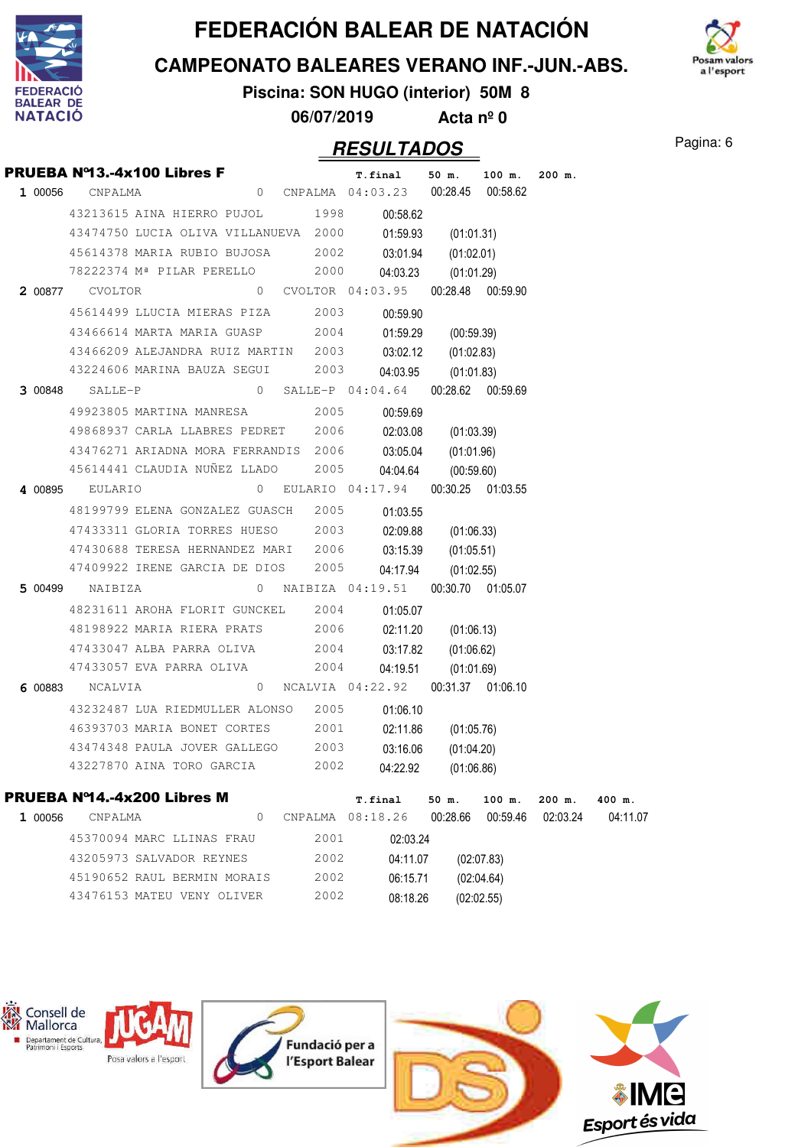

**CAMPEONATO BALEARES VERANO INF.-JUN.-ABS.**



**Piscina: SON HUGO (interior) 50M 8**

**06/07/2019 Acta nº 0**

#### **RESULTADOS** Pagina: 6

|         |                 | PRUEBA Nº13.-4x100 Libres F                              |   |      | T.final 50 m. 100 m.                 |                     |                    | $200$ m.             |                    |
|---------|-----------------|----------------------------------------------------------|---|------|--------------------------------------|---------------------|--------------------|----------------------|--------------------|
|         | 1 00056 CNPALMA |                                                          |   |      | 0 CNPALMA 04:03.23 00:28.45 00:58.62 |                     |                    |                      |                    |
|         |                 | 43213615 AINA HIERRO PUJOL 1998                          |   |      | 00:58.62                             |                     |                    |                      |                    |
|         |                 | 43474750 LUCIA OLIVA VILLANUEVA 2000                     |   |      |                                      | 01:59.93 (01:01.31) |                    |                      |                    |
|         |                 | 45614378 MARIA RUBIO BUJOSA 2002 03:01.94 (01:02.01)     |   |      |                                      |                     |                    |                      |                    |
|         |                 | 78222374 Mª PILAR PERELLO 2000                           |   |      | 04:03.23                             | (01:01.29)          |                    |                      |                    |
|         |                 | 2 00877 CVOLTOR 0 CVOLTOR 04:03.95 00:28.48 00:59.90     |   |      |                                      |                     |                    |                      |                    |
|         |                 | 45614499 LLUCIA MIERAS PIZA 2003                         |   |      | 00:59.90                             |                     |                    |                      |                    |
|         |                 | 43466614 MARTA MARIA GUASP 2004                          |   |      |                                      | 01:59.29 (00:59.39) |                    |                      |                    |
|         |                 | 43466209 ALEJANDRA RUIZ MARTIN 2003                      |   |      |                                      | 03:02.12 (01:02.83) |                    |                      |                    |
|         |                 | 43224606 MARINA BAUZA SEGUI 2003                         |   |      | 04:03.95                             | (01:01.83)          |                    |                      |                    |
|         |                 | 3 00848 SALLE-P 04:04.64 00:28.62 00:59.69               |   |      |                                      |                     |                    |                      |                    |
|         |                 | 49923805 MARTINA MANRESA 2005                            |   |      | 00:59.69                             |                     |                    |                      |                    |
|         |                 | 49868937 CARLA LLABRES PEDRET 2006                       |   |      |                                      | 02:03.08 (01:03.39) |                    |                      |                    |
|         |                 | 43476271 ARIADNA MORA FERRANDIS 2006 03:05.04 (01:01.96) |   |      |                                      |                     |                    |                      |                    |
|         |                 | 45614441 CLAUDIA NUÑEZ LLADO 2005                        |   |      |                                      | 04:04.64 (00:59.60) |                    |                      |                    |
|         |                 | 4 00895 EULARIO 0 EULARIO 04:17.94 00:30.25 01:03.55     |   |      |                                      |                     |                    |                      |                    |
|         |                 | 48199799 ELENA GONZALEZ GUASCH 2005                      |   |      | 01:03.55                             |                     |                    |                      |                    |
|         |                 | 47433311 GLORIA TORRES HUESO 2003                        |   |      |                                      | 02:09.88 (01:06.33) |                    |                      |                    |
|         |                 | 47430688 TERESA HERNANDEZ MARI 2006                      |   |      |                                      | 03:15.39 (01:05.51) |                    |                      |                    |
|         |                 | 47409922 IRENE GARCIA DE DIOS 2005                       |   |      |                                      | 04:17.94 (01:02.55) |                    |                      |                    |
|         |                 | 5 00499 NAIBIZA 0 NAIBIZA 04:19.51 00:30.70 01:05.07     |   |      |                                      |                     |                    |                      |                    |
|         |                 | 48231611 AROHA FLORIT GUNCKEL 2004                       |   |      | 01:05.07                             |                     |                    |                      |                    |
|         |                 | 48198922 MARIA RIERA PRATS 2006                          |   |      |                                      | 02:11.20 (01:06.13) |                    |                      |                    |
|         |                 | 47433047 ALBA PARRA OLIVA 2004                           |   |      |                                      | 03:17.82 (01:06.62) |                    |                      |                    |
|         |                 | 47433057 EVA PARRA OLIVA 2004                            |   |      |                                      | 04:19.51 (01:01.69) |                    |                      |                    |
|         |                 | 6 00883 NCALVIA 04:22.92 00:31.37 01:06.10               |   |      |                                      |                     |                    |                      |                    |
|         |                 | 43232487 LUA RIEDMULLER ALONSO 2005                      |   |      | 01:06.10                             |                     |                    |                      |                    |
|         |                 | 46393703 MARIA BONET CORTES                              |   | 2001 | 02:11.86                             | (01:05.76)          |                    |                      |                    |
|         |                 | 43474348 PAULA JOVER GALLEGO 2003                        |   |      | 03:16.06                             | (01:04.20)          |                    |                      |                    |
|         |                 | 43227870 AINA TORO GARCIA 2002                           |   |      | 04:22.92                             | (01:06.86)          |                    |                      |                    |
|         |                 | <b>PRUEBA Nº14.-4x200 Libres M</b>                       |   |      |                                      |                     |                    |                      |                    |
| 1 00056 | CNPALMA         |                                                          | 0 |      | T.final<br>CNPALMA 08:18.26          | 50 m.<br>00:28.66   | 100 m.<br>00:59.46 | $200$ m.<br>02:03.24 | 400 m.<br>04:11.07 |
|         |                 | 45370094 MARC LLINAS FRAU                                |   | 2001 |                                      |                     |                    |                      |                    |
|         |                 | 43205973 SALVADOR REYNES                                 |   | 2002 | 02:03.24                             |                     |                    |                      |                    |
|         |                 | 45190652 RAUL BERMIN MORAIS                              |   |      | 04:11.07                             |                     | (02:07.83)         |                      |                    |
|         |                 |                                                          |   | 2002 | 06:15.71                             |                     | (02:04.64)         |                      |                    |

43476153 MATEU VENY OLIVER



08:18.26

(02:02.55)

2002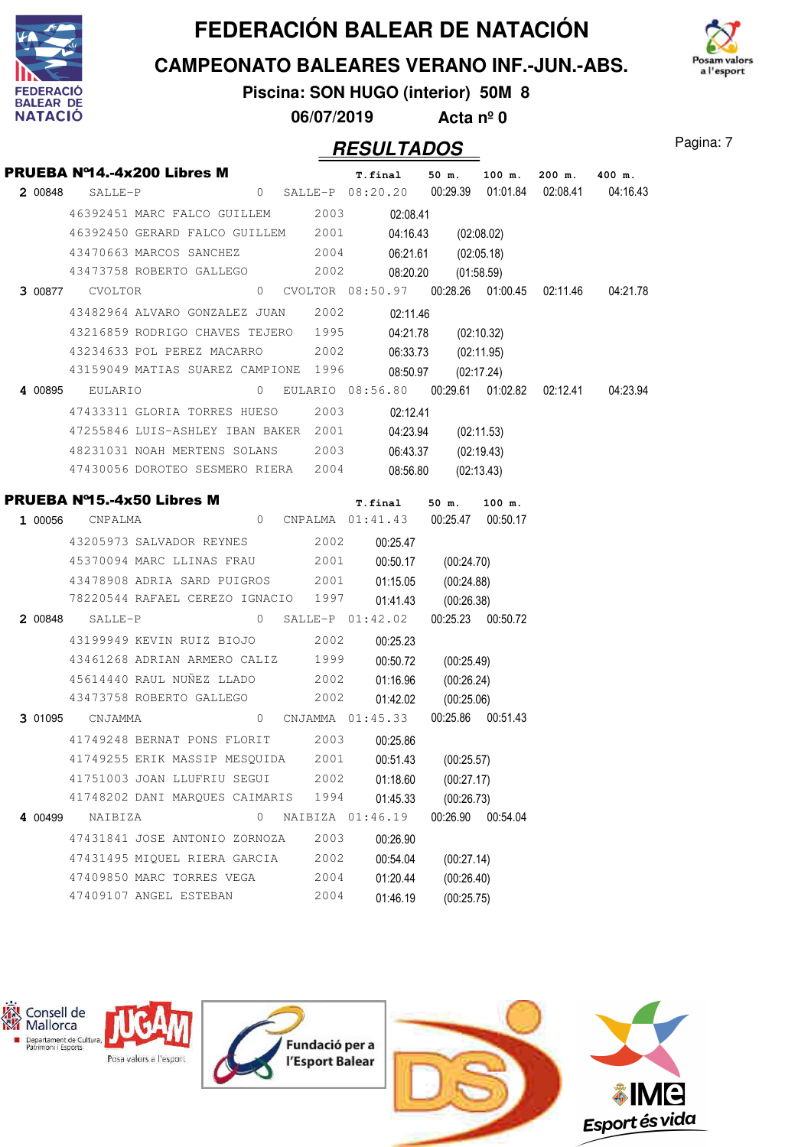





**Piscina: SON HUGO (interior) 50M 8**

**06/07/2019 Acta nº 0**

|         | <b>PRUEBA Nº14.-4x200 Libres M</b><br><b>2</b> 00848 SALLE-P<br><b>2</b> 00848 SALLE-P<br><b>1</b> 08:20.20 00:29.39 01:01.84 02:08.41 04:16.43 |  |   |      |                  |          |            |                    |  |
|---------|-------------------------------------------------------------------------------------------------------------------------------------------------|--|---|------|------------------|----------|------------|--------------------|--|
|         | 46392451 MARC FALCO GUILLEM 2003 02:08.41                                                                                                       |  |   |      |                  |          |            |                    |  |
|         | 46392450 GERARD FALCO GUILLEM 2001 04:16.43 (02:08.02)                                                                                          |  |   |      |                  |          |            |                    |  |
|         | 43470663 MARCOS SANCHEZ 2004 06:21.61 (02:05.18)                                                                                                |  |   |      |                  |          |            |                    |  |
|         | 43473758 ROBERTO GALLEGO 2002 08:20.20 (01:58.59)                                                                                               |  |   |      |                  |          |            |                    |  |
|         | 3 00877 CVOLTOR 08:50.97 00:28.26 01:00.45 02:11.46 04:21.78                                                                                    |  |   |      |                  |          |            |                    |  |
|         | 43482964 ALVARO GONZALEZ JUAN 2002                                                                                                              |  |   |      |                  | 02:11.46 |            |                    |  |
|         | 43216859 RODRIGO CHAVES TEJERO 1995 04:21.78 (02:10.32)                                                                                         |  |   |      |                  |          |            |                    |  |
|         | 43234633 POL PEREZ MACARRO 2002 06:33.73 (02:11.95)                                                                                             |  |   |      |                  |          |            |                    |  |
|         | 43159049 MATIAS SUAREZ CAMPIONE 1996 08:50.97 (02:17.24)                                                                                        |  |   |      |                  |          |            |                    |  |
|         | 4 00895 EULARIO 08:56.80 00:29.61 01:02.82 02:12.41 04:23.94                                                                                    |  |   |      |                  |          |            |                    |  |
|         | 47433311 GLORIA TORRES HUESO 2003 02:12.41                                                                                                      |  |   |      |                  |          |            |                    |  |
|         | 47255846 LUIS-ASHLEY IBAN BAKER 2001 04:23.94 (02:11.53)                                                                                        |  |   |      |                  |          |            |                    |  |
|         | 48231031 NOAH MERTENS SOLANS 2003 06:43.37 (02:19.43)                                                                                           |  |   |      |                  |          |            |                    |  |
|         | 47430056 DOROTEO SESMERO RIERA 2004 08:56.80 (02:13.43)                                                                                         |  |   |      |                  |          |            |                    |  |
|         |                                                                                                                                                 |  |   |      |                  |          |            |                    |  |
|         | <b>PRUEBA Nº15.-4x50 Libres M r.final 50 m. 100 m.</b><br>1 00056 CNPALMA <b>1</b> 00056 CNPALMA 01:41.43 00:25.47 00:50.17                     |  |   |      |                  |          |            |                    |  |
|         |                                                                                                                                                 |  |   |      |                  |          |            |                    |  |
|         | 43205973 SALVADOR REYNES 2002 00:25.47                                                                                                          |  |   |      |                  |          |            |                    |  |
|         | 45370094 MARC LLINAS FRAU 2001 00:50.17 (00:24.70)                                                                                              |  |   |      |                  |          |            |                    |  |
|         | 43478908 ADRIA SARD PUIGROS 2001 01:15.05 (00:24.88)                                                                                            |  |   |      |                  |          |            |                    |  |
|         | 78220544 RAFAEL CEREZO IGNACIO 1997 01:41.43 (00:26.38)                                                                                         |  |   |      |                  |          |            |                    |  |
|         | 2 00848 SALLE-P 01:42.02 00:25.23 00:50.72                                                                                                      |  |   |      |                  |          |            |                    |  |
|         | 43199949 KEVIN RUIZ BIOJO 2002                                                                                                                  |  |   |      |                  | 00:25.23 |            |                    |  |
|         | 43461268 ADRIAN ARMERO CALIZ 1999 00:50.72 (00:25.49)                                                                                           |  |   |      |                  |          |            |                    |  |
|         | 45614440 RAUL NUÑEZ LLADO 2002 01:16.96 (00:26.24)                                                                                              |  |   |      |                  |          |            |                    |  |
|         | 43473758 ROBERTO GALLEGO 2002 01:42.02 (00:25.06)                                                                                               |  |   |      |                  |          |            |                    |  |
|         | 3 01095 CNJAMMA 01:45.33 00:25.86 00:51.43                                                                                                      |  |   |      |                  |          |            |                    |  |
|         | 41749248 BERNAT PONS FLORIT 2003 00:25.86                                                                                                       |  |   |      |                  |          |            |                    |  |
|         | 41749255 ERIK MASSIP MESQUIDA 2001 00:51.43 (00:25.57)                                                                                          |  |   |      |                  |          |            |                    |  |
|         | 41751003 JOAN LLUFRIU SEGUI                                                                                                                     |  |   | 2002 |                  | 01:18.60 | (00:27.17) |                    |  |
|         | 41748202 DANI MARQUES CAIMARIS                                                                                                                  |  |   | 1994 |                  | 01:45.33 | (00:26.73) |                    |  |
| 4 00499 | NAIBIZA                                                                                                                                         |  | 0 |      | NAIBIZA 01:46.19 |          |            | 00:26.90  00:54.04 |  |
|         | 47431841 JOSE ANTONIO ZORNOZA                                                                                                                   |  |   | 2003 |                  | 00:26.90 |            |                    |  |
|         | 47431495 MIOUEL RIERA GARCIA                                                                                                                    |  |   | 2002 |                  | 00:54.04 | (00:27.14) |                    |  |
|         | 47409850 MARC TORRES VEGA                                                                                                                       |  |   | 2004 |                  | 01:20.44 | (00:26.40) |                    |  |
|         | 47409107 ANGEL ESTEBAN                                                                                                                          |  |   | 2004 |                  | 01:46.19 | (00:25.75) |                    |  |

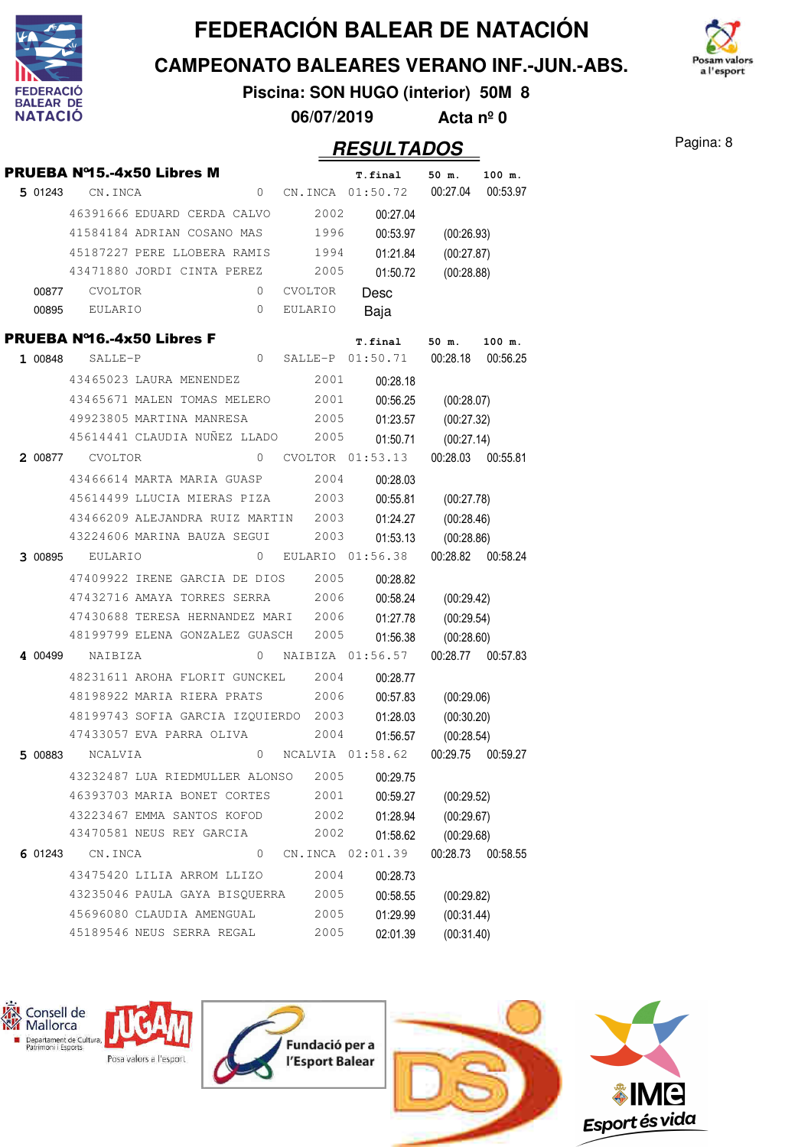

**CAMPEONATO BALEARES VERANO INF.-JUN.-ABS.**

m valors a l'esport

**Piscina: SON HUGO (interior) 50M 8 06/07/2019 Acta nº 0**

|         | <b>PRUEBA Nº15.-4x50 Libres M</b> |  |              |                  | T.final  |          | 50 m.      | 100 m.   |
|---------|-----------------------------------|--|--------------|------------------|----------|----------|------------|----------|
| 5 01243 | CN.INCA                           |  | 0            | CN.INCA          | 01:50.72 |          | 00:27.04   | 00:53.97 |
|         | 46391666 EDUARD CERDA CALVO       |  |              | 2002             |          | 00:27.04 |            |          |
|         | 41584184 ADRIAN COSANO MAS        |  |              | 1996             |          | 00:53.97 | (00:26.93) |          |
|         | 45187227 PERE LLOBERA RAMIS       |  |              | 1994             |          | 01:21.84 | (00:27.87) |          |
|         | 43471880 JORDI CINTA PEREZ        |  |              | 2005             |          | 01:50.72 | (00:28.88) |          |
| 00877   | CVOLTOR                           |  | 0            | <b>CVOLTOR</b>   | Desc     |          |            |          |
| 00895   | EULARIO                           |  | 0            | EULARIO          | Baja     |          |            |          |
|         | PRUEBA Nº16.-4x50 Libres F        |  |              |                  | T.final  |          | 50 m.      | 100 m.   |
| 1 00848 | SALLE-P                           |  | 0            | SALLE-P          | 01:50.71 |          | 00:28.18   | 00:56.25 |
|         | 43465023 LAURA MENENDEZ           |  |              | 2001             |          | 00:28.18 |            |          |
|         | 43465671 MALEN TOMAS MELERO       |  |              | 2001             |          | 00:56.25 | (00:28.07) |          |
|         | 49923805 MARTINA MANRESA          |  |              | 2005             |          | 01:23.57 | (00:27.32) |          |
|         | 45614441 CLAUDIA NUÑEZ LLADO      |  |              | 2005             |          | 01:50.71 | (00:27.14) |          |
| 2 00877 | <b>CVOLTOR</b>                    |  | $\mathbf{0}$ | CVOLTOR          | 01:53.13 |          | 00:28.03   | 00:55.81 |
|         | 43466614 MARTA MARIA GUASP        |  |              | 2004             |          | 00:28.03 |            |          |
|         | 45614499 LLUCIA MIERAS PIZA       |  |              | 2003             |          | 00:55.81 | (00:27.78) |          |
|         | 43466209 ALEJANDRA RUIZ MARTIN    |  |              | 2003             |          | 01:24.27 | (00:28.46) |          |
|         | 43224606 MARINA BAUZA SEGUI       |  |              | 2003             |          | 01:53.13 | (00:28.86) |          |
| 3 00895 | EULARIO                           |  | 0            | EULARIO          | 01:56.38 |          | 00:28.82   | 00:58.24 |
|         | 47409922 IRENE GARCIA DE DIOS     |  |              | 2005             |          | 00:28.82 |            |          |
|         | 47432716 AMAYA TORRES SERRA       |  |              | 2006             |          | 00:58.24 | (00:29.42) |          |
|         | 47430688 TERESA HERNANDEZ MARI    |  |              | 2006             |          | 01:27.78 | (00:29.54) |          |
|         | 48199799 ELENA GONZALEZ GUASCH    |  |              | 2005             |          | 01:56.38 | (00:28.60) |          |
| 4 00499 | NAIBIZA                           |  | 0            | NAIBIZA          | 01:56.57 |          | 00:28.77   | 00:57.83 |
|         | 48231611 AROHA FLORIT GUNCKEL     |  |              | 2004             |          | 00:28.77 |            |          |
|         | 48198922 MARIA RIERA PRATS        |  |              | 2006             |          | 00:57.83 | (00:29.06) |          |
|         | 48199743 SOFIA GARCIA IZQUIERDO   |  |              | 2003             |          | 01:28.03 | (00:30.20) |          |
|         | 47433057 EVA PARRA OLIVA          |  |              | 2004             |          | 01:56.57 | (00:28.54) |          |
| 5 00883 | NCALVIA                           |  | 0            | NCALVIA 01:58.62 |          |          | 00:29.75   | 00:59.27 |
|         | 43232487 LUA RIEDMULLER ALONSO    |  |              | 2005             |          | 00:29.75 |            |          |
|         | 46393703 MARIA BONET CORTES       |  |              | 2001             |          | 00:59.27 | (00:29.52) |          |
|         | 43223467 EMMA SANTOS KOFOD        |  |              | 2002             |          | 01:28.94 | (00:29.67) |          |
|         | 43470581 NEUS REY GARCIA          |  |              | 2002             |          | 01:58.62 | (00:29.68) |          |
| 6 01243 | CN.INCA                           |  | $\mathbf{0}$ | CN.INCA 02:01.39 |          |          | 00:28.73   | 00:58.55 |
|         | 43475420 LILIA ARROM LLIZO        |  |              | 2004             |          | 00:28.73 |            |          |
|         | 43235046 PAULA GAYA BISQUERRA     |  |              | 2005             |          | 00:58.55 | (00:29.82) |          |
|         | 45696080 CLAUDIA AMENGUAL         |  |              | 2005             |          | 01:29.99 | (00:31.44) |          |
|         | 45189546 NEUS SERRA REGAL         |  |              | 2005             |          | 02:01.39 | (00:31.40) |          |







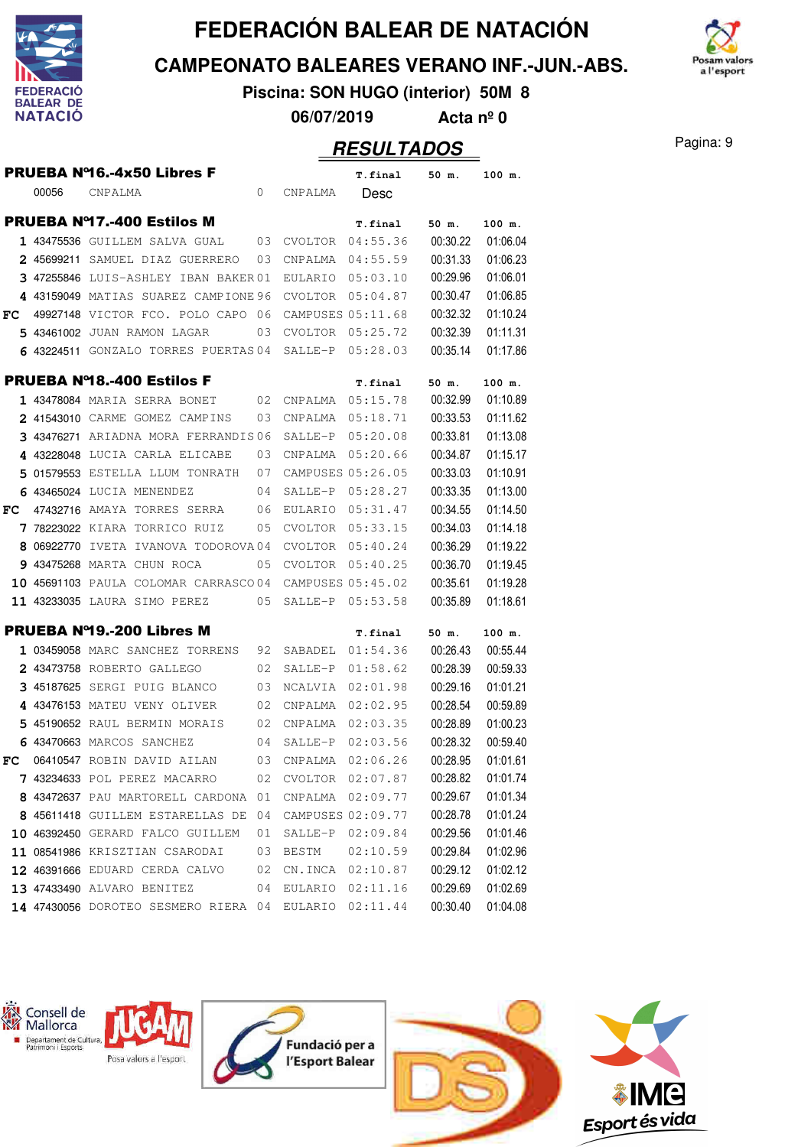

**CAMPEONATO BALEARES VERANO INF.-JUN.-ABS.**

**Piscina: SON HUGO (interior) 50M 8**

**06/07/2019 Acta nº 0**

#### **RESULTADOS** Pagina: 9

n valors a l'esport

|     |       | PRUEBA Nº16.-4x50 Libres F           |              |                   | T.final             | 50 m.    | 100 m.            |
|-----|-------|--------------------------------------|--------------|-------------------|---------------------|----------|-------------------|
|     | 00056 | CNPALMA                              | $\mathbf{0}$ | CNPALMA           | Desc                |          |                   |
|     |       | <b>PRUEBA Nº17.-400 Estilos M</b>    |              |                   | T.final             | 50 m.    | 100 m.            |
|     |       | 1 43475536 GUILLEM SALVA GUAL        | 03           |                   | CVOLTOR 04:55.36    | 00:30.22 | 01:06.04          |
|     |       | 2 45699211 SAMUEL DIAZ GUERRERO      | 03           | CNPALMA           | 04:55.59            | 00:31.33 | 01:06.23          |
|     |       | 3 47255846 LUIS-ASHLEY IBAN BAKER 01 |              | EULARIO           | 05:03.10            | 00:29.96 | 01:06.01          |
|     |       | 4 43159049 MATIAS SUAREZ CAMPIONE 96 |              | CVOLTOR           | 05:04.87            | 00:30.47 | 01:06.85          |
| FC. |       | 49927148 VICTOR FCO. POLO CAPO 06    |              | CAMPUSES 05:11.68 |                     | 00:32.32 | 01:10.24          |
|     |       | 5 43461002 JUAN RAMON LAGAR          | 03           | <b>CVOLTOR</b>    | 05:25.72            | 00:32.39 | 01:11.31          |
|     |       | 6 43224511 GONZALO TORRES PUERTAS 04 |              | SALLE-P           | 05:28.03            | 00:35.14 | 01:17.86          |
|     |       | <b>PRUEBA Nº18.-400 Estilos F</b>    |              |                   | T.final             | 50 m.    | 100 m.            |
|     |       | 1 43478084 MARIA SERRA BONET         | 02           | CNPALMA           | 05:15.78            | 00:32.99 | 01:10.89          |
|     |       | 2 41543010 CARME GOMEZ CAMPINS       | 03           | CNPALMA           | 05:18.71            | 00:33.53 | 01:11.62          |
|     |       | 3 43476271 ARIADNA MORA FERRANDIS06  |              | SALLE-P           | 05:20.08            | 00:33.81 | 01:13.08          |
|     |       | 4 43228048 LUCIA CARLA ELICABE       | 03           | CNPALMA           | 05:20.66            | 00:34.87 | 01:15.17          |
|     |       | 5 01579553 ESTELLA LLUM TONRATH      | 07           |                   | CAMPUSES 05:26.05   | 00:33.03 | 01:10.91          |
|     |       | 6 43465024 LUCIA MENENDEZ            | 04           | SALLE-P           | 05:28.27            | 00:33.35 | 01:13.00          |
| FC. |       | 47432716 AMAYA TORRES SERRA          | 06           | EULARIO           | 05:31.47            | 00:34.55 | 01:14.50          |
|     |       | 7 78223022 KIARA TORRICO RUIZ        | 05           | CVOLTOR           | 05:33.15            | 00:34.03 | 01:14.18          |
|     |       | 8 06922770 IVETA IVANOVA TODOROVA04  |              | CVOLTOR           | 05:40.24            | 00:36.29 | 01:19.22          |
|     |       | 9 43475268 MARTA CHUN ROCA           | 05           | CVOLTOR           | 05:40.25            | 00:36.70 | 01:19.45          |
|     |       | 10 45691103 PAULA COLOMAR CARRASCO04 |              |                   | CAMPUSES 05:45.02   | 00:35.61 | 01:19.28          |
|     |       | 11 43233035 LAURA SIMO PEREZ         | 05           | SALLE-P           | 05:53.58            | 00:35.89 | 01:18.61          |
|     |       | <b>PRUEBA Nº19.-200 Libres M</b>     |              |                   | T.final             | 50 m.    | 100 m.            |
|     |       | 1 03459058 MARC SANCHEZ TORRENS      | 92           | SABADEL           | 01:54.36            | 00:26.43 | 00:55.44          |
|     |       | 2 43473758 ROBERTO GALLEGO           | 02           | SALLE-P           | 01:58.62            | 00:28.39 | 00:59.33          |
|     |       | 3 45187625 SERGI PUIG BLANCO         | 03           | NCALVIA           | 02:01.98            | 00:29.16 | 01:01.21          |
|     |       | 4 43476153 MATEU VENY OLIVER         | 02           | CNPALMA           | 02:02.95            | 00:28.54 | 00:59.89          |
|     |       | 5 45190652 RAUL BERMIN MORAIS        | 02           | CNPALMA           | 02:03.35            | 00:28.89 | 01:00.23          |
|     |       | 6 43470663 MARCOS SANCHEZ            | 04           | SALLE-P           | 02:03.56            | 00:28.32 | 00:59.40          |
| FC  |       | 06410547 ROBIN DAVID AILAN           | 03           | CNPALMA           | 02:06.26            | 00:28.95 | 01:01.61          |
|     |       | 7 43234633 POL PEREZ MACARRO         |              |                   | 02 CVOLTOR 02:07.87 |          | 00:28.82 01:01.74 |
|     |       | 8 43472637 PAU MARTORELL CARDONA 01  |              | CNPALMA 02:09.77  |                     | 00:29.67 | 01:01.34          |
|     |       | 8 45611418 GUILLEM ESTARELLAS DE     | 04           |                   | CAMPUSES 02:09.77   | 00:28.78 | 01:01.24          |
|     |       | 10 46392450 GERARD FALCO GUILLEM     | 01           | SALLE-P           | 02:09.84            | 00:29.56 | 01:01.46          |
|     |       | 11 08541986 KRISZTIAN CSARODAI       | 03           | BESTM             | 02:10.59            | 00:29.84 | 01:02.96          |
|     |       | 12 46391666 EDUARD CERDA CALVO       | 02           |                   | CN.INCA 02:10.87    | 00:29.12 | 01:02.12          |
|     |       | 13 47433490 ALVARO BENITEZ           | 04           |                   | EULARIO 02:11.16    | 00:29.69 | 01:02.69          |
|     |       | 14 47430056 DOROTEO SESMERO RIERA 04 |              | EULARIO           | 02:11.44            | 00:30.40 | 01:04.08          |

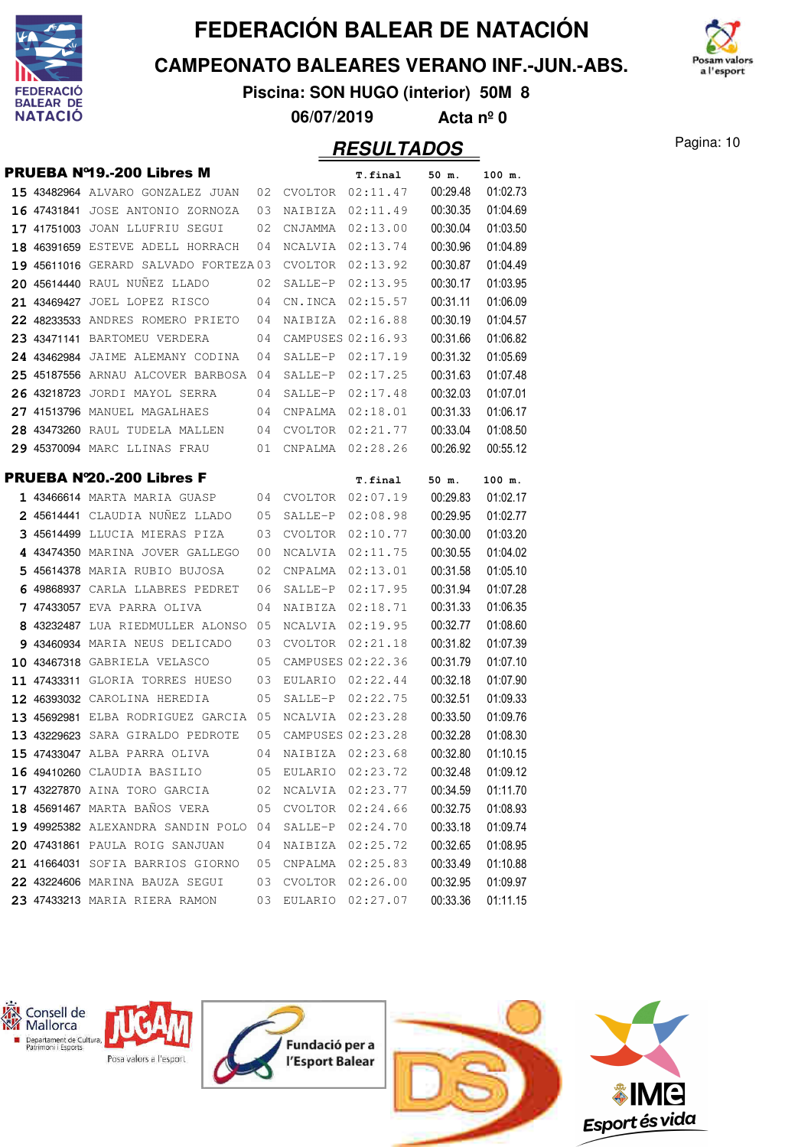

**CAMPEONATO BALEARES VERANO INF.-JUN.-ABS.**



**Piscina: SON HUGO (interior) 50M 8 06/07/2019 Acta nº 0**

|   | PRUEBA Nº19.-200 Libres M             |    |                     | T.final             | 50 m.             | 100 m.   |
|---|---------------------------------------|----|---------------------|---------------------|-------------------|----------|
|   | 15 43482964 ALVARO GONZALEZ JUAN      | 02 | CVOLTOR             | 02:11.47            | 00:29.48          | 01:02.73 |
|   | 16 47431841 JOSE ANTONIO ZORNOZA      | 03 | NAIBIZA             | 02:11.49            | 00:30.35          | 01:04.69 |
|   | 17 41751003 JOAN LLUFRIU SEGUI        | 02 | CNJAMMA             | 02:13.00            | 00:30.04          | 01:03.50 |
|   | 18 46391659 ESTEVE ADELL HORRACH      | 04 | NCALVIA             | 02:13.74            | 00:30.96          | 01:04.89 |
|   | 19 45611016 GERARD SALVADO FORTEZA 03 |    | <b>CVOLTOR</b>      | 02:13.92            | 00:30.87          | 01:04.49 |
|   | 20 45614440 RAUL NUÑEZ LLADO          | 02 | SALLE-P             | 02:13.95            | 00:30.17          | 01:03.95 |
|   | 21 43469427 JOEL LOPEZ RISCO          | 04 | CN.INCA             | 02:15.57            | 00:31.11          | 01:06.09 |
|   | 22 48233533 ANDRES ROMERO PRIETO      | 04 | NAIBIZA             | 02:16.88            | 00:30.19          | 01:04.57 |
|   | 23 43471141 BARTOMEU VERDERA          | 04 |                     | CAMPUSES 02:16.93   | 00:31.66          | 01:06.82 |
|   | 24 43462984 JAIME ALEMANY CODINA      | 04 | SALLE-P             | 02:17.19            | 00:31.32          | 01:05.69 |
|   | 25 45187556 ARNAU ALCOVER BARBOSA     | 04 | SALLE-P             | 02:17.25            | 00:31.63          | 01:07.48 |
|   | 26 43218723 JORDI MAYOL SERRA         | 04 | SALLE-P             | 02:17.48            | 00:32.03          | 01:07.01 |
|   | 27 41513796 MANUEL MAGALHAES          | 04 | CNPALMA             | 02:18.01            | 00:31.33          | 01:06.17 |
|   | 28 43473260 RAUL TUDELA MALLEN        | 04 | CVOLTOR             | 02:21.77            | 00:33.04          | 01:08.50 |
|   | 29 45370094 MARC LLINAS FRAU          | 01 | CNPALMA             | 02:28.26            | 00:26.92          | 00:55.12 |
|   | PRUEBA N'20.-200 Libres F             |    |                     |                     |                   | 100 m.   |
|   | 1 43466614 MARTA MARIA GUASP          | 04 | CVOLTOR             | T.final<br>02:07.19 | 50 m.<br>00:29.83 | 01:02.17 |
|   | 2 45614441 CLAUDIA NUNEZ LLADO        | 05 | SALLE-P             | 02:08.98            | 00:29.95          | 01:02.77 |
|   | 3 45614499 LLUCIA MIERAS PIZA         | 03 | CVOLTOR             | 02:10.77            | 00:30.00          | 01:03.20 |
|   | 4 43474350 MARINA JOVER GALLEGO       | 00 | NCALVIA             | 02:11.75            | 00:30.55          | 01:04.02 |
|   | 5 45614378 MARIA RUBIO BUJOSA         | 02 | CNPALMA             | 02:13.01            | 00:31.58          | 01:05.10 |
| 6 | 49868937 CARLA LLABRES PEDRET         | 06 | SALLE-P             | 02:17.95            | 00:31.94          | 01:07.28 |
|   | <b>7 47433057</b> EVA PARRA OLIVA     | 04 | NAIBIZA             | 02:18.71            | 00:31.33          | 01:06.35 |
|   | 8 43232487 LUA RIEDMULLER ALONSO      | 05 | NCALVIA             | 02:19.95            | 00:32.77          | 01:08.60 |
|   | 9 43460934 MARIA NEUS DELICADO        | 03 | CVOLTOR             | 02:21.18            | 00:31.82          | 01:07.39 |
|   | 10 43467318 GABRIELA VELASCO          | 05 |                     | CAMPUSES 02:22.36   | 00:31.79          | 01:07.10 |
|   | 11 47433311 GLORIA TORRES HUESO       | 03 | EULARIO             | 02:22.44            | 00:32.18          | 01:07.90 |
|   | 12 46393032 CAROLINA HEREDIA          | 05 | SALLE-P             | 02:22.75            | 00:32.51          | 01:09.33 |
|   | 13 45692981 ELBA RODRIGUEZ GARCIA     | 05 | NCALVIA             | 02:23.28            | 00:33.50          | 01:09.76 |
|   | 13 43229623 SARA GIRALDO PEDROTE      | 05 | CAMPUSES 02:23.28   |                     | 00:32.28          | 01:08.30 |
|   | 15 47433047 ALBA PARRA OLIVA          | 04 | NAIBIZA             | 02:23.68            | 00:32.80          | 01:10.15 |
|   | 16 49410260 CLAUDIA BASILIO           |    | 05 EULARIO 02:23.72 |                     | 00:32.48          | 01:09.12 |
|   | 17 43227870 AINA TORO GARCIA          |    | 02 NCALVIA 02:23.77 |                     | 00:34.59          | 01:11.70 |
|   | <b>18 45691467</b> marta baños vera   | 05 |                     | CVOLTOR 02:24.66    | 00:32.75          | 01:08.93 |
|   | 19 49925382 ALEXANDRA SANDIN POLO 04  |    | $SALLE-P$           | 02:24.70            | 00:33.18          | 01:09.74 |
|   | 20 47431861 PAULA ROIG SANJUAN        | 04 | NAIBIZA             | 02:25.72            | 00:32.65          | 01:08.95 |
|   | 21 41664031 SOFIA BARRIOS GIORNO      | 05 |                     | CNPALMA 02:25.83    | 00:33.49          | 01:10.88 |
|   | 22 43224606 MARINA BAUZA SEGUI        | 03 |                     | CVOLTOR 02:26.00    | 00:32.95          | 01:09.97 |
|   | 23 47433213 MARIA RIERA RAMON         | 03 |                     | EULARIO 02:27.07    | 00:33.36          | 01:11.15 |

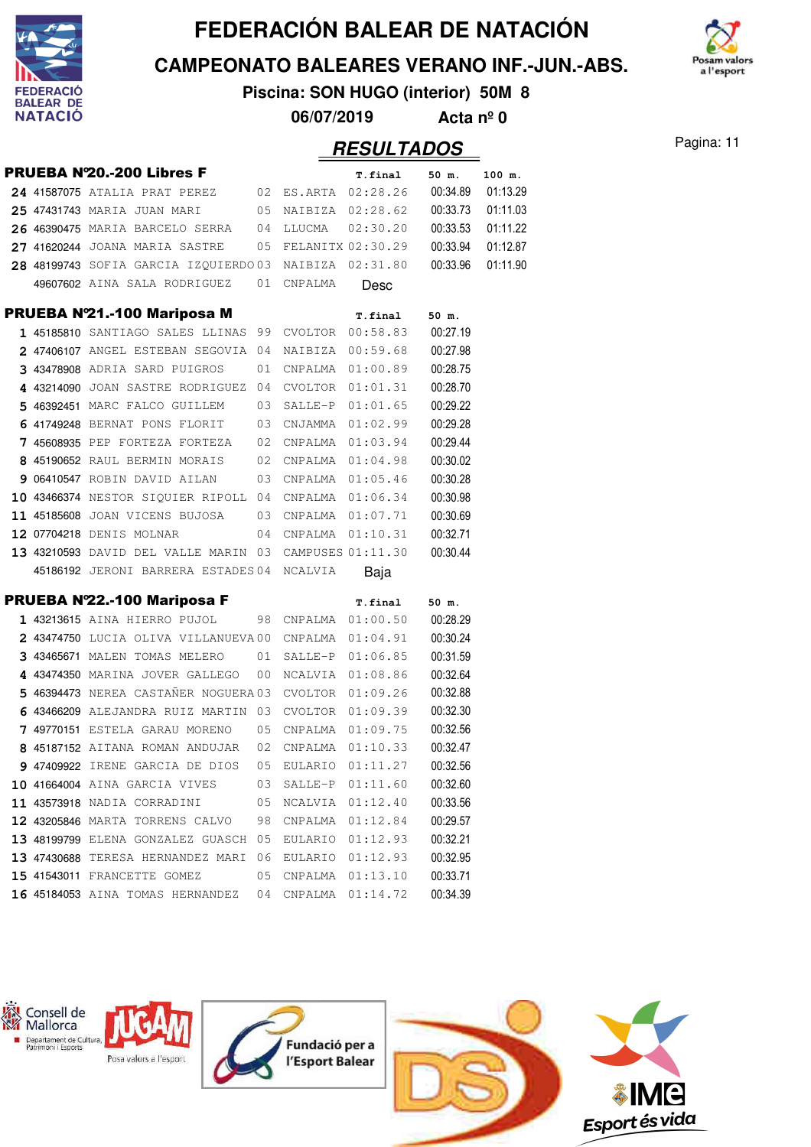

**CAMPEONATO BALEARES VERANO INF.-JUN.-ABS.**

m valors a l'esport

**Piscina: SON HUGO (interior) 50M 8 06/07/2019 Acta nº 0**

#### Pagina: 11 **RESULTADOS**

|  | PRUEBA N'20.-200 Libres F                               |    |                  | T.final             | 50 m.    | 100 m.   |
|--|---------------------------------------------------------|----|------------------|---------------------|----------|----------|
|  |                                                         |    |                  |                     | 00:34.89 | 01:13.29 |
|  | 25 47431743 MARIA JUAN MARI<br>$\overline{05}$          |    |                  | NAIBIZA 02:28.62    | 00:33.73 | 01:11.03 |
|  | 26 46390475 MARIA BARCELO SERRA 04                      |    | LLUCMA           | 02:30.20            | 00:33.53 | 01:11.22 |
|  | $27$ 41620244 JOANA MARIA SASTRE $05$ FELANITX 02:30.29 |    |                  |                     | 00:33.94 | 01:12.87 |
|  | 28 48199743 SOFIA GARCIA IZOUIERDO03 NAIBIZA 02:31.80   |    |                  |                     | 00:33.96 | 01:11.90 |
|  | 49607602 AINA SALA RODRIGUEZ                            | 01 | CNPALMA          | Desc                |          |          |
|  | PRUEBA Nº21.-100 Mariposa M                             |    |                  | T.final             | 50 m.    |          |
|  | 1 45185810 SANTIAGO SALES LLINAS 99                     |    | CVOLTOR          | 00:58.83            | 00:27.19 |          |
|  | 2 47406107 ANGEL ESTEBAN SEGOVIA 04                     |    | NAIBIZA          | 00:59.68            | 00:27.98 |          |
|  | 3 43478908 ADRIA SARD PUIGROS                           | 01 |                  | CNPALMA 01:00.89    | 00:28.75 |          |
|  | 4 43214090 JOAN SASTRE RODRIGUEZ 04                     |    |                  | CVOLTOR 01:01.31    | 00:28.70 |          |
|  | 5 46392451 MARC FALCO GUILLEM                           | 03 | SALLE-P          | 01:01.65            | 00:29.22 |          |
|  | 6 41749248 BERNAT PONS FLORIT 03                        |    |                  | CNJAMMA 01:02.99    | 00:29.28 |          |
|  | 7 45608935 PEP FORTEZA FORTEZA 02                       |    |                  | CNPALMA 01:03.94    | 00:29.44 |          |
|  | 8 45190652 RAUL BERMIN MORAIS 02                        |    |                  | CNPALMA 01:04.98    | 00:30.02 |          |
|  | 9 06410547 ROBIN DAVID AILAN 03                         |    | CNPALMA          | 01:05.46            | 00:30.28 |          |
|  | 10 43466374 NESTOR SIQUIER RIPOLL 04                    |    |                  | CNPALMA 01:06.34    | 00:30.98 |          |
|  | 11 45185608 JOAN VICENS BUJOSA 03                       |    |                  | CNPALMA 01:07.71    | 00:30.69 |          |
|  | 12 07704218 DENIS MOLNAR                                | 04 | CNPALMA 01:10.31 |                     | 00:32.71 |          |
|  | 13 43210593 DAVID DEL VALLE MARIN 03 CAMPUSES 01:11.30  |    |                  |                     | 00:30.44 |          |
|  | 45186192 JERONI BARRERA ESTADES 04                      |    | NCALVIA          | Baja                |          |          |
|  | PRUEBA Nº22.-100 Mariposa F                             |    |                  | T.final             | 50 m.    |          |
|  | 1 43213615 AINA HIERRO PUJOL                            |    |                  | 98 CNPALMA 01:00.50 | 00:28.29 |          |
|  | 2 43474750 LUCIA OLIVA VILLANUEVA00 CNPALMA 01:04.91    |    |                  |                     | 00:30.24 |          |
|  | 3 43465671 MALEN TOMAS MELERO                           | 01 | SALLE-P          | 01:06.85            | 00:31.59 |          |
|  | 4 43474350 MARINA JOVER GALLEGO                         | 00 | NCALVIA          | 01:08.86            | 00:32.64 |          |
|  | 5 46394473 NEREA CASTAÑER NOGUERA 03                    |    | CVOLTOR          | 01:09.26            | 00:32.88 |          |
|  | 6 43466209 ALEJANDRA RUIZ MARTIN 03                     |    |                  | CVOLTOR 01:09.39    | 00:32.30 |          |
|  | 7 49770151 ESTELA GARAU MORENO                          | 05 |                  | CNPALMA 01:09.75    | 00:32.56 |          |
|  | 8 45187152 AITANA ROMAN ANDUJAR                         | 02 | CNPALMA          | 01:10.33            | 00:32.47 |          |
|  | 9 47409922 IRENE GARCIA DE DIOS                         | 05 | EULARIO          | 01:11.27            | 00:32.56 |          |
|  | 10 41664004 AINA GARCIA VIVES                           | 03 | SALLE-P          | 01:11.60            | 00:32.60 |          |
|  | 11 43573918 NADIA CORRADINI                             | 05 | NCALVIA          | 01:12.40            | 00:33.56 |          |
|  | 12 43205846 MARTA TORRENS CALVO                         | 98 | CNPALMA          | 01:12.84            | 00:29.57 |          |
|  | 13 48199799 ELENA GONZALEZ GUASCH                       | 05 | EULARIO          | 01:12.93            | 00:32.21 |          |
|  | 13 47430688 TERESA HERNANDEZ MARI                       | 06 | EULARIO          | 01:12.93            | 00:32.95 |          |
|  | 15 41543011 FRANCETTE GOMEZ                             | 05 | CNPALMA          | 01:13.10            | 00:33.71 |          |
|  | 16 45184053 AINA TOMAS HERNANDEZ                        | 04 | CNPALMA          | 01:14.72            | 00:34.39 |          |

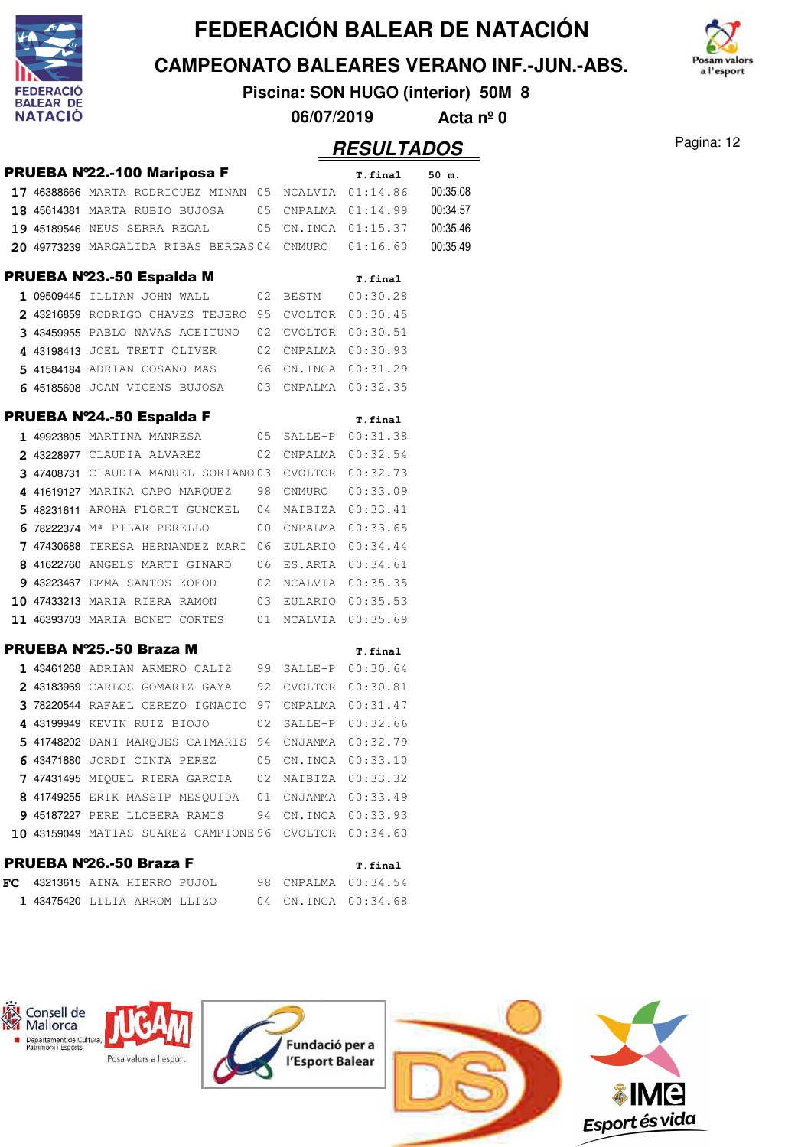

**CAMPEONATO BALEARES VERANO INF.-JUN.-ABS.**

**Piscina: SON HUGO (interior) 50M 8**



**Pagina: 12** Pagina: 12

|  |                                                                                          |    |         | <i><b>RESULTADOS</b></i>      |          |  |
|--|------------------------------------------------------------------------------------------|----|---------|-------------------------------|----------|--|
|  | PRUEBA Nº22.-100 Mariposa F                                                              |    |         | T.final                       | 50 m.    |  |
|  | 17 46388666 MARTA RODRIGUEZ MIÑAN 05 NCALVIA $01:14.86$ 00:35.08                         |    |         |                               |          |  |
|  | 18 45614381 MARTA RUBIO BUJOSA 05 CNPALMA 01:14.99 00:34.57                              |    |         |                               |          |  |
|  | <b>19 45189546</b> NEUS SERRA REGAL                                                      |    |         | 05 CN. INCA 01:15.37 00:35.46 |          |  |
|  | $20$ 49773239 MARGALIDA RIBAS BERGAS 04 CNMURO $01:16.60$                                |    |         |                               | 00:35.49 |  |
|  | PRUEBA Nº23.-50 Espalda M                                                                |    |         | T.final                       |          |  |
|  | 1 09509445 ILLIAN JOHN WALL                                                              |    |         |                               |          |  |
|  | 2 43216859 RODRIGO CHAVES TEJERO 95 CVOLTOR 00:30.45                                     |    |         |                               |          |  |
|  | 3 43459955 PABLO NAVAS ACEITUNO 02 CVOLTOR 00:30.51                                      |    |         |                               |          |  |
|  | 4 43198413 JOEL TRETT OLIVER 02 CNPALMA 00:30.93                                         |    |         |                               |          |  |
|  | 5 41584184 ADRIAN COSANO MAS 96 CN.INCA 00:31.29                                         |    |         |                               |          |  |
|  | 6 45185608 JOAN VICENS BUJOSA 03 CNPALMA 00:32.35                                        |    |         |                               |          |  |
|  | PRUEBA Nº24.-50 Espalda F                                                                |    |         | T.final                       |          |  |
|  | 1 49923805 MARTINA MANRESA 05                                                            |    |         | SALLE-P 00:31.38              |          |  |
|  | 2 43228977 CLAUDIA ALVAREZ                                                               |    |         | 02 CNPALMA 00:32.54           |          |  |
|  | 3 47408731 CLAUDIA MANUEL SORIANO 03 CVOLTOR 00:32.73                                    |    |         |                               |          |  |
|  | 4 41619127 MARINA CAPO MARQUEZ 98 CNMURO 00:33.09                                        |    |         |                               |          |  |
|  | 5 48231611 AROHA FLORIT GUNCKEL 04 NAIBIZA 00:33.41                                      |    |         |                               |          |  |
|  | 6 78222374 Mª PILAR PERELLO                                                              |    |         | 00 CNPALMA 00:33.65           |          |  |
|  | 7 47430688 TERESA HERNANDEZ MARI 06 EULARIO 00:34.44                                     |    |         |                               |          |  |
|  | 8 41622760 ANGELS MARTI GINARD 06 ES.ARTA 00:34.61                                       |    |         |                               |          |  |
|  | 9 43223467 EMMA SANTOS KOFOD 02 NCALVIA 00:35.35                                         |    |         |                               |          |  |
|  | 10 47433213 MARIA RIERA RAMON 03 EULARIO 00:35.53                                        |    |         |                               |          |  |
|  | 11 46393703 MARIA BONET CORTES 01 NCALVIA 00:35.69                                       |    |         |                               |          |  |
|  | PRUEBA Nº25.-50 Braza M                                                                  |    |         | T.final                       |          |  |
|  | 1 43461268 ADRIAN ARMERO CALIZ 99 SALLE-P 00:30.64                                       |    |         |                               |          |  |
|  | 2 43183969 CARLOS GOMARIZ GAYA 92 CVOLTOR 00:30.81                                       |    |         |                               |          |  |
|  | 3 78220544 RAFAEL CEREZO IGNACIO 97 CNPALMA 00:31.47                                     |    |         |                               |          |  |
|  | 4 43199949 KEVIN RUIZ BIOJO                                                              | 02 | SALLE-P | 00:32.66                      |          |  |
|  | 5 41748202 DANI MARQUES CAIMARIS 94                                                      |    |         | CNJAMMA 00:32.79              |          |  |
|  | 6 43471880 JORDI CINTA PEREZ                                                             | 05 |         | CN.INCA 00:33.10              |          |  |
|  | <b>7 47431495</b> MIQUEL RIERA GARCIA                                                    | 02 |         | NAIBIZA 00:33.32              |          |  |
|  | 8 41749255 ERIK MASSIP MESQUIDA 01                                                       |    |         | CNJAMMA 00:33.49              |          |  |
|  | 9 45187227 PERE LLOBERA RAMIS                                                            |    |         | 94 CN.INCA 00:33.93           |          |  |
|  | 10 43159049 MATIAS SUAREZ CAMPIONE 96 CVOLTOR 00:34.60                                   |    |         |                               |          |  |
|  | PRUEBA Nº26.-50 Braza F                                                                  |    |         | T.final                       |          |  |
|  | $\texttt{FC}$ 43213615 AINA HIERRO PUJOL $\qquad \quad$ 98 <code>CNPALMA</code> 00:34.54 |    |         |                               |          |  |
|  | 1 43475420 LILIA ARROM LLIZO 04 CN.INCA 00:34.68                                         |    |         |                               |          |  |

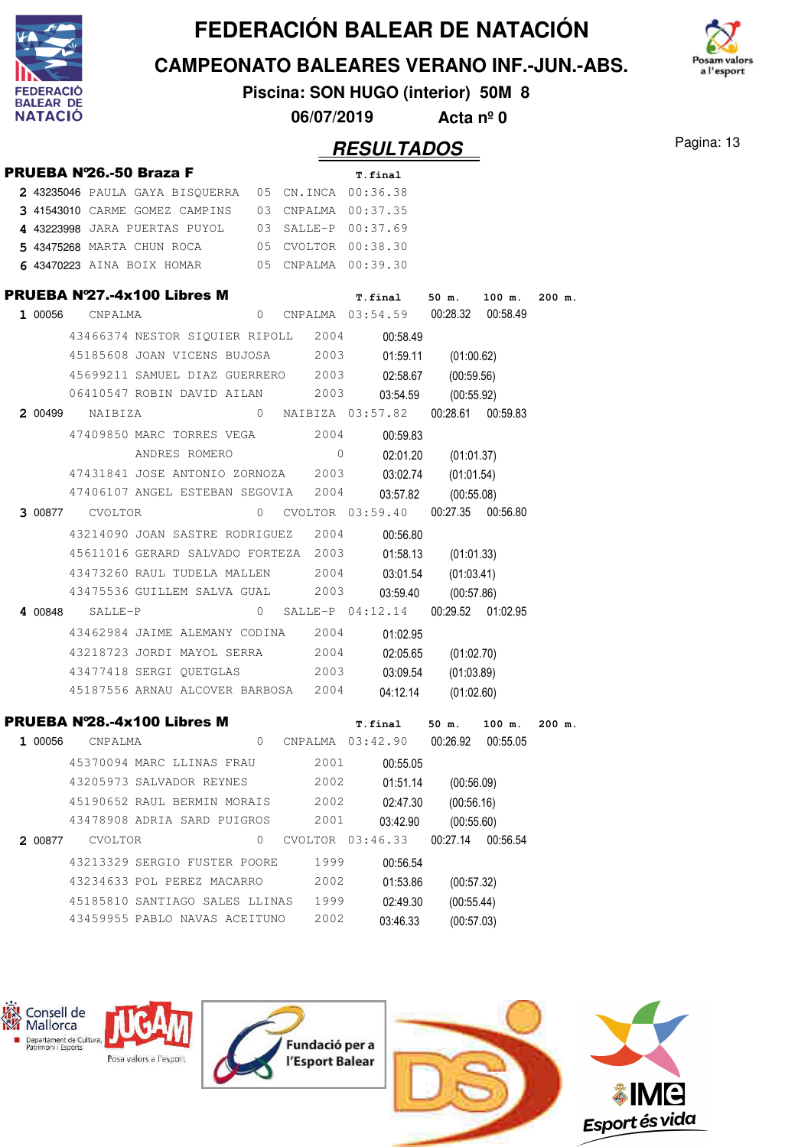

**CAMPEONATO BALEARES VERANO INF.-JUN.-ABS.**



**Piscina: SON HUGO (interior) 50M 8**

**06/07/2019 Acta nº 0**

#### Pagina: 13 **RESULTADOS**

|         |                        |                                                     |          |                     | <i><b>RESULTADOS</b></i> |            |                   |        |
|---------|------------------------|-----------------------------------------------------|----------|---------------------|--------------------------|------------|-------------------|--------|
|         |                        | PRUEBA Nº26.-50 Braza F                             |          |                     | T.final                  |            |                   |        |
|         |                        | 2 43235046 PAULA GAYA BISOUERRA 05 CN.INCA 00:36.38 |          |                     |                          |            |                   |        |
|         |                        | 3 41543010 CARME GOMEZ CAMPINS 03                   |          | CNPALMA 00:37.35    |                          |            |                   |        |
|         |                        | 4 43223998 JARA PUERTAS PUYOL 03 SALLE-P 00:37.69   |          |                     |                          |            |                   |        |
|         |                        | 5 43475268 MARTA CHUN ROCA                          |          | 05 CVOLTOR 00:38.30 |                          |            |                   |        |
|         |                        | 6 43470223 AINA BOIX HOMAR 05 CNPALMA 00:39.30      |          |                     |                          |            |                   |        |
|         |                        | PRUEBA Nº27.-4x100 Libres M                         |          |                     | <b>T.final</b>           | 50 m.      | 100 m.            | 200 m. |
| 1 00056 | CNPALMA                |                                                     | 0        |                     | CNPALMA 03:54.59         |            | 00:28.32 00:58.49 |        |
|         |                        | 43466374 NESTOR SIQUIER RIPOLL 2004                 |          |                     | 00:58.49                 |            |                   |        |
|         |                        | 45185608 JOAN VICENS BUJOSA                         |          | 2003                | 01:59.11                 | (01:00.62) |                   |        |
|         |                        | 45699211 SAMUEL DIAZ GUERRERO 2003                  |          |                     | 02:58.67                 | (00:59.56) |                   |        |
|         |                        | 06410547 ROBIN DAVID AILAN 2003                     |          |                     | 03:54.59                 | (00:55.92) |                   |        |
|         | <b>2 00499</b> NAIBIZA |                                                     | $\Omega$ |                     | NAIBIZA 03:57.82         | 00:28.61   | 00:59.83          |        |
|         |                        | 47409850 MARC TORRES VEGA                           |          | 2004                | 00:59.83                 |            |                   |        |
|         |                        | ANDRES ROMERO                                       |          | $\Omega$            | 02:01.20                 | (01:01.37) |                   |        |
|         |                        | 47431841 JOSE ANTONIO ZORNOZA 2003                  |          |                     | 03:02.74                 | (01:01.54) |                   |        |
|         |                        | 47406107 ANGEL ESTEBAN SEGOVIA 2004                 |          |                     | 03:57.82                 | (00:55.08) |                   |        |
|         | 3 00877 CVOLTOR        |                                                     | 0        |                     | CVOLTOR 03:59.40         |            | 00:27.35 00:56.80 |        |
|         |                        | 43214090 JOAN SASTRE RODRIGUEZ 2004                 |          |                     | 00:56.80                 |            |                   |        |
|         |                        | 45611016 GERARD SALVADO FORTEZA 2003                |          |                     | 01:58.13                 | (01:01.33) |                   |        |
|         |                        | 43473260 RAUL TUDELA MALLEN                         |          | 2004                | 03:01.54                 | (01:03.41) |                   |        |
|         |                        | 43475536 GUILLEM SALVA GUAL                         |          | 2003                | 03:59.40                 | (00:57.86) |                   |        |
| 4 00848 | SALLE-P                |                                                     | 0        |                     | SALLE-P 04:12.14         |            | 00:29.52 01:02.95 |        |
|         |                        | 43462984 JAIME ALEMANY CODINA 2004                  |          |                     | 01:02.95                 |            |                   |        |
|         |                        | 43218723 JORDI MAYOL SERRA 2004                     |          |                     | 02:05.65                 | (01:02.70) |                   |        |
|         |                        | 43477418 SERGI QUETGLAS                             |          | 2003                | 03:09.54                 | (01:03.89) |                   |        |
|         |                        | 45187556 ARNAU ALCOVER BARBOSA 2004                 |          |                     | 04:12.14                 | (01:02.60) |                   |        |
|         |                        |                                                     |          |                     |                          |            |                   |        |
|         |                        | PRUEBA N'28.-4x100 Libres M                         |          |                     | T.final                  | 50 m.      | 100 m.            | 200 m. |
| 1 00056 | CNPALMA                |                                                     | 0        |                     | CNPALMA 03:42.90         | 00:26.92   | 00:55.05          |        |
|         |                        | 45370094 MARC LLINAS FRAU                           |          | 2001                | 00:55.05                 |            |                   |        |
|         |                        | 43205973 SALVADOR REYNES                            |          | 2002                | 01:51.14                 | (00:56.09) |                   |        |
|         |                        | 45190652 RAUL BERMIN MORAIS                         |          | 2002                | 02:47.30                 | (00:56.16) |                   |        |
|         |                        | 43478908 ADRIA SARD PUIGROS                         |          | 2001                | 03:42.90                 | (00:55.60) |                   |        |
| 2 00877 | <b>CVOLTOR</b>         |                                                     | 0        |                     | CVOLTOR 03:46.33         | 00:27.14   | 00:56.54          |        |
|         |                        | 43213329 SERGIO FUSTER POORE                        |          | 1999                | 00:56.54                 |            |                   |        |
|         |                        | 43234633 POL PEREZ MACARRO                          |          | 2002                | 01:53.86                 | (00:57.32) |                   |        |
|         |                        | 45185810 SANTIAGO SALES LLINAS                      |          | 1999                | 02:49.30                 | (00:55.44) |                   |        |
|         |                        | 43459955 PABLO NAVAS ACEITUNO                       |          | 2002                | 03:46.33                 | (00:57.03) |                   |        |
|         |                        |                                                     |          |                     |                          |            |                   |        |

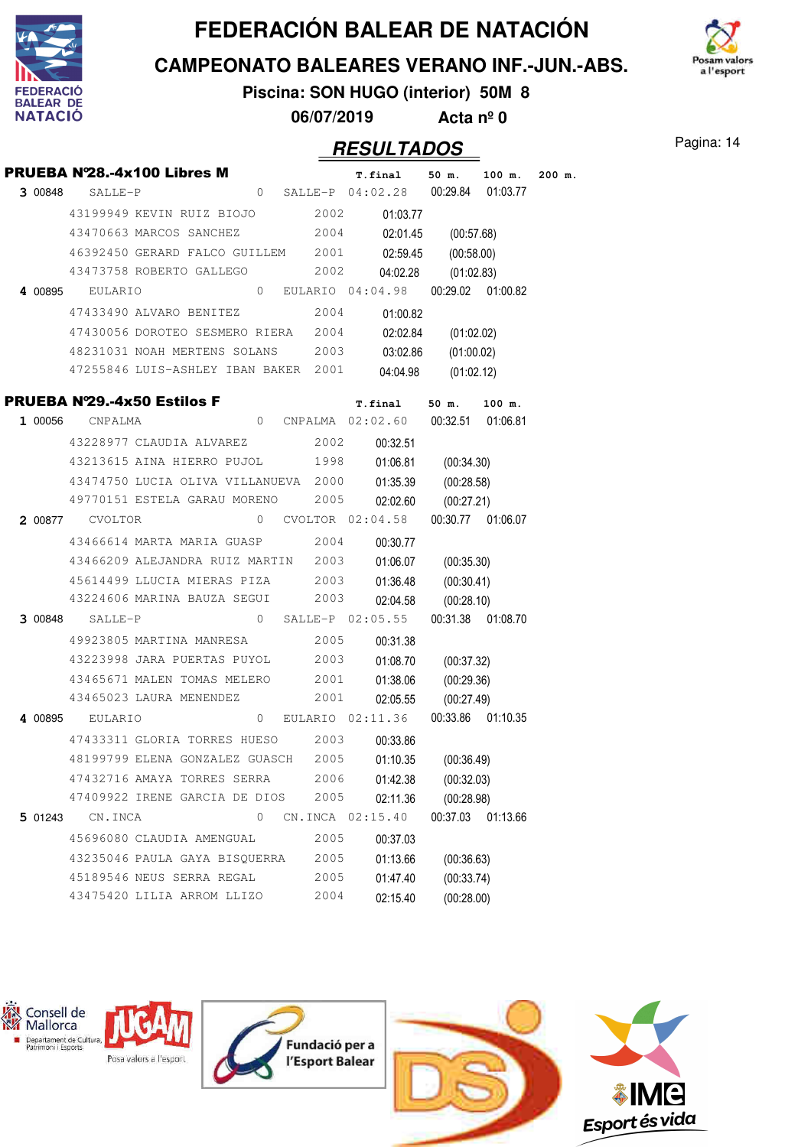

**CAMPEONATO BALEARES VERANO INF.-JUN.-ABS.**



**Piscina: SON HUGO (interior) 50M 8 06/07/2019 Acta nº 0**

### Pagina: 14 **RESULTADOS**

|         |                 | PRUEBA N°28.-4x100 Libres M                              |   |      | T.final                                | 50 m.               | 100 m.            | $200$ m. |
|---------|-----------------|----------------------------------------------------------|---|------|----------------------------------------|---------------------|-------------------|----------|
|         | 3 00848 SALLE-P | 0 SALLE-P 04:02.28 00:29.84 01:03.77                     |   |      |                                        |                     |                   |          |
|         |                 | 43199949 KEVIN RUIZ BIOJO 2002 01:03.77                  |   |      |                                        |                     |                   |          |
|         |                 | 43470663 MARCOS SANCHEZ 2004 02:01.45 (00:57.68)         |   |      |                                        |                     |                   |          |
|         |                 | 46392450 GERARD FALCO GUILLEM 2001 02:59.45              |   |      |                                        | (00:58.00)          |                   |          |
|         |                 | 43473758 ROBERTO GALLEGO 2002                            |   |      | 04:02.28                               | (01:02.83)          |                   |          |
|         |                 | 4 00895 EULARIO 0 EULARIO 04:04.98 00:29.02 01:00.82     |   |      |                                        |                     |                   |          |
|         |                 | 47433490 ALVARO BENITEZ 2004                             |   |      | 01:00.82                               |                     |                   |          |
|         |                 | 47430056 DOROTEO SESMERO RIERA 2004                      |   |      |                                        | 02:02.84 (01:02.02) |                   |          |
|         |                 | 48231031 NOAH MERTENS SOLANS 2003 03:02.86 (01:00.02)    |   |      |                                        |                     |                   |          |
|         |                 | 47255846 LUIS-ASHLEY IBAN BAKER 2001                     |   |      |                                        | 04:04.98 (01:02.12) |                   |          |
|         |                 | PRUEBA Nº29.-4x50 Estilos F                              |   |      | T.final 50 m. 100 m.                   |                     |                   |          |
|         |                 | 1 00056 CNPALMA 02:02.60 00:32.51 01:06.81               |   |      |                                        |                     |                   |          |
|         |                 | 43228977 CLAUDIA ALVAREZ 2002 00:32.51                   |   |      |                                        |                     |                   |          |
|         |                 | 43213615 AINA HIERRO PUJOL 1998 01:06.81 (00:34.30)      |   |      |                                        |                     |                   |          |
|         |                 | 43474750 LUCIA OLIVA VILLANUEVA 2000 01:35.39 (00:28.58) |   |      |                                        |                     |                   |          |
|         |                 | 49770151 ESTELA GARAU MORENO 2005 02:02.60               |   |      |                                        | (00:27.21)          |                   |          |
|         |                 | 2 00877 CVOLTOR 02:04.58 00:30.77 01:06.07               |   |      |                                        |                     |                   |          |
|         |                 | 43466614 MARTA MARIA GUASP 2004 00:30.77                 |   |      |                                        |                     |                   |          |
|         |                 | 43466209 ALEJANDRA RUIZ MARTIN 2003 01:06.07 (00:35.30)  |   |      |                                        |                     |                   |          |
|         |                 | 45614499 LLUCIA MIERAS PIZA 2003 01:36.48                |   |      |                                        | (00:30.41)          |                   |          |
|         |                 | 43224606 MARINA BAUZA SEGUI 2003                         |   |      |                                        | 02:04.58 (00:28.10) |                   |          |
|         | 3 00848 SALLE-P |                                                          |   |      | 0 SALLE-P $02:05.55$ 00:31.38 01:08.70 |                     |                   |          |
|         |                 | 49923805 MARTINA MANRESA 2005 00:31.38                   |   |      |                                        |                     |                   |          |
|         |                 | 43223998 JARA PUERTAS PUYOL 2003 01:08.70 (00:37.32)     |   |      |                                        |                     |                   |          |
|         |                 | 43465671 MALEN TOMAS MELERO 2001 01:38.06                |   |      |                                        | (00:29.36)          |                   |          |
|         |                 | 43465023 LAURA MENENDEZ 2001 02:05.55 (00:27.49)         |   |      |                                        |                     |                   |          |
|         |                 | 4 00895 EULARIO 0 EULARIO 02:11.36 00:33.86 01:10.35     |   |      |                                        |                     |                   |          |
|         |                 | 47433311 GLORIA TORRES HUESO 2003 00:33.86               |   |      |                                        |                     |                   |          |
|         |                 | 48199799 ELENA GONZALEZ GUASCH 2005 01:10.35 (00:36.49)  |   |      |                                        |                     |                   |          |
|         |                 | 47432716 AMAYA TORRES SERRA                              |   | 2006 | 01:42.38                               | (00:32.03)          |                   |          |
|         |                 | 47409922 IRENE GARCIA DE DIOS                            |   | 2005 | 02:11.36                               | (00:28.98)          |                   |          |
| 5 01243 | CN.INCA         |                                                          | 0 |      | CN. INCA 02:15.40                      |                     | 00:37.03 01:13.66 |          |
|         |                 | 45696080 CLAUDIA AMENGUAL                                |   | 2005 | 00:37.03                               |                     |                   |          |
|         |                 | 43235046 PAULA GAYA BISQUERRA                            |   | 2005 | 01:13.66                               | (00:36.63)          |                   |          |
|         |                 | 45189546 NEUS SERRA REGAL                                |   | 2005 | 01:47.40                               | (00:33.74)          |                   |          |
|         |                 | 43475420 LILIA ARROM LLIZO                               |   | 2004 | 02:15.40                               | (00:28.00)          |                   |          |

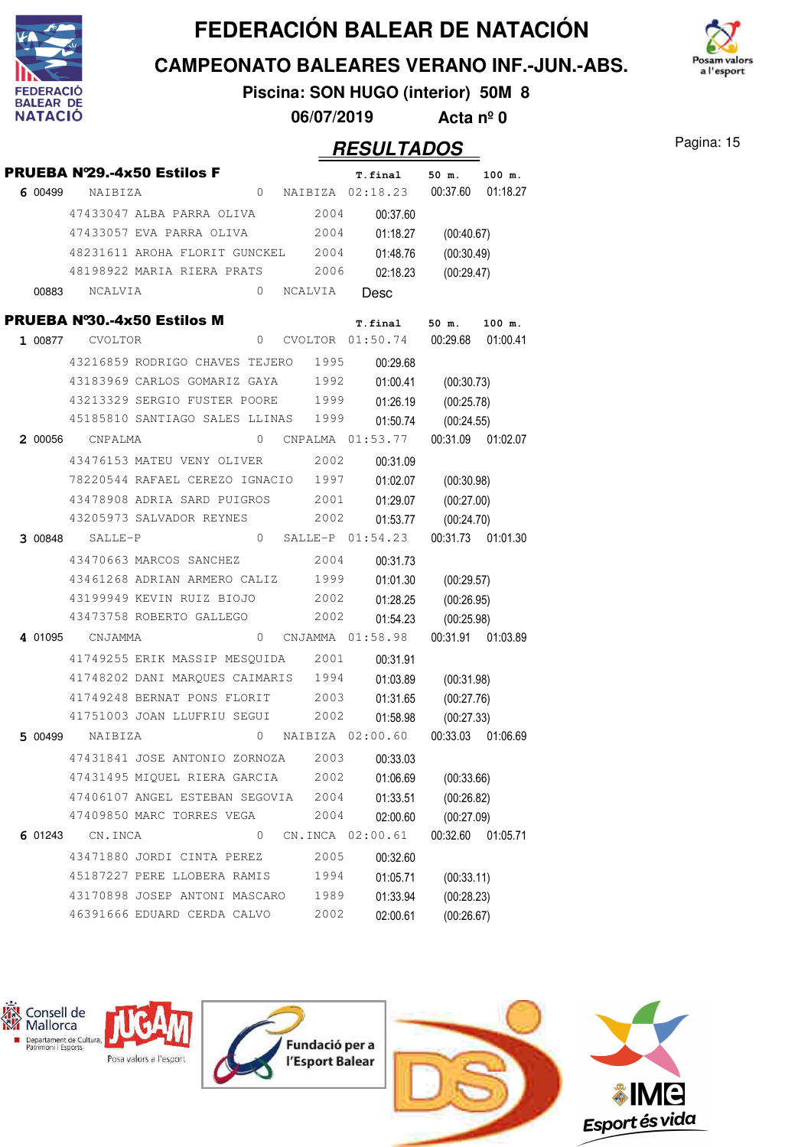

**CAMPEONATO BALEARES VERANO INF.-JUN.-ABS.**

m valors a l'esport

**Piscina: SON HUGO (interior) 50M 8 06/07/2019 Acta nº 0**

|         |                 | PRUEBA Nº29.-4x50 Estilos F        |          |         |      | T.final          | 50 m.      | 100 m.            |
|---------|-----------------|------------------------------------|----------|---------|------|------------------|------------|-------------------|
| 6 00499 | NAIBIZA         |                                    | $\circ$  |         |      | NAIBIZA 02:18.23 | 00:37.60   | 01:18.27          |
|         |                 | 47433047 ALBA PARRA OLIVA          |          |         | 2004 | 00:37.60         |            |                   |
|         |                 | 47433057 EVA PARRA OLIVA           |          |         | 2004 | 01:18.27         | (00:40.67) |                   |
|         |                 | 48231611 AROHA FLORIT GUNCKEL      |          |         | 2004 | 01:48.76         | (00:30.49) |                   |
|         |                 | 48198922 MARIA RIERA PRATS         |          |         | 2006 | 02:18.23         | (00:29.47) |                   |
| 00883   | NCALVIA         |                                    | $\Omega$ | NCALVIA |      | Desc             |            |                   |
|         |                 | <b>PRUEBA N°30.-4x50 Estilos M</b> |          |         |      | T.final          | $50$ m.    | 100 m.            |
| 1 00877 | CVOLTOR         |                                    | $\circ$  |         |      | CVOLTOR 01:50.74 | 00:29.68   | 01:00.41          |
|         |                 | 43216859 RODRIGO CHAVES TEJERO     |          |         | 1995 | 00:29.68         |            |                   |
|         |                 | 43183969 CARLOS GOMARIZ GAYA       |          |         | 1992 | 01:00.41         | (00:30.73) |                   |
|         |                 | 43213329 SERGIO FUSTER POORE       |          |         | 1999 | 01:26.19         | (00:25.78) |                   |
|         |                 | 45185810 SANTIAGO SALES LLINAS     |          |         | 1999 | 01:50.74         | (00:24.55) |                   |
|         | 2 00056 CNPALMA |                                    | $\Omega$ |         |      | CNPALMA 01:53.77 | 00:31.09   | 01:02.07          |
|         |                 | 43476153 MATEU VENY OLIVER         |          |         | 2002 | 00:31.09         |            |                   |
|         |                 | 78220544 RAFAEL CEREZO IGNACIO     |          |         | 1997 | 01:02.07         | (00:30.98) |                   |
|         |                 | 43478908 ADRIA SARD PUIGROS        |          |         | 2001 | 01:29.07         | (00:27.00) |                   |
|         |                 | 43205973 SALVADOR REYNES           |          |         | 2002 | 01:53.77         | (00:24.70) |                   |
| 3 00848 | SALLE-P         |                                    | 0        | SALLE-P |      | 01:54.23         |            | 00:31.73 01:01.30 |
|         |                 | 43470663 MARCOS SANCHEZ            |          |         | 2004 | 00:31.73         |            |                   |
|         |                 | 43461268 ADRIAN ARMERO CALIZ       |          |         | 1999 | 01:01.30         | (00:29.57) |                   |
|         |                 | 43199949 KEVIN RUIZ BIOJO          |          |         | 2002 | 01:28.25         | (00:26.95) |                   |
|         |                 | 43473758 ROBERTO GALLEGO           |          |         | 2002 | 01:54.23         | (00:25.98) |                   |
| 4 01095 | CNJAMMA         |                                    | 0        |         |      | CNJAMMA 01:58.98 |            | 00:31.91 01:03.89 |
|         |                 | 41749255 ERIK MASSIP MESOUIDA      |          |         | 2001 | 00:31.91         |            |                   |
|         |                 | 41748202 DANI MARQUES CAIMARIS     |          |         | 1994 | 01:03.89         | (00:31.98) |                   |
|         |                 | 41749248 BERNAT PONS FLORIT        |          |         | 2003 | 01:31.65         | (00:27.76) |                   |
|         |                 | 41751003 JOAN LLUFRIU SEGUI        |          |         | 2002 | 01:58.98         | (00:27.33) |                   |
| 5 00499 | NAIBIZA         |                                    | $\circ$  |         |      | NAIBIZA 02:00.60 | 00:33.03   | 01:06.69          |
|         |                 | 47431841 JOSE ANTONIO ZORNOZA      |          |         | 2003 | 00:33.03         |            |                   |
|         |                 | 47431495 MIQUEL RIERA GARCIA       |          |         | 2002 | 01:06.69         | (00:33.66) |                   |
|         |                 | 47406107 ANGEL ESTEBAN SEGOVIA     |          |         | 2004 | 01:33.51         | (00:26.82) |                   |
|         |                 | 47409850 MARC TORRES VEGA          |          |         | 2004 | 02:00.60         | (00:27.09) |                   |
| 6 01243 | CN.INCA         |                                    | 0        |         |      | CN.INCA 02:00.61 | 00:32.60   | 01:05.71          |
|         |                 | 43471880 JORDI CINTA PEREZ         |          |         | 2005 | 00:32.60         |            |                   |
|         |                 | 45187227 PERE LLOBERA RAMIS        |          |         | 1994 | 01:05.71         | (00:33.11) |                   |
|         |                 | 43170898 JOSEP ANTONI MASCARO      |          |         | 1989 | 01:33.94         | (00:28.23) |                   |
|         |                 | 46391666 EDUARD CERDA CALVO        |          |         | 2002 | 02:00.61         | (00:26.67) |                   |

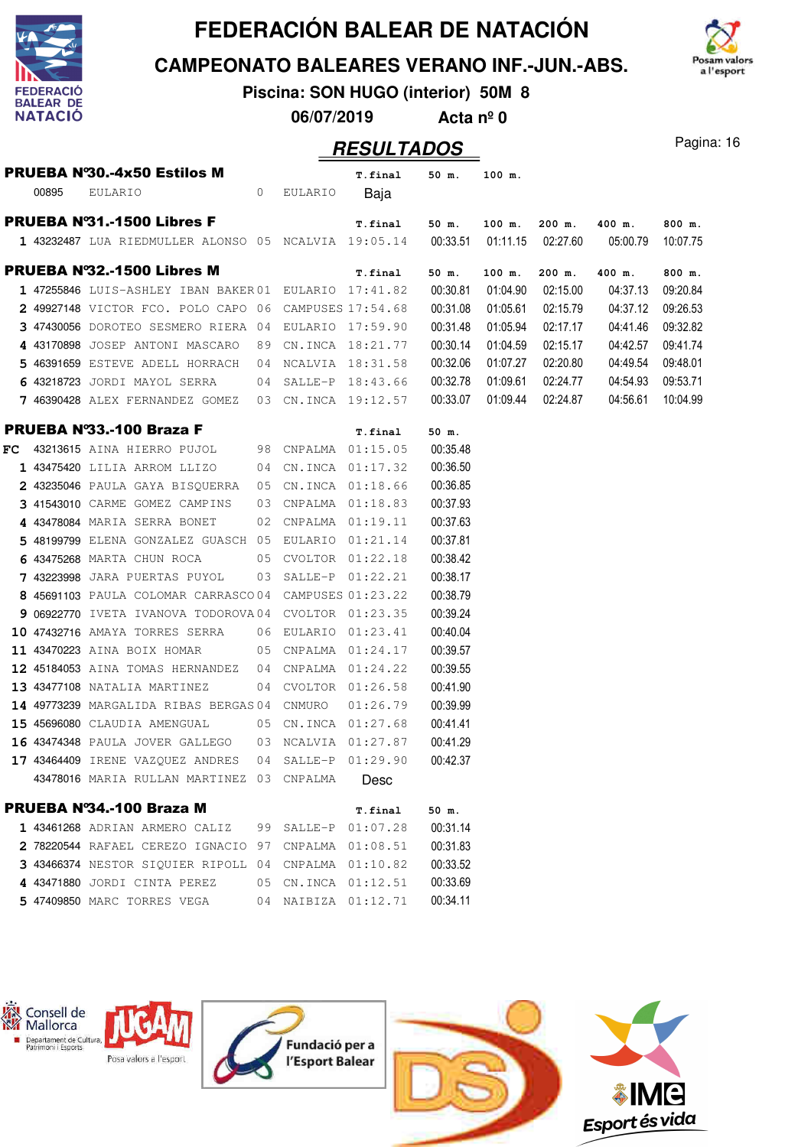





**Piscina: SON HUGO (interior) 50M 8**

**06/07/2019 Acta nº 0**

|       | PRUEBA Nº30.-4x50 Estilos M                                                     |    |                | T.final             | 50 m.    | 100 m.   |                   |          |          |
|-------|---------------------------------------------------------------------------------|----|----------------|---------------------|----------|----------|-------------------|----------|----------|
| 00895 | EULARIO                                                                         |    | 0 EULARIO Baja |                     |          |          |                   |          |          |
|       | PRUEBA N°31.-1500 Libres F                                                      |    |                | T.final             | 50 m.    | 100 m.   | $200$ m.          | 400 m.   | 800 m.   |
|       | 1 43232487 LUA RIEDMULLER ALONSO 05 NCALVIA 19:05.14 00:33.51 01:11.15 02:27.60 |    |                |                     |          |          |                   | 05:00.79 | 10:07.75 |
|       | <b>PRUEBA N°32.-1500 Libres M</b>                                               |    |                | T.final             | 50 m.    | 100 m.   | $200$ m.          | 400 m.   | 800 m.   |
|       | 1 47255846 LUIS-ASHLEY IBAN BAKER01 EULARIO 17:41.82                            |    |                |                     | 00:30.81 | 01:04.90 | 02:15.00          | 04:37.13 | 09:20.84 |
|       | 2 49927148 VICTOR FCO. POLO CAPO 06 CAMPUSES 17:54.68                           |    |                |                     | 00:31.08 | 01:05.61 | 02:15.79          | 04:37.12 | 09:26.53 |
|       | 3 47430056 DOROTEO SESMERO RIERA 04 EULARIO 17:59.90                            |    |                |                     | 00:31.48 | 01:05.94 | 02:17.17          | 04:41.46 | 09:32.82 |
|       | 4 43170898 JOSEP ANTONI MASCARO                                                 | 89 |                | CN.INCA 18:21.77    | 00:30.14 | 01:04.59 | 02:15.17          | 04:42.57 | 09:41.74 |
|       | 5 46391659 ESTEVE ADELL HORRACH 04                                              |    |                | NCALVIA 18:31.58    | 00:32.06 | 01:07.27 | 02:20.80          | 04:49.54 | 09:48.01 |
|       | 6 43218723 JORDI MAYOL SERRA 04 SALLE-P 18:43.66                                |    |                |                     | 00:32.78 | 01:09.61 | 02:24.77          | 04:54.93 | 09:53.71 |
|       | 7 46390428 ALEX FERNANDEZ GOMEZ 03 CN.INCA 19:12.57                             |    |                |                     | 00:33.07 |          | 01:09.44 02:24.87 | 04:56.61 | 10:04.99 |
|       | PRUEBA Nº33.-100 Braza F                                                        |    |                | T.final             | 50 m.    |          |                   |          |          |
|       | FC 43213615 AINA HIERRO PUJOL 98 CNPALMA 01:15.05                               |    |                |                     | 00:35.48 |          |                   |          |          |
|       | 1 43475420 LILIA ARROM LLIZO                                                    |    |                | 04 CN.INCA 01:17.32 | 00:36.50 |          |                   |          |          |
|       | 2 43235046 PAULA GAYA BISQUERRA 05 CN.INCA 01:18.66                             |    |                |                     | 00:36.85 |          |                   |          |          |
|       | 3 41543010 CARME GOMEZ CAMPINS 03 CNPALMA 01:18.83                              |    |                |                     | 00:37.93 |          |                   |          |          |
|       | 4 43478084 MARIA SERRA BONET 02                                                 |    |                | CNPALMA 01:19.11    | 00:37.63 |          |                   |          |          |
|       | 5 48199799 ELENA GONZALEZ GUASCH 05                                             |    |                | EULARIO 01:21.14    | 00:37.81 |          |                   |          |          |
|       | 6 43475268 MARTA CHUN ROCA<br>$\sim$ 0.5                                        |    |                | CVOLTOR 01:22.18    | 00:38.42 |          |                   |          |          |
|       | $743223998$ JARA PUERTAS PUYOL $03$ SALLE-P $01:22.21$                          |    |                |                     | 00:38.17 |          |                   |          |          |
|       | 8 45691103 PAULA COLOMAR CARRASCO04 CAMPUSES 01:23.22                           |    |                |                     | 00:38.79 |          |                   |          |          |
|       | 9 06922770 IVETA IVANOVA TODOROVA04 CVOLTOR 01:23.35                            |    |                |                     | 00:39.24 |          |                   |          |          |
|       | 10 47432716 AMAYA TORRES SERRA 06 EULARIO 01:23.41                              |    |                |                     | 00:40.04 |          |                   |          |          |
|       | 11 43470223 AINA BOIX HOMAR 05 CNPALMA 01:24.17                                 |    |                |                     | 00:39.57 |          |                   |          |          |
|       | 12 45184053 AINA TOMAS HERNANDEZ 04 CNPALMA 01:24.22                            |    |                |                     | 00:39.55 |          |                   |          |          |
|       | 13 43477108 NATALIA MARTINEZ                                                    |    |                | 04 CVOLTOR 01:26.58 | 00:41.90 |          |                   |          |          |
|       | 14 49773239 MARGALIDA RIBAS BERGAS 04                                           |    | CNMURO         | 01:26.79            | 00:39.99 |          |                   |          |          |
|       | 15 45696080 CLAUDIA AMENGUAL                                                    |    |                | 05 CN.INCA 01:27.68 | 00:41.41 |          |                   |          |          |
|       | <b>16 43474348</b> PAULA JOVER GALLEGO 03 NCALVIA 01:27.87                      |    |                |                     | 00:41.29 |          |                   |          |          |
|       | 17 43464409 IRENE VAZQUEZ ANDRES                                                |    |                | 04 SALLE-P 01:29.90 | 00:42.37 |          |                   |          |          |
|       | 43478016 MARIA RULLAN MARTINEZ 03 CNPALMA                                       |    |                | Desc                |          |          |                   |          |          |
|       | PRUEBA Nº34.-100 Braza M                                                        |    |                | T.final             | 50 m.    |          |                   |          |          |
|       | 1 43461268 ADRIAN ARMERO CALIZ                                                  | 99 |                | SALLE-P 01:07.28    | 00:31.14 |          |                   |          |          |
|       | 2 78220544 RAFAEL CEREZO IGNACIO 97                                             |    |                | CNPALMA  01:08.51   | 00:31.83 |          |                   |          |          |
|       | 3 43466374 NESTOR SIOUIER RIPOLL 04                                             |    |                | CNPALMA 01:10.82    | 00:33.52 |          |                   |          |          |
|       | 4 43471880 JORDI CINTA PEREZ                                                    |    |                | 05 CN.INCA 01:12.51 | 00:33.69 |          |                   |          |          |
|       | 5 47409850 MARC TORRES VEGA                                                     |    |                | 04 NAIBIZA 01:12.71 | 00:34.11 |          |                   |          |          |

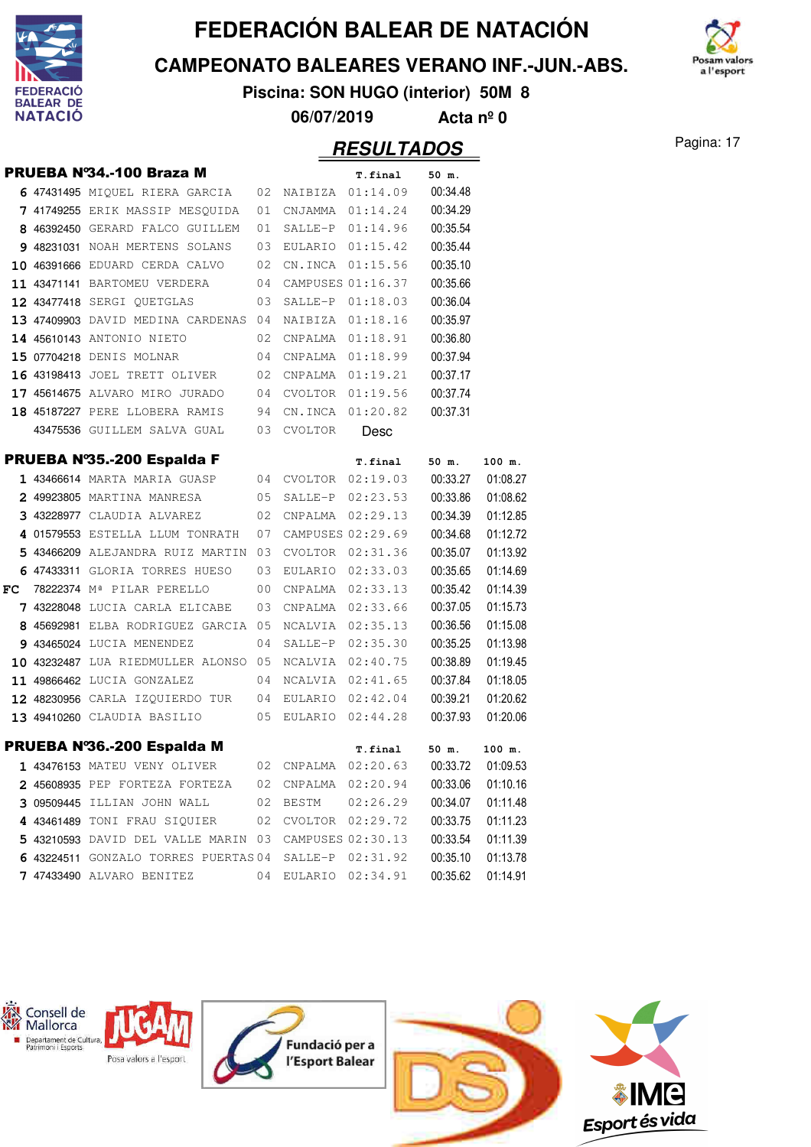

**CAMPEONATO BALEARES VERANO INF.-JUN.-ABS.**



**Piscina: SON HUGO (interior) 50M 8**

**06/07/2019 Acta nº 0**

|    |                                                          |    |                     | .                                     |          |          |
|----|----------------------------------------------------------|----|---------------------|---------------------------------------|----------|----------|
|    | <b>PRUEBA Nº34.-100 Braza M</b>                          |    |                     | T.final                               | 50 m.    |          |
|    | 6 47431495 MIQUEL RIERA GARCIA 02 NAIBIZA 01:14.09       |    |                     |                                       | 00:34.48 |          |
|    | 7 41749255 ERIK MASSIP MESQUIDA 01 CNJAMMA 01:14.24      |    |                     |                                       | 00:34.29 |          |
|    | 8 46392450 GERARD FALCO GUILLEM                          | 01 |                     | SALLE-P 01:14.96                      | 00:35.54 |          |
|    | 9 48231031 NOAH MERTENS SOLANS                           |    |                     | 03 EULARIO 01:15.42                   | 00:35.44 |          |
|    | 10 46391666 EDUARD CERDA CALVO 02 CN.INCA 01:15.56       |    |                     |                                       | 00:35.10 |          |
|    | 11 43471141 BARTOMEU VERDERA 04 CAMPUSES 01:16.37        |    |                     |                                       | 00:35.66 |          |
|    | 12 43477418 SERGI QUETGLAS 03                            |    |                     | SALLE-P 01:18.03                      | 00:36.04 |          |
|    | 13 47409903 DAVID MEDINA CARDENAS 04                     |    |                     | NAIBIZA 01:18.16                      | 00:35.97 |          |
|    | 14 45610143 ANTONIO NIETO 02                             |    |                     |                                       | 00:36.80 |          |
|    | 15 07704218 DENIS MOLNAR                                 |    | 04 CNPALMA 01:18.99 |                                       | 00:37.94 |          |
|    | 16 43198413 JOEL TRETT OLIVER 02 CNPALMA 01:19.21        |    |                     |                                       | 00:37.17 |          |
|    | $17$ 45614675 ALVARO MIRO JURADO $04$ CVOLTOR $01:19.56$ |    |                     |                                       | 00:37.74 |          |
|    | 18 45187227 PERE LLOBERA RAMIS 94 CN.INCA 01:20.82       |    |                     |                                       | 00:37.31 |          |
|    | 43475536 GUILLEM SALVA GUAL 03 CVOLTOR                   |    |                     | Desc                                  |          |          |
|    | <b>PRUEBA N°35.-200 Espalda F</b>                        |    |                     | T.final                               | 50 m.    | 100 m.   |
|    | 1 43466614 MARTA MARIA GUASP 04 CVOLTOR 02:19.03         |    |                     |                                       | 00:33.27 | 01:08.27 |
|    | 2 49923805 MARTINA MANRESA 05 SALLE-P 02:23.53           |    |                     |                                       | 00:33.86 | 01:08.62 |
|    | 3 43228977 CLAUDIA ALVAREZ 02 CNPALMA 02:29.13           |    |                     |                                       | 00:34.39 | 01:12.85 |
|    | 4 01579553 ESTELLA LLUM TONRATH 07                       |    |                     | CAMPUSES 02:29.69                     | 00:34.68 | 01:12.72 |
|    | 5 43466209 ALEJANDRA RUIZ MARTIN 03 CVOLTOR 02:31.36     |    |                     |                                       | 00:35.07 | 01:13.92 |
|    | 6 47433311 GLORIA TORRES HUESO 03 EULARIO 02:33.03       |    |                     |                                       | 00:35.65 | 01:14.69 |
| FC | 78222374 Mª PILAR PERELLO<br>$\sim$ 00                   |    |                     | CNPALMA 02:33.13                      | 00:35.42 | 01:14.39 |
|    | <b>7 43228048</b> LUCIA CARLA ELICABE                    | 03 |                     | CNPALMA 02:33.66                      | 00:37.05 | 01:15.73 |
|    | 8 45692981 ELBA RODRIGUEZ GARCIA 05                      |    |                     | NCALVIA 02:35.13                      | 00:36.56 | 01:15.08 |
|    | 9 43465024 LUCIA MENENDEZ                                |    | 04 SALLE-P 02:35.30 |                                       | 00:35.25 | 01:13.98 |
|    | 10 43232487 LUA RIEDMULLER ALONSO 05 NCALVIA 02:40.75    |    |                     |                                       | 00:38.89 | 01:19.45 |
|    | 11 49866462 LUCIA GONZALEZ 04 NCALVIA 02:41.65           |    |                     |                                       | 00:37.84 | 01:18.05 |
|    | 12 48230956 CARLA IZQUIERDO TUR 04 EULARIO 02:42.04      |    |                     |                                       | 00:39.21 | 01:20.62 |
|    | 13 49410260 CLAUDIA BASILIO 05 EULARIO 02:44.28          |    |                     |                                       | 00:37.93 | 01:20.06 |
|    | PRUEBA Nº36.-200 Espalda M                               |    |                     | T.final                               | 50 m.    | 100 m.   |
|    | 1 43476153 MATEU VENY OLIVER                             |    |                     | 02 CNPALMA 02:20.63 00:33.72 01:09.53 |          |          |
|    | 2 45608935 PEP FORTEZA FORTEZA                           | 02 | CNPALMA             | 02:20.94                              | 00:33.06 | 01:10.16 |
|    | 3 09509445 ILLIAN JOHN WALL                              | 02 | BESTM               | 02:26.29                              | 00:34.07 | 01:11.48 |
|    | 4 43461489 TONI FRAU SIQUIER                             | 02 | CVOLTOR             | 02:29.72                              | 00:33.75 | 01:11.23 |
|    | 5 43210593 DAVID DEL VALLE MARIN 03                      |    |                     | CAMPUSES 02:30.13                     | 00:33.54 | 01:11.39 |
|    | 6 43224511 GONZALO TORRES PUERTAS 04                     |    | SALLE-P             | 02:31.92                              | 00:35.10 | 01:13.78 |
|    | 7 47433490 ALVARO BENITEZ                                | 04 |                     | EULARIO 02:34.91                      | 00:35.62 | 01:14.91 |

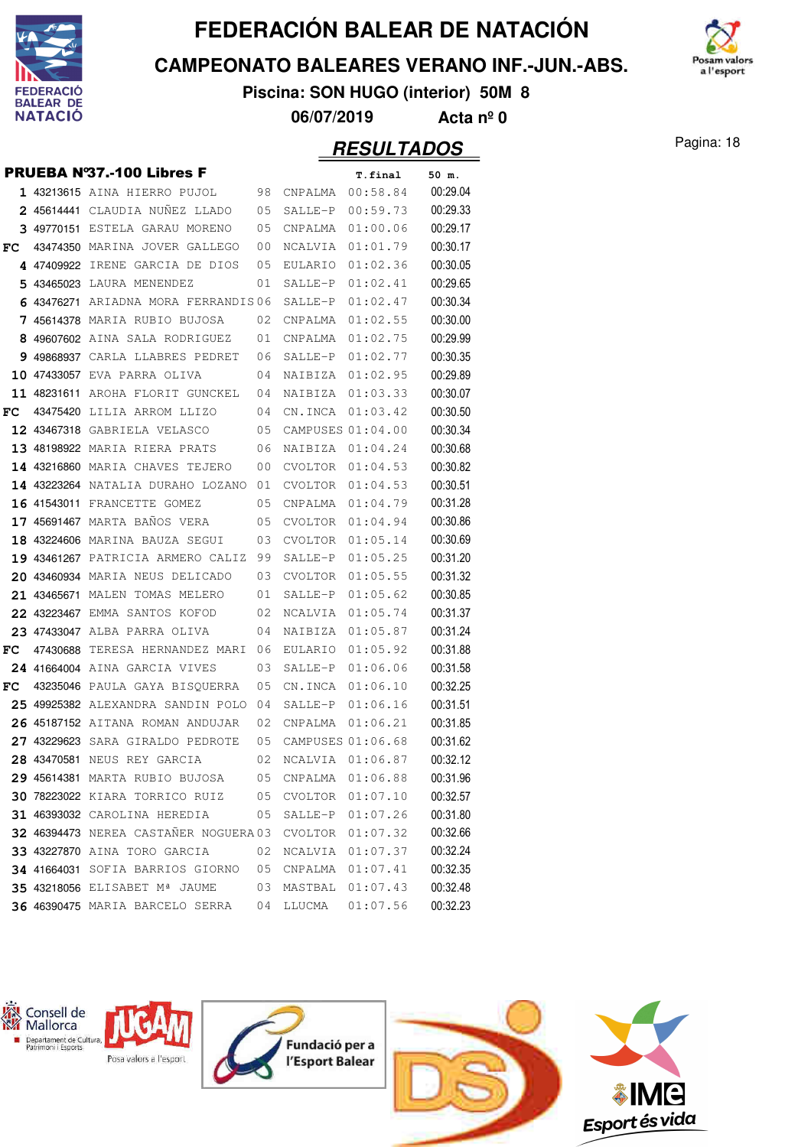

**CAMPEONATO BALEARES VERANO INF.-JUN.-ABS.**



**Piscina: SON HUGO (interior) 50M 8**

**06/07/2019 Acta nº 0**

|    |                                             |    |                      | .                  |          |
|----|---------------------------------------------|----|----------------------|--------------------|----------|
|    | <b>PRUEBA Nº37.-100 Libres F</b>            |    |                      | T.final            | 50 m.    |
|    | <b>1 43213615</b> AINA HIERRO PUJOL 98      |    |                      | CNPALMA 00:58.84   | 00:29.04 |
|    | 2 45614441 CLAUDIA NUNEZ LLADO              | 05 | SALLE-P              | 00:59.73           | 00:29.33 |
|    | 3 49770151 ESTELA GARAU MORENO 05           |    | CNPALMA              | 01:00.06           | 00:29.17 |
| FC | 43474350 MARINA JOVER GALLEGO               | 00 | NCALVIA              | 01:01.79           | 00:30.17 |
|    | 4 47409922 IRENE GARCIA DE DIOS 05          |    |                      | EULARIO 01:02.36   | 00:30.05 |
|    | 5 43465023 LAURA MENENDEZ                   | 01 |                      | $SALLE-P 01:02.41$ | 00:29.65 |
|    | 6 43476271 ARIADNA MORA FERRANDIS06         |    | SALLE-P              | 01:02.47           | 00:30.34 |
|    | <b>7 45614378</b> MARIA RUBIO BUJOSA        | 02 | CNPALMA              | 01:02.55           | 00:30.00 |
|    | 8 49607602 AINA SALA RODRIGUEZ 01           |    | CNPALMA              | 01:02.75           | 00:29.99 |
|    | 9 49868937 CARLA LLABRES PEDRET             | 06 | SALLE-P              | 01:02.77           | 00:30.35 |
|    | 10 47433057 EVA PARRA OLIVA                 | 04 | NAIBIZA 01:02.95     |                    | 00:29.89 |
|    | 11 48231611 AROHA FLORIT GUNCKEL 04         |    | NAIBIZA              | 01:03.33           | 00:30.07 |
| FC | $\sim$ 04<br>43475420 LILIA ARROM LLIZO     |    | CN.INCA              | 01:03.42           | 00:30.50 |
|    | 12 43467318 GABRIELA VELASCO                | 05 | CAMPUSES 01:04.00    |                    | 00:30.34 |
|    | 13 48198922 MARIA RIERA PRATS 06            |    | NAIBIZA 01:04.24     |                    | 00:30.68 |
|    | 14 43216860 MARIA CHAVES TEJERO             | 00 | CVOLTOR              | 01:04.53           | 00:30.82 |
|    | 14 43223264 NATALIA DURAHO LOZANO 01        |    | CVOLTOR              | 01:04.53           | 00:30.51 |
|    | 16 41543011 FRANCETTE GOMEZ                 | 05 | CNPALMA              | 01:04.79           | 00:31.28 |
|    | 17 45691467 MARTA BAÑOS VERA                | 05 | CVOLTOR $01:04.94$   |                    | 00:30.86 |
|    | 18 43224606 MARINA BAUZA SEGUI<br>03        |    | CVOLTOR              | 01:05.14           | 00:30.69 |
|    | <b>19 43461267</b> PATRICIA ARMERO CALIZ 99 |    | SALLE-P              | 01:05.25           | 00:31.20 |
|    | <b>20 43460934 MARIA NEUS DELICADO</b> 03   |    |                      | CVOLTOR 01:05.55   | 00:31.32 |
|    | 21 43465671 MALEN TOMAS MELERO              | 01 |                      | SALLE-P 01:05.62   | 00:30.85 |
|    | 22 43223467 EMMA SANTOS KOFOD 02            |    | NCALVIA              | 01:05.74           | 00:31.37 |
|    | 23 47433047 ALBA PARRA OLIVA                | 04 | NAIBIZA              | 01:05.87           | 00:31.24 |
| FC | 47430688 TERESA HERNANDEZ MARI 06           |    | EULARIO              | 01:05.92           | 00:31.88 |
|    | 24 41664004 AINA GARCIA VIVES               | 03 | SALLE-P              | 01:06.06           | 00:31.58 |
| FC | 43235046 PAULA GAYA BISOUERRA               | 05 |                      | CN.INCA 01:06.10   | 00:32.25 |
|    | 25 49925382 ALEXANDRA SANDIN POLO 04        |    | SALLE-P              | 01:06.16           | 00:31.51 |
|    | 26 45187152 AITANA ROMAN ANDUJAR            | 02 |                      | CNPALMA 01:06.21   | 00:31.85 |
|    | 27 43229623 SARA GIRALDO PEDROTE            |    | 05 CAMPUSES 01:06.68 |                    | 00:31.62 |
|    | 28 43470581 NEUS REY GARCIA                 | 02 | NCALVIA              | 01:06.87           | 00:32.12 |
|    | 29 45614381 MARTA RUBIO BUJOSA              | 05 | CNPALMA              | 01:06.88           | 00:31.96 |
|    | 30 78223022 KIARA TORRICO RUIZ              | 05 | CVOLTOR              | 01:07.10           | 00:32.57 |
|    | 31 46393032 CAROLINA HEREDIA                | 05 |                      | SALLE-P 01:07.26   | 00:31.80 |
|    | 32 46394473 NEREA CASTAÑER NOGUERA 03       |    | CVOLTOR              | 01:07.32           | 00:32.66 |
|    | 33 43227870 AINA TORO GARCIA                | 02 | NCALVIA              | 01:07.37           | 00:32.24 |
|    | 34 41664031 SOFIA BARRIOS GIORNO            | 05 | CNPALMA              | 01:07.41           | 00:32.35 |
|    | 35 43218056 ELISABET Mª JAUME               | 03 | MASTBAL              | 01:07.43           | 00:32.48 |
|    | 36 46390475 MARIA BARCELO SERRA             | 04 | LLUCMA               | 01:07.56           | 00:32.23 |
|    |                                             |    |                      |                    |          |

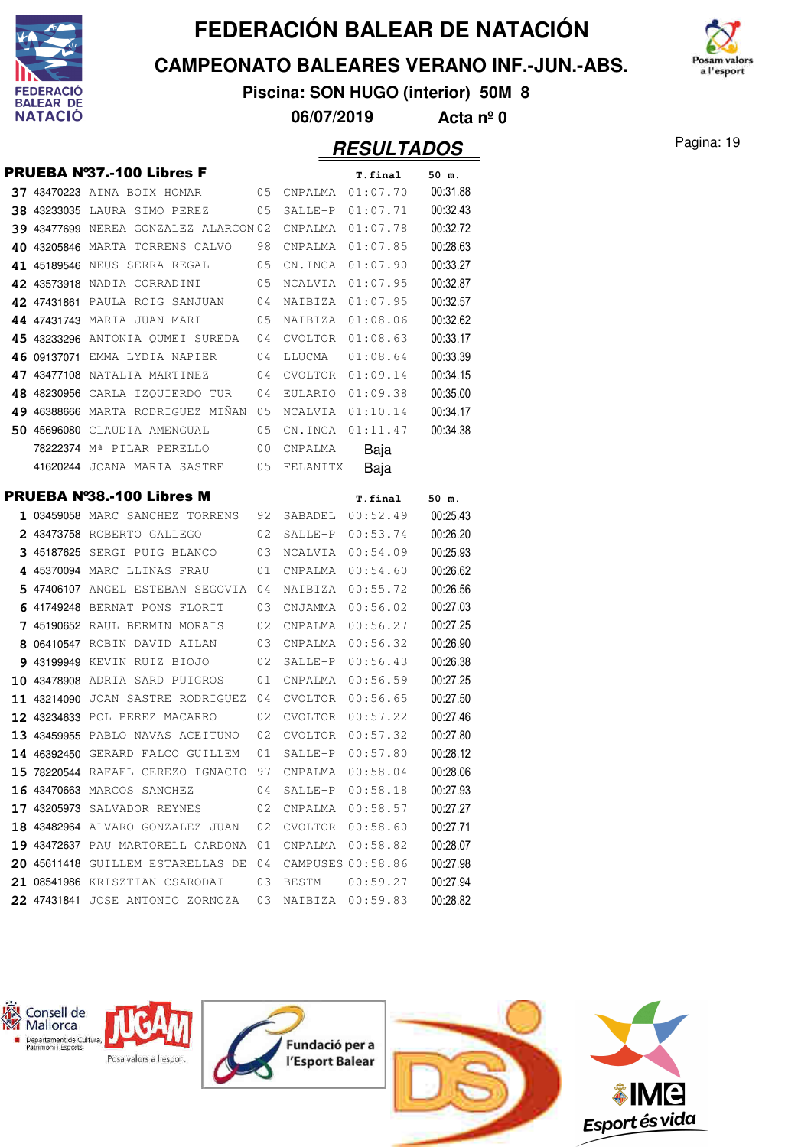

#### **CAMPEONATO BALEARES VERANO INF.-JUN.-ABS.**



**Piscina: SON HUGO (interior) 50M 8**

**06/07/2019 Acta nº 0**

#### Pagina: 19 **RESULTADOS**

| <b>PRUEBA Nº37.-100 Libres F</b><br>37 43470223 AINA BOIX HOMAR<br><b>38 43233035 LAURA SIMO PEREZ</b><br>39 43477699 NEREA GONZALEZ ALARCON 02<br>40 43205846 MARTA TORRENS CALVO<br>41 45189546 NEUS SERRA REGAL<br>42 43573918 NADIA CORRADINI<br>42 47431861 PAULA ROIG SANJUAN<br>44 47431743 MARIA JUAN MARI<br>45 43233296 ANTONIA OUMEI SUREDA<br>46 09137071<br>EMMA LYDIA NAPIER<br>47 43477108 NATALIA MARTINEZ<br>48 48230956 CARLA IZQUIERDO TUR<br>49 46388666 MARTA RODRIGUEZ MINAN<br>50 45696080<br>CLAUDIA AMENGUAL | 05<br>05<br>98<br>05<br>05<br>04<br>05<br>04<br>04<br>04<br>04<br>05<br>05 | CNPALMA<br>SALLE-P<br>CNPALMA<br>CNPALMA<br>CN.INCA<br>NCALVIA<br>NAIBIZA<br>NAIBIZA<br>CVOLTOR<br>LLUCMA<br>CVOLTOR<br>EULARIO<br>NCALVIA | T.final<br>01:07.70<br>01:07.71<br>01:07.78<br>01:07.85<br>01:07.90<br>01:07.95<br>01:07.95<br>01:08.06<br>01:08.63<br>01:08.64<br>01:09.14<br>01:09.38 | 50 m.<br>00:31.88<br>00:32.43<br>00:32.72<br>00:28.63<br>00:33.27<br>00:32.87<br>00:32.57<br>00:32.62<br>00:33.17<br>00:33.39<br>00:34.15<br>00:35.00 |
|---------------------------------------------------------------------------------------------------------------------------------------------------------------------------------------------------------------------------------------------------------------------------------------------------------------------------------------------------------------------------------------------------------------------------------------------------------------------------------------------------------------------------------------|----------------------------------------------------------------------------|--------------------------------------------------------------------------------------------------------------------------------------------|---------------------------------------------------------------------------------------------------------------------------------------------------------|-------------------------------------------------------------------------------------------------------------------------------------------------------|
|                                                                                                                                                                                                                                                                                                                                                                                                                                                                                                                                       |                                                                            |                                                                                                                                            |                                                                                                                                                         |                                                                                                                                                       |
|                                                                                                                                                                                                                                                                                                                                                                                                                                                                                                                                       |                                                                            |                                                                                                                                            |                                                                                                                                                         |                                                                                                                                                       |
|                                                                                                                                                                                                                                                                                                                                                                                                                                                                                                                                       |                                                                            |                                                                                                                                            |                                                                                                                                                         |                                                                                                                                                       |
|                                                                                                                                                                                                                                                                                                                                                                                                                                                                                                                                       |                                                                            |                                                                                                                                            |                                                                                                                                                         |                                                                                                                                                       |
|                                                                                                                                                                                                                                                                                                                                                                                                                                                                                                                                       |                                                                            |                                                                                                                                            |                                                                                                                                                         |                                                                                                                                                       |
|                                                                                                                                                                                                                                                                                                                                                                                                                                                                                                                                       |                                                                            |                                                                                                                                            |                                                                                                                                                         |                                                                                                                                                       |
|                                                                                                                                                                                                                                                                                                                                                                                                                                                                                                                                       |                                                                            |                                                                                                                                            |                                                                                                                                                         |                                                                                                                                                       |
|                                                                                                                                                                                                                                                                                                                                                                                                                                                                                                                                       |                                                                            |                                                                                                                                            |                                                                                                                                                         |                                                                                                                                                       |
|                                                                                                                                                                                                                                                                                                                                                                                                                                                                                                                                       |                                                                            |                                                                                                                                            |                                                                                                                                                         |                                                                                                                                                       |
|                                                                                                                                                                                                                                                                                                                                                                                                                                                                                                                                       |                                                                            |                                                                                                                                            |                                                                                                                                                         |                                                                                                                                                       |
|                                                                                                                                                                                                                                                                                                                                                                                                                                                                                                                                       |                                                                            |                                                                                                                                            |                                                                                                                                                         |                                                                                                                                                       |
|                                                                                                                                                                                                                                                                                                                                                                                                                                                                                                                                       |                                                                            |                                                                                                                                            |                                                                                                                                                         |                                                                                                                                                       |
|                                                                                                                                                                                                                                                                                                                                                                                                                                                                                                                                       |                                                                            |                                                                                                                                            |                                                                                                                                                         |                                                                                                                                                       |
|                                                                                                                                                                                                                                                                                                                                                                                                                                                                                                                                       |                                                                            |                                                                                                                                            | 01:10.14                                                                                                                                                | 00:34.17                                                                                                                                              |
|                                                                                                                                                                                                                                                                                                                                                                                                                                                                                                                                       |                                                                            | CN.INCA                                                                                                                                    | 01:11.47                                                                                                                                                | 00:34.38                                                                                                                                              |
| 78222374 Mª PILAR PERELLO                                                                                                                                                                                                                                                                                                                                                                                                                                                                                                             | 00                                                                         | CNPALMA                                                                                                                                    | Baja                                                                                                                                                    |                                                                                                                                                       |
| 41620244 JOANA MARIA SASTRE                                                                                                                                                                                                                                                                                                                                                                                                                                                                                                           | 05                                                                         | FELANITX                                                                                                                                   | Baja                                                                                                                                                    |                                                                                                                                                       |
| <b>PRUEBA Nº38.-100 Libres M</b>                                                                                                                                                                                                                                                                                                                                                                                                                                                                                                      |                                                                            |                                                                                                                                            | T.final                                                                                                                                                 | 50 m.                                                                                                                                                 |
| 1 03459058 MARC SANCHEZ TORRENS                                                                                                                                                                                                                                                                                                                                                                                                                                                                                                       | 92                                                                         | SABADEL                                                                                                                                    | 00:52.49                                                                                                                                                | 00:25.43                                                                                                                                              |
| 2 43473758 ROBERTO GALLEGO                                                                                                                                                                                                                                                                                                                                                                                                                                                                                                            | 02                                                                         | SALLE-P                                                                                                                                    | 00:53.74                                                                                                                                                | 00:26.20                                                                                                                                              |
| 3 45187625 SERGI PUIG BLANCO                                                                                                                                                                                                                                                                                                                                                                                                                                                                                                          | 03                                                                         | NCALVIA                                                                                                                                    | 00:54.09                                                                                                                                                | 00:25.93                                                                                                                                              |
| 4 45370094 MARC LLINAS FRAU                                                                                                                                                                                                                                                                                                                                                                                                                                                                                                           | 01                                                                         | CNPALMA                                                                                                                                    | 00:54.60                                                                                                                                                | 00:26.62                                                                                                                                              |
| 5 47406107 ANGEL ESTEBAN SEGOVIA                                                                                                                                                                                                                                                                                                                                                                                                                                                                                                      | 04                                                                         | NAIBIZA                                                                                                                                    | 00:55.72                                                                                                                                                | 00:26.56                                                                                                                                              |
| 6 41749248 BERNAT PONS FLORIT                                                                                                                                                                                                                                                                                                                                                                                                                                                                                                         | 03                                                                         | CNJAMMA                                                                                                                                    | 00:56.02                                                                                                                                                | 00:27.03                                                                                                                                              |
| 7 45190652 RAUL BERMIN MORAIS                                                                                                                                                                                                                                                                                                                                                                                                                                                                                                         | 02                                                                         | CNPALMA                                                                                                                                    | 00:56.27                                                                                                                                                | 00:27.25                                                                                                                                              |
| 8 06410547 ROBIN DAVID AILAN                                                                                                                                                                                                                                                                                                                                                                                                                                                                                                          | 03                                                                         | CNPALMA                                                                                                                                    | 00:56.32                                                                                                                                                | 00:26.90                                                                                                                                              |
| 9 43199949 KEVIN RUIZ BIOJO                                                                                                                                                                                                                                                                                                                                                                                                                                                                                                           | 02                                                                         | SALLE-P                                                                                                                                    | 00:56.43                                                                                                                                                | 00:26.38                                                                                                                                              |
| 10 43478908 ADRIA SARD PUIGROS                                                                                                                                                                                                                                                                                                                                                                                                                                                                                                        | 01                                                                         | CNPALMA                                                                                                                                    | 00:56.59                                                                                                                                                | 00:27.25                                                                                                                                              |
| 11 43214090<br>JOAN SASTRE RODRIGUEZ                                                                                                                                                                                                                                                                                                                                                                                                                                                                                                  | 04                                                                         | CVOLTOR                                                                                                                                    | 00:56.65                                                                                                                                                | 00:27.50                                                                                                                                              |
| 12 43234633 POL PEREZ MACARRO                                                                                                                                                                                                                                                                                                                                                                                                                                                                                                         | 02                                                                         | <b>CVOLTOR</b>                                                                                                                             | 00:57.22                                                                                                                                                | 00:27.46                                                                                                                                              |
| 13 43459955 PABLO NAVAS ACEITUNO                                                                                                                                                                                                                                                                                                                                                                                                                                                                                                      | 02                                                                         | CVOLTOR                                                                                                                                    | 00:57.32                                                                                                                                                | 00:27.80                                                                                                                                              |
| 14 46392450 GERARD FALCO GUILLEM                                                                                                                                                                                                                                                                                                                                                                                                                                                                                                      | 01                                                                         | SALLE-P                                                                                                                                    | 00:57.80                                                                                                                                                | 00:28.12                                                                                                                                              |
| 15 78220544 RAFAEL CEREZO IGNACIO 97                                                                                                                                                                                                                                                                                                                                                                                                                                                                                                  |                                                                            | CNPALMA                                                                                                                                    | 00:58.04                                                                                                                                                | 00:28.06                                                                                                                                              |
| 16 43470663 MARCOS SANCHEZ                                                                                                                                                                                                                                                                                                                                                                                                                                                                                                            | 04                                                                         | SALLE-P                                                                                                                                    | 00:58.18                                                                                                                                                | 00:27.93                                                                                                                                              |
| 17 43205973 SALVADOR REYNES                                                                                                                                                                                                                                                                                                                                                                                                                                                                                                           | 02                                                                         | CNPALMA                                                                                                                                    | 00:58.57                                                                                                                                                | 00:27.27                                                                                                                                              |
| 18 43482964 ALVARO GONZALEZ JUAN                                                                                                                                                                                                                                                                                                                                                                                                                                                                                                      | 02                                                                         |                                                                                                                                            | CVOLTOR 00:58.60                                                                                                                                        | 00:27.71                                                                                                                                              |
| 19 43472637 PAU MARTORELL CARDONA                                                                                                                                                                                                                                                                                                                                                                                                                                                                                                     | 01                                                                         | CNPALMA                                                                                                                                    | 00:58.82                                                                                                                                                | 00:28.07                                                                                                                                              |
| 20 45611418 GUILLEM ESTARELLAS DE                                                                                                                                                                                                                                                                                                                                                                                                                                                                                                     | 04                                                                         |                                                                                                                                            | CAMPUSES 00:58.86                                                                                                                                       | 00:27.98                                                                                                                                              |
| 21 08541986 KRISZTIAN CSARODAI                                                                                                                                                                                                                                                                                                                                                                                                                                                                                                        | 03                                                                         | BESTM                                                                                                                                      | 00:59.27                                                                                                                                                | 00:27.94                                                                                                                                              |
| 22 47431841 JOSE ANTONIO ZORNOZA                                                                                                                                                                                                                                                                                                                                                                                                                                                                                                      | 03                                                                         | NAIBIZA                                                                                                                                    | 00:59.83                                                                                                                                                | 00:28.82                                                                                                                                              |

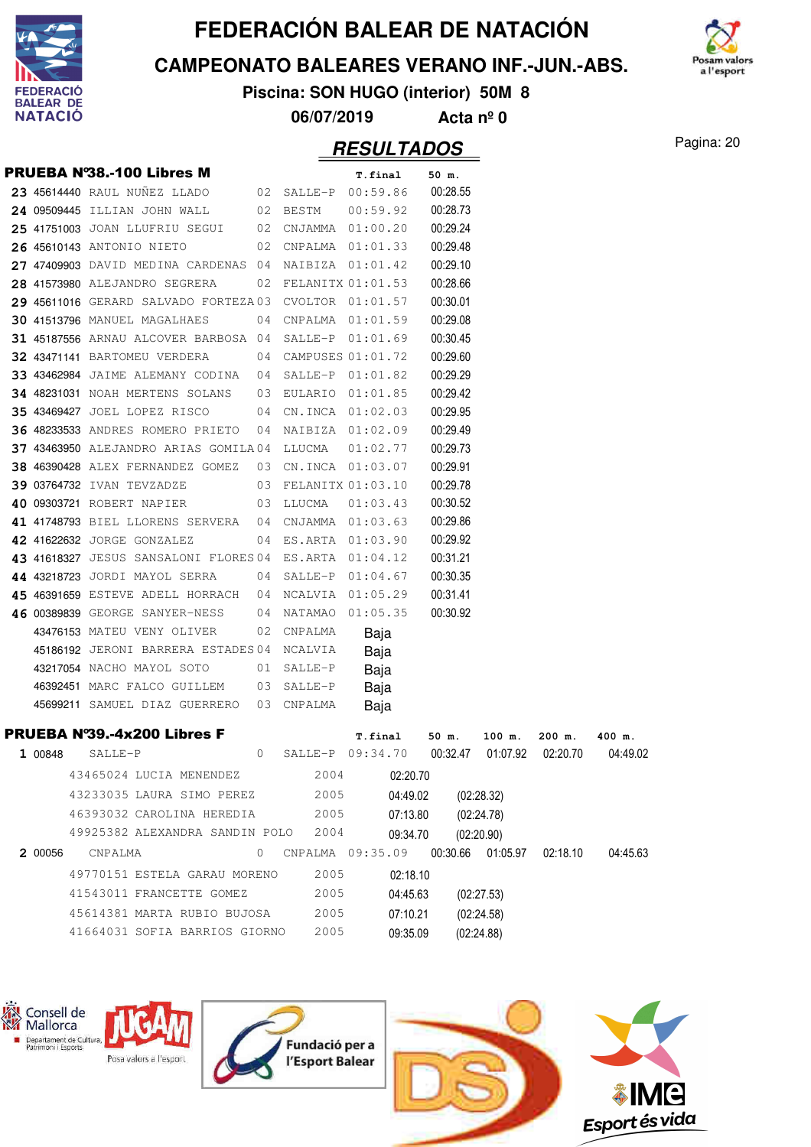

#### **CAMPEONATO BALEARES VERANO INF.-JUN.-ABS.**



**Piscina: SON HUGO (interior) 50M 8**

**06/07/2019 Acta nº 0**

|         | <b>PRUEBA N°38.-100 Libres M</b>                      |    |            | T.final                                       | 50 m.               |            |          |          |
|---------|-------------------------------------------------------|----|------------|-----------------------------------------------|---------------------|------------|----------|----------|
|         | 23 45614440 RAUL NUÑEZ LLADO                          |    |            | 02 SALLE-P 00:59.86                           | 00:28.55            |            |          |          |
|         | 24 09509445 ILLIAN JOHN WALL                          |    | 02 BESTM   | 00:59.92                                      | 00:28.73            |            |          |          |
|         | 25 41751003 JOAN LLUFRIU SEGUI                        |    | 02 CNJAMMA | 01:00.20                                      | 00:29.24            |            |          |          |
|         | 26 45610143 ANTONIO NIETO                             |    | 02 CNPALMA | 01:01.33                                      | 00:29.48            |            |          |          |
|         | 27 47409903 DAVID MEDINA CARDENAS 04 NAIBIZA 01:01.42 |    |            |                                               | 00:29.10            |            |          |          |
|         | 28 41573980 ALEJANDRO SEGRERA                         | 02 |            | FELANITX 01:01.53                             | 00:28.66            |            |          |          |
|         | 29 45611016 GERARD SALVADO FORTEZA 03                 |    |            | CVOLTOR 01:01.57                              | 00:30.01            |            |          |          |
|         | 30 41513796 MANUEL MAGALHAES                          |    |            | 04 CNPALMA 01:01.59                           | 00:29.08            |            |          |          |
|         | 31 45187556 ARNAU ALCOVER BARBOSA 04 SALLE-P 01:01.69 |    |            |                                               | 00:30.45            |            |          |          |
|         | <b>32 43471141 BARTOMEU VERDERA</b>                   |    |            | 04 CAMPUSES 01:01.72                          | 00:29.60            |            |          |          |
|         | 33 43462984 JAIME ALEMANY CODINA                      | 04 | SALLE-P    | 01:01.82                                      | 00:29.29            |            |          |          |
|         | 34 48231031 NOAH MERTENS SOLANS                       | 03 | EULARIO    | 01:01.85                                      | 00:29.42            |            |          |          |
|         | 35 43469427 JOEL LOPEZ RISCO                          | 04 |            | CN.INCA 01:02.03                              | 00:29.95            |            |          |          |
|         | <b>36 48233533 ANDRES ROMERO PRIETO</b>               | 04 |            | NAIBIZA 01:02.09                              | 00:29.49            |            |          |          |
|         | 37 43463950 ALEJANDRO ARIAS GOMILA04                  |    | LLUCMA     | 01:02.77                                      | 00:29.73            |            |          |          |
|         | 38 46390428 ALEX FERNANDEZ GOMEZ                      | 03 |            | CN.INCA 01:03.07                              | 00:29.91            |            |          |          |
|         | 39 03764732 IVAN TEVZADZE                             |    |            | 03 FELANITX 01:03.10                          | 00:29.78            |            |          |          |
|         | 40 09303721 ROBERT NAPIER                             | 03 | LLUCMA     | 01:03.43                                      | 00:30.52            |            |          |          |
|         | 41 41748793 BIEL LLORENS SERVERA 04                   |    |            | CNJAMMA 01:03.63                              | 00:29.86            |            |          |          |
|         | 42 41622632 JORGE GONZALEZ                            | 04 | ES.ARTA    | 01:03.90                                      | 00:29.92            |            |          |          |
|         | 43 41618327 JESUS SANSALONI FLORES 04 ES.ARTA         |    |            | 01:04.12                                      | 00:31.21            |            |          |          |
|         | 44 43218723 JORDI MAYOL SERRA                         | 04 |            | SALLE-P 01:04.67                              | 00:30.35            |            |          |          |
|         | 45 46391659 ESTEVE ADELL HORRACH                      | 04 | NCALVIA    | 01:05.29                                      | 00:31.41            |            |          |          |
|         | 46 00389839 GEORGE SANYER-NESS                        | 04 | NATAMAO    | 01:05.35                                      | 00:30.92            |            |          |          |
|         | 43476153 MATEU VENY OLIVER                            | 02 | CNPALMA    | Baja                                          |                     |            |          |          |
|         | 45186192 JERONI BARRERA ESTADES 04 NCALVIA            |    |            | Baja                                          |                     |            |          |          |
|         | 43217054 NACHO MAYOL SOTO                             | 01 | SALLE-P    | Baja                                          |                     |            |          |          |
|         | 46392451 MARC FALCO GUILLEM                           | 03 | SALLE-P    | Baja                                          |                     |            |          |          |
|         | 45699211 SAMUEL DIAZ GUERRERO                         |    | 03 CNPALMA | Baja                                          |                     |            |          |          |
|         | <b>PRUEBA Nº39.-4x200 Libres F</b>                    |    |            | T.final                                       | 50 m.               | 100 m.     | $200$ m. | 400 m.   |
| 1 00848 | SALLE-P                                               | 0  | SALLE-P    | 09:34.70                                      | 00:32.47            | 01:07.92   | 02:20.70 | 04:49.02 |
|         | 43465024 LUCIA MENENDEZ                               |    | 2004       | 02:20.70                                      |                     |            |          |          |
|         | 43233035 LAURA SIMO PEREZ                             |    | 2005       | 04:49.02                                      | (02:28.32)          |            |          |          |
|         | 46393032 CAROLINA HEREDIA                             |    | 2005       | 07:13.80                                      | (02:24.78)          |            |          |          |
|         | 49925382 ALEXANDRA SANDIN POLO                        |    | 2004       | 09:34.70                                      |                     | (02:20.90) |          |          |
| 2 00056 | CNPALMA                                               |    |            | 0 CNPALMA 09:35.09 00:30.66 01:05.97 02:18.10 |                     |            |          | 04:45.63 |
|         | 49770151 ESTELA GARAU MORENO                          |    | 2005       | 02:18.10                                      |                     |            |          |          |
|         | 41543011 FRANCETTE GOMEZ                              |    | 2005       | 04:45.63                                      |                     | (02:27.53) |          |          |
|         | 45614381 MARTA RUBIO BUJOSA                           |    | 2005       |                                               |                     |            |          |          |
|         | 41664031 SOFIA BARRIOS GIORNO                         |    | 2005       |                                               | 07:10.21 (02:24.58) |            |          |          |
|         |                                                       |    |            | 09:35.09                                      |                     | (02:24.88) |          |          |
|         |                                                       |    |            |                                               |                     |            |          |          |





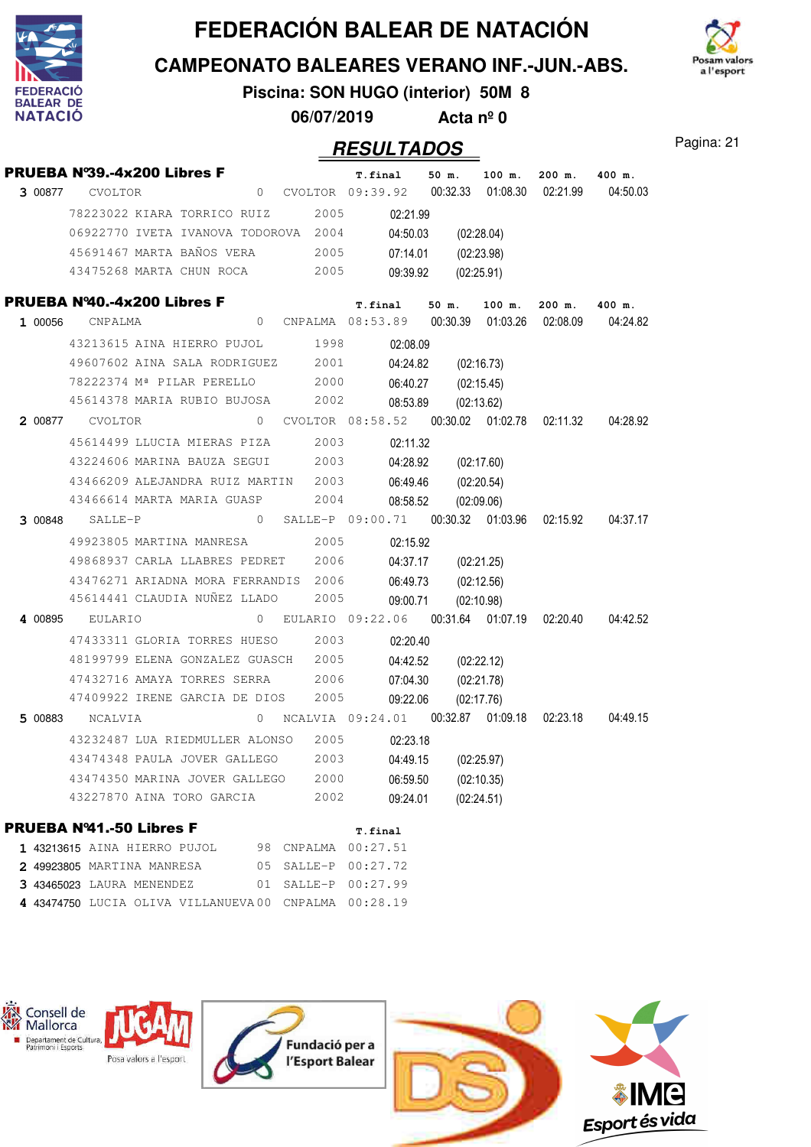





**Piscina: SON HUGO (interior) 50M 8**

**06/07/2019 Acta nº 0**

### Pagina: 21 **RESULTADOS**

|         | PRUEBA Nº39.-4x200 Libres F                        |                |  |      | T.final |          | $50 \text{ m}$ . | 100 m.     | $200$ m.                                      | 400 m.                                                     |
|---------|----------------------------------------------------|----------------|--|------|---------|----------|------------------|------------|-----------------------------------------------|------------------------------------------------------------|
| 3 00877 | <b>CVOLTOR</b>                                     |                |  |      |         |          |                  |            | 02:21.99                                      | 04:50.03                                                   |
|         | 78223022 KIARA TORRICO RUIZ                        |                |  | 2005 |         | 02:21.99 |                  |            |                                               |                                                            |
|         | 06922770 IVETA IVANOVA TODOROVA 2004               |                |  |      |         | 04:50.03 |                  | (02:28.04) |                                               |                                                            |
|         | 45691467 MARTA BAÑOS VERA                          |                |  | 2005 |         | 07:14.01 |                  | (02:23.98) |                                               |                                                            |
|         | 43475268 MARTA CHUN ROCA 2005                      |                |  |      |         | 09:39.92 |                  | (02:25.91) |                                               |                                                            |
|         | PRUEBA Nº40.-4x200 Libres F                        |                |  |      |         |          | $T. final$ 50 m. | 100 m.     | $200$ m.                                      | 400 m.                                                     |
| 1 00056 | CNPALMA                                            |                |  |      |         |          |                  |            | 0 CNPALMA 08:53.89 00:30.39 01:03.26 02:08.09 | 04:24.82                                                   |
|         | 43213615 AINA HIERRO PUJOL 1998                    |                |  |      |         | 02:08.09 |                  |            |                                               |                                                            |
|         | 49607602 AINA SALA RODRIGUEZ 2001                  |                |  |      |         | 04:24.82 |                  | (02:16.73) |                                               |                                                            |
|         | 78222374 Mª PILAR PERELLO 2000                     |                |  |      |         | 06:40.27 |                  | (02:15.45) |                                               |                                                            |
|         | 45614378 MARIA RUBIO BUJOSA                        |                |  | 2002 |         | 08:53.89 |                  | (02:13.62) |                                               |                                                            |
|         | 2 00877 CVOLTOR                                    |                |  |      |         |          |                  |            |                                               |                                                            |
|         | 45614499 LLUCIA MIERAS PIZA                        |                |  | 2003 |         | 02:11.32 |                  |            |                                               |                                                            |
|         | 43224606 MARINA BAUZA SEGUI                        |                |  | 2003 |         | 04:28.92 |                  | (02:17.60) |                                               |                                                            |
|         | 43466209 ALEJANDRA RUIZ MARTIN 2003                |                |  |      |         | 06:49.46 |                  | (02:20.54) |                                               |                                                            |
|         | 43466614 MARTA MARIA GUASP                         |                |  | 2004 |         | 08:58.52 |                  | (02:09.06) |                                               |                                                            |
|         | 3 00848 SALLE-P                                    | $\overline{0}$ |  |      |         |          |                  |            |                                               | SALLE-P 09:00.71 00:30.32 01:03.96 02:15.92 04:37.17       |
|         | 49923805 MARTINA MANRESA                           |                |  | 2005 |         | 02:15.92 |                  |            |                                               |                                                            |
|         | 49868937 CARLA LLABRES PEDRET                      |                |  | 2006 |         | 04:37.17 |                  | (02:21.25) |                                               |                                                            |
|         | 43476271 ARIADNA MORA FERRANDIS 2006               |                |  |      |         | 06:49.73 |                  | (02:12.56) |                                               |                                                            |
|         | 45614441 CLAUDIA NUÑEZ LLADO                       |                |  | 2005 |         | 09:00.71 |                  | (02:10.98) |                                               |                                                            |
|         | 4 00895 EULARIO                                    |                |  |      |         |          |                  |            |                                               |                                                            |
|         | 47433311 GLORIA TORRES HUESO                       |                |  | 2003 |         | 02:20.40 |                  |            |                                               |                                                            |
|         | 48199799 ELENA GONZALEZ GUASCH                     |                |  | 2005 |         | 04:42.52 |                  | (02:22.12) |                                               |                                                            |
|         | 47432716 AMAYA TORRES SERRA                        |                |  | 2006 |         | 07:04.30 |                  | (02:21.78) |                                               |                                                            |
|         | 47409922 IRENE GARCIA DE DIOS                      |                |  | 2005 |         | 09:22.06 |                  | (02:17.76) |                                               |                                                            |
|         | <b>5 00883</b> NCALVIA                             |                |  |      |         |          |                  |            |                                               | 0 NCALVIA 09:24.01  00:32.87  01:09.18  02:23.18  04:49.15 |
|         | 43232487 LUA RIEDMULLER ALONSO                     |                |  | 2005 |         | 02:23.18 |                  |            |                                               |                                                            |
|         | 43474348 PAULA JOVER GALLEGO                       |                |  | 2003 |         | 04:49.15 |                  | (02:25.97) |                                               |                                                            |
|         | 43474350 MARINA JOVER GALLEGO                      |                |  | 2000 |         | 06:59.50 |                  | (02:10.35) |                                               |                                                            |
|         | 43227870 AINA TORO GARCIA                          |                |  | 2002 |         | 09:24.01 |                  | (02:24.51) |                                               |                                                            |
|         | <b>PRUEBA Nº41.-50 Libres F</b>                    |                |  |      | T.final |          |                  |            |                                               |                                                            |
|         | 1 JONESIE ATNA UTEDRO DUITOI - 00 CNDATMA 00.07 E1 |                |  |      |         |          |                  |            |                                               |                                                            |

| T 49219019 aina hiekko fujul                         |  | 98 UNPALMA UUIZI.DI       |
|------------------------------------------------------|--|---------------------------|
| 2 49923805 MARTINA MANRESA                           |  | $0.5$ SALLE-P $0.0:27.72$ |
| 3 43465023 LAURA MENENDEZ                            |  | $01$ SALLE-P $00:27.99$   |
| 4 43474750 LUCIA OLIVA VILLANUEVA00 CNPALMA 00:28.19 |  |                           |

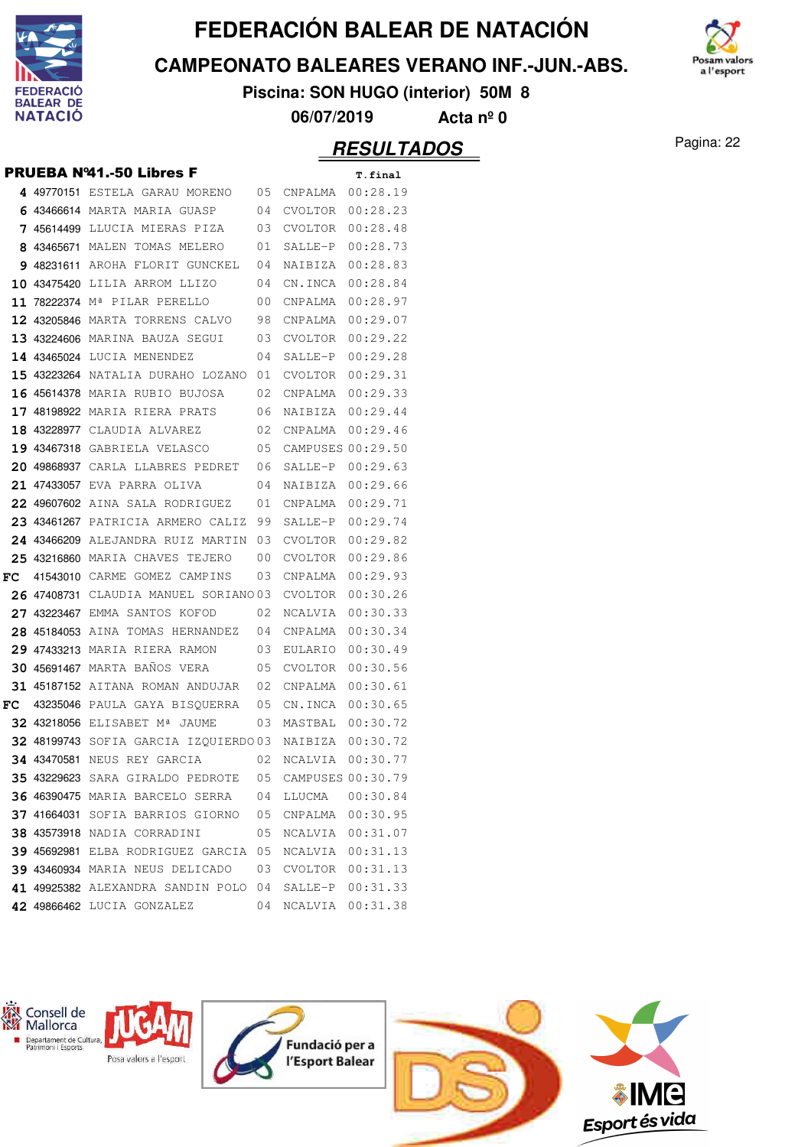

W

# **FEDERACIÓN BALEAR DE NATACIÓN**

**CAMPEONATO BALEARES VERANO INF.-JUN.-ABS.**



**Piscina: SON HUGO (interior) 50M 8**

**06/07/2019 Acta nº 0**

#### **TADOS** Pagina: 22

|    |             |                                                                             |      | ,,,,,,,,,,                            |                      |
|----|-------------|-----------------------------------------------------------------------------|------|---------------------------------------|----------------------|
|    |             |                                                                             |      |                                       | <i><b>RESULT</b></i> |
|    |             | <b>PRUEBA Nº41.-50 Libres F</b>                                             |      |                                       | T.final              |
|    |             | 4 49770151 ESTELA GARAU MORENO 05                                           |      | CNPALMA                               | 00:28.19             |
|    |             | 6 43466614 MARTA MARIA GUASP                                                | 04   | CVOLTOR                               | 00:28.23             |
|    |             | <b>7 45614499</b> LLUCIA MIERAS PIZA 03                                     |      | CVOLTOR                               | 00:28.48             |
|    |             | 8 43465671 MALEN TOMAS MELERO<br>$\begin{array}{ccc} & & 0 & 1 \end{array}$ |      | SALLE-P                               | 00:28.73             |
|    |             | 9 48231611 AROHA FLORIT GUNCKEL 04                                          |      | NAIBIZA                               | 00:28.83             |
|    |             | 10 43475420 LILIA ARROM LLIZO 04                                            |      | CN.INCA                               | 00:28.84             |
|    |             | <b>11 78222374</b> Mª PILAR PERELLO 00                                      |      | CNPALMA                               | 00:28.97             |
|    |             | 12 43205846 MARTA TORRENS CALVO 98                                          |      | CNPALMA                               | 00:29.07             |
|    |             | 13 43224606 MARINA BAUZA SEGUI 03                                           |      | CVOLTOR                               | 00:29.22             |
|    |             | 14 43465024 LUCIA MENENDEZ                                                  | 04   | SALLE-P                               | 00:29.28             |
|    |             | <b>15 43223264</b> NATALIA DURAHO LOZANO 01                                 |      | CVOLTOR                               | 00:29.31             |
|    |             | 16 45614378 MARIA RUBIO BUJOSA<br>02                                        |      | CNPALMA                               | 00:29.33             |
|    |             | 17 48198922 MARIA RIERA PRATS 06                                            |      | NAIBIZA                               | 00:29.44             |
|    |             | <b>18 43228977</b> CLAUDIA ALVAREZ                                          | 02   | CNPALMA                               | 00:29.46             |
|    |             | <b>19 43467318</b> gabriela velasco                                         | - 05 | CAMPUSES 00:29.50                     |                      |
|    |             | 20 49868937 CARLA LLABRES PEDRET 06                                         |      | SALLE-P                               | 00:29.63             |
|    | 21 47433057 | 0 <sub>4</sub><br>EVA PARRA OLIVA                                           |      | NAIBIZA                               | 00:29.66             |
|    |             | 22 49607602 AINA SALA RODRIGUEZ<br>01                                       |      | CNPALMA                               | 00:29.71             |
|    |             | <b>23 43461267</b> PATRICIA ARMERO CALIZ                                    | 99   | SALLE-P                               | 00:29.74             |
|    |             | 24 43466209 ALEJANDRA RUIZ MARTIN                                           | 03   | <b>CVOLTOR</b>                        | 00:29.82             |
|    |             | 25 43216860 MARIA CHAVES TEJERO                                             | 00   | CVOLTOR                               | 00:29.86             |
|    |             | FC 41543010 CARME GOMEZ CAMPINS                                             | 03   | CNPALMA                               | 00:29.93             |
|    |             | 26 47408731 CLAUDIA MANUEL SORIANO 03                                       |      | CVOLTOR                               | 00:30.26             |
|    |             | 27 43223467 EMMA SANTOS KOFOD 02                                            |      | NCALVIA                               | 00:30.33             |
|    |             | 28 45184053 AINA TOMAS HERNANDEZ 04                                         |      | CNPALMA                               | 00:30.34             |
|    |             | 29 47433213 MARIA RIERA RAMON<br>03                                         |      | EULARIO                               | 00:30.49             |
|    |             | <b>30 45691467 MARTA BANOS VERA</b>                                         | 05   | <b>CVOLTOR</b>                        | 00:30.56             |
|    |             | 31 45187152 AITANA ROMAN ANDUJAR 02                                         |      | CNPALMA                               | 00:30.61             |
| FC |             | 43235046 PAULA GAYA BISQUERRA 05                                            |      | CN.INCA                               | 00:30.65             |
|    |             | 32 43218056 ELISABET Mª JAUME 03                                            |      | MASTBAL                               | 00:30.72             |
|    |             | <b>32 48199743</b> SOFIA GARCIA IZQUIERDO 03                                |      | NAIBIZA 00:30.72                      |                      |
|    |             | 34 43470581 NEUS REY GARCIA<br><b>35 43229623</b> SARA GIRALDO PEDROTE 05   | 02   | NCALVIA 00:30.77<br>CAMPUSES 00:30.79 |                      |
|    |             | 36 46390475 MARIA BARCELO SERRA 04                                          |      | LLUCMA  00:30.84                      |                      |
|    |             | 37 41664031 SOFIA BARRIOS GIORNO 05 CNPALMA 00:30.95                        |      |                                       |                      |
|    |             | <b>38 43573918</b> NADIA CORRADINI 05                                       |      | NCALVIA 00:31.07                      |                      |
|    |             | 39 45692981 ELBA RODRIGUEZ GARCIA 05                                        |      | NCALVIA 00:31.13                      |                      |
|    |             | 39 43460934 MARIA NEUS DELICADO 03                                          |      | CVOLTOR 00:31.13                      |                      |
|    |             | 41 49925382 ALEXANDRA SANDIN POLO 04                                        |      | SALLE-P 00:31.33                      |                      |
|    |             | 42 49866462 LUCIA GONZALEZ                                                  | 04   | NCALVIA 00:31.38                      |                      |
|    |             |                                                                             |      |                                       |                      |
|    |             |                                                                             |      |                                       |                      |

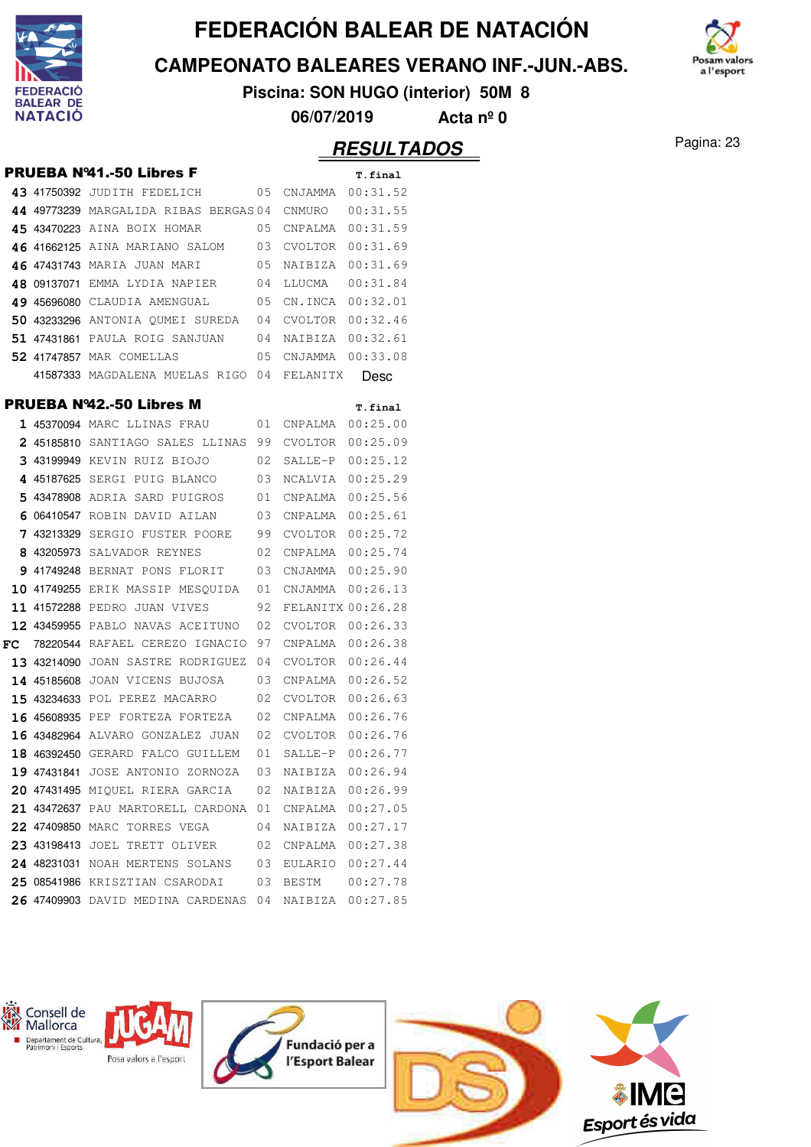

**CAMPEONATO BALEARES VERANO INF.-JUN.-ABS.**



**Piscina: SON HUGO (interior) 50M 8**

**06/07/2019 Acta nº 0**

#### Pagina: 23 **RESULTADOS**

|    |                                            |    |                   | nejulih  |
|----|--------------------------------------------|----|-------------------|----------|
|    | <b>PRUEBA Nº41.-50 Libres F</b>            |    |                   | T.final  |
|    | 43 41750392 JUDITH FEDELICH                | 05 | CNJAMMA 00:31.52  |          |
|    | 44 49773239 MARGALIDA RIBAS BERGAS 04      |    | CNMURO            | 00:31.55 |
|    | 45 43470223 AINA BOIX HOMAR                | 05 | CNPALMA 00:31.59  |          |
|    | 46 41662125 AINA MARIANO SALOM 03          |    | CVOLTOR 00:31.69  |          |
|    | 46 47431743 MARIA JUAN MARI                | 05 | NAIBIZA           | 00:31.69 |
|    | 48 09137071 EMMA LYDIA NAPIER              | 04 | LLUCMA            | 00:31.84 |
|    | 49 45696080 CLAUDIA AMENGUAL               | 05 | CN.INCA           | 00:32.01 |
|    | 50 43233296 ANTONIA QUMEI SUREDA           | 04 | CVOLTOR           | 00:32.46 |
|    | <b>51 47431861</b> PAULA ROIG SANJUAN      | 04 | NAIBIZA           | 00:32.61 |
|    | <b>52 41747857 MAR COMELLAS</b>            | 05 | CNJAMMA 00:33.08  |          |
|    | 41587333 MAGDALENA MUELAS RIGO 04 FELANITX |    |                   | Desc     |
|    | <b>PRUEBA Nº42.-50 Libres M</b>            |    |                   | T.final  |
|    | 1 45370094 MARC LLINAS FRAU                | 01 | CNPALMA 00:25.00  |          |
|    | 2 45185810 SANTIAGO SALES LLINAS 99        |    | CVOLTOR 00:25.09  |          |
|    | 3 43199949 KEVIN RUIZ BIOJO                | 02 | SALLE-P           | 00:25.12 |
|    | 4 45187625 SERGI PUIG BLANCO               | 03 | NCALVIA           | 00:25.29 |
|    | 5 43478908 ADRIA SARD PUIGROS              | 01 | CNPALMA           | 00:25.56 |
|    | 6 06410547 ROBIN DAVID AILAN               | 03 | CNPALMA           | 00:25.61 |
|    | 7 43213329 SERGIO FUSTER POORE             | 99 | CVOLTOR           | 00:25.72 |
|    | 8 43205973 SALVADOR REYNES                 | 02 | CNPALMA 00:25.74  |          |
|    | 9 41749248 BERNAT PONS FLORIT              | 03 | CNJAMMA 00:25.90  |          |
|    | <b>10 41749255</b> ERIK MASSIP MESQUIDA    | 01 | CNJAMMA 00:26.13  |          |
|    | 11 41572288 PEDRO JUAN VIVES               | 92 | FELANITX 00:26.28 |          |
|    | 12 43459955 PABLO NAVAS ACEITUNO           | 02 | CVOLTOR 00:26.33  |          |
| FC | 78220544 RAFAEL CEREZO IGNACIO             | 97 | CNPALMA           | 00:26.38 |
|    | 13 43214090 JOAN SASTRE RODRIGUEZ          | 04 | CVOLTOR           | 00:26.44 |
|    | 14 45185608 JOAN VICENS BUJOSA             | 03 | CNPALMA           | 00:26.52 |
|    | 15 43234633 POL PEREZ MACARRO              | 02 | CVOLTOR           | 00:26.63 |
|    | <b>16 45608935</b> PEP FORTEZA FORTEZA     | 02 | CNPALMA           | 00:26.76 |
|    | <b>16 43482964</b> ALVARO GONZALEZ JUAN 02 |    | CVOLTOR           | 00:26.76 |
|    | <b>18 46392450</b> GERARD FALCO GUILLEM    | 01 | SALLE-P           | 00:26.77 |
|    | 19 47431841 JOSE ANTONIO ZORNOZA           | 03 | NAIBIZA           | 00:26.94 |
|    | 20 47431495 MIQUEL RIERA GARCIA            | 02 | NAIBIZA 00:26.99  |          |
|    | 21 43472637 PAU MARTORELL CARDONA 01       |    | CNPALMA 00:27.05  |          |
|    | 22 47409850 MARC TORRES VEGA               | 04 | NAIBIZA 00:27.17  |          |
|    | 23 43198413 JOEL TRETT OLIVER              | 02 | CNPALMA 00:27.38  |          |
|    | 24 48231031 NOAH MERTENS SOLANS            | 03 | EULARIO           | 00:27.44 |
|    | 25 08541986 KRISZTIAN CSARODAI             | 03 | BESTM             | 00:27.78 |
|    | 26 47409903 DAVID MEDINA CARDENAS 04       |    | NAIBIZA 00:27.85  |          |

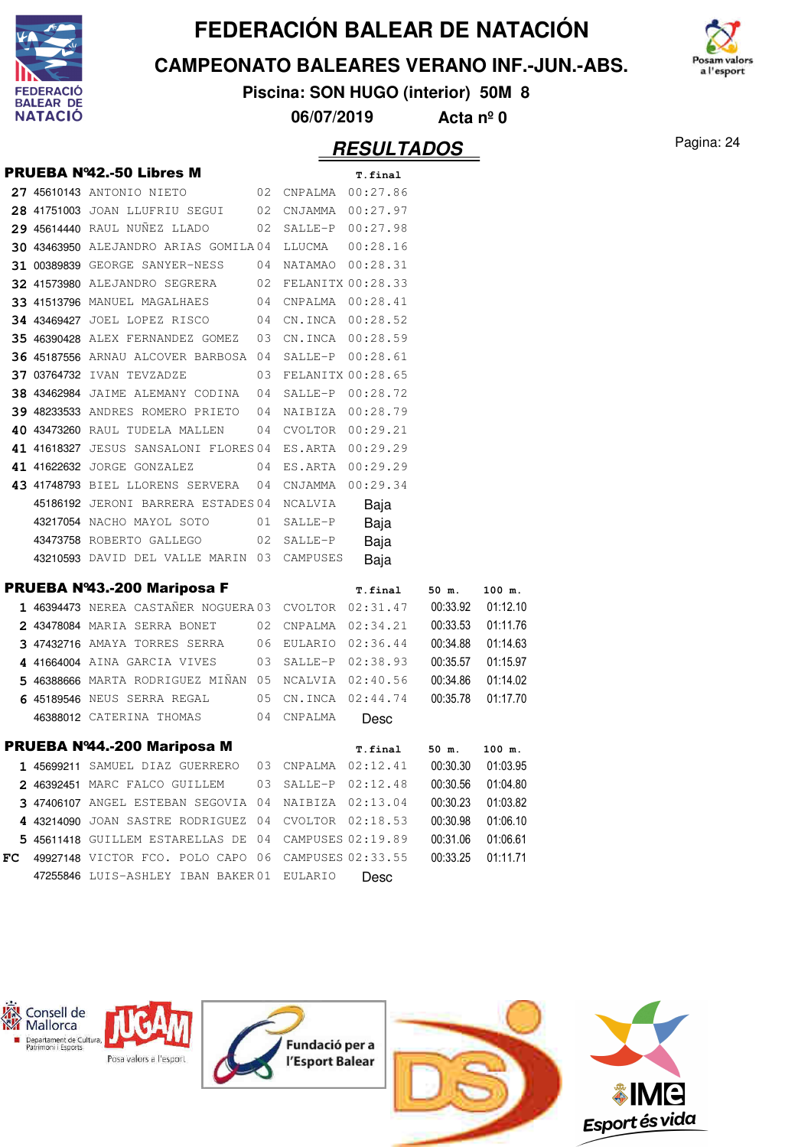

**CAMPEONATO BALEARES VERANO INF.-JUN.-ABS.**



**Piscina: SON HUGO (interior) 50M 8**

**06/07/2019 Acta nº 0**

#### Pagina: 24 **RESULTADOS**

|    | <b>PRUEBA Nº42.-50 Libres M</b>                                         |                     | T.final              |          |          |
|----|-------------------------------------------------------------------------|---------------------|----------------------|----------|----------|
|    | 27 45610143 ANTONIO NIETO 02 CNPALMA 00:27.86                           |                     |                      |          |          |
|    | 28 41751003 JOAN LLUFRIU SEGUI 02 CNJAMMA 00:27.97                      |                     |                      |          |          |
|    | 29 45614440 RAUL NUÑEZ LLADO 02 SALLE-P 00:27.98                        |                     |                      |          |          |
|    | 30 43463950 ALEJANDRO ARIAS GOMILA04 LLUCMA 00:28.16                    |                     |                      |          |          |
|    | 31 00389839 GEORGE SANYER-NESS 04 NATAMAO 00:28.31                      |                     |                      |          |          |
|    | 32 41573980 ALEJANDRO SEGRERA 02 FELANITX 00:28.33                      |                     |                      |          |          |
|    | 33 41513796 MANUEL MAGALHAES 04 CNPALMA 00:28.41                        |                     |                      |          |          |
|    | 34 43469427 JOEL LOPEZ RISCO 04 CN.INCA 00:28.52                        |                     |                      |          |          |
|    | 35 46390428 ALEX FERNANDEZ GOMEZ 03 CN.INCA 00:28.59                    |                     |                      |          |          |
|    | 36 45187556 ARNAU ALCOVER BARBOSA 04 SALLE-P 00:28.61                   |                     |                      |          |          |
|    | 37 03764732 IVAN TEVZADZE 603 FELANITX 00:28.65                         |                     |                      |          |          |
|    | 38 43462984 JAIME ALEMANY CODINA 04 SALLE-P 00:28.72                    |                     |                      |          |          |
|    | 39 48233533 ANDRES ROMERO PRIETO 04 NAIBIZA 00:28.79                    |                     |                      |          |          |
|    | 40 43473260 RAUL TUDELA MALLEN 04 CVOLTOR 00:29.21                      |                     |                      |          |          |
|    | 41 41618327 JESUS SANSALONI FLORES 04 ES.ARTA 00:29.29                  |                     |                      |          |          |
|    | 41 41622632 JORGE GONZALEZ 04 ES.ARTA 00:29.29                          |                     |                      |          |          |
|    | 43 41748793 BIEL LLORENS SERVERA 04 CNJAMMA 00:29.34                    |                     |                      |          |          |
|    | 45186192 JERONI BARRERA ESTADES 04 NCALVIA Baja                         |                     |                      |          |          |
|    | 43217054 NACHO MAYOL SOTO 01 SALLE-P                                    |                     | Baja                 |          |          |
|    | 43473758 ROBERTO GALLEGO 02 SALLE-P Baja                                |                     |                      |          |          |
|    | 43210593 DAVID DEL VALLE MARIN 03 CAMPUSES                              |                     | Baja                 |          |          |
|    |                                                                         |                     |                      |          |          |
|    |                                                                         |                     |                      |          |          |
|    | PRUEBA Nº43.-200 Mariposa F                                             |                     | T.final 50 m. 100 m. |          |          |
|    | 1 46394473 NEREA CASTAÑER NOGUERA 03 CVOLTOR 02:31.47 00:33.92 01:12.10 |                     |                      |          |          |
|    | 2 43478084 MARIA SERRA BONET 02 CNPALMA 02:34.21 00:33.53 01:11.76      |                     |                      |          |          |
|    | 3 47432716 AMAYA TORRES SERRA 06 EULARIO 02:36.44 00:34.88 01:14.63     |                     |                      |          |          |
|    | 4 41664004 AINA GARCIA VIVES 03 SALLE-P 02:38.93 00:35.57 01:15.97      |                     |                      |          |          |
|    | 5 46388666 MARTA RODRIGUEZ MIÑAN 05 NCALVIA 02:40.56                    |                     |                      | 00:34.86 | 01:14.02 |
|    | 6 45189546 NEUS SERRA REGAL 05 CN.INCA 02:44.74                         |                     |                      | 00:35.78 | 01:17.70 |
|    | 46388012 CATERINA THOMAS 04 CNPALMA Desc                                |                     |                      |          |          |
|    | PRUEBA Nº44.-200 Mariposa M                                             |                     | T.final              | 50 m.    | 100 m.   |
|    | 1 45699211 SAMUEL DIAZ GUERRERO 03 CNPALMA 02:12.41 00:30.30 01:03.95   |                     |                      |          |          |
|    | 2 46392451 MARC FALCO GUILLEM                                           | 03 SALLE-P 02:12.48 |                      | 00:30.56 | 01:04.80 |
|    | 3 47406107 ANGEL ESTEBAN SEGOVIA 04 NAIBIZA 02:13.04                    |                     |                      | 00:30.23 | 01:03.82 |
|    | 4 43214090 JOAN SASTRE RODRIGUEZ 04 CVOLTOR 02:18.53                    |                     |                      | 00:30.98 | 01:06.10 |
|    | 5 45611418 GUILLEM ESTARELLAS DE 04 CAMPUSES 02:19.89                   |                     |                      | 00:31.06 | 01:06.61 |
| FC | 49927148 VICTOR FCO. POLO CAPO 06 CAMPUSES 02:33.55                     |                     |                      | 00:33.25 | 01:11.71 |

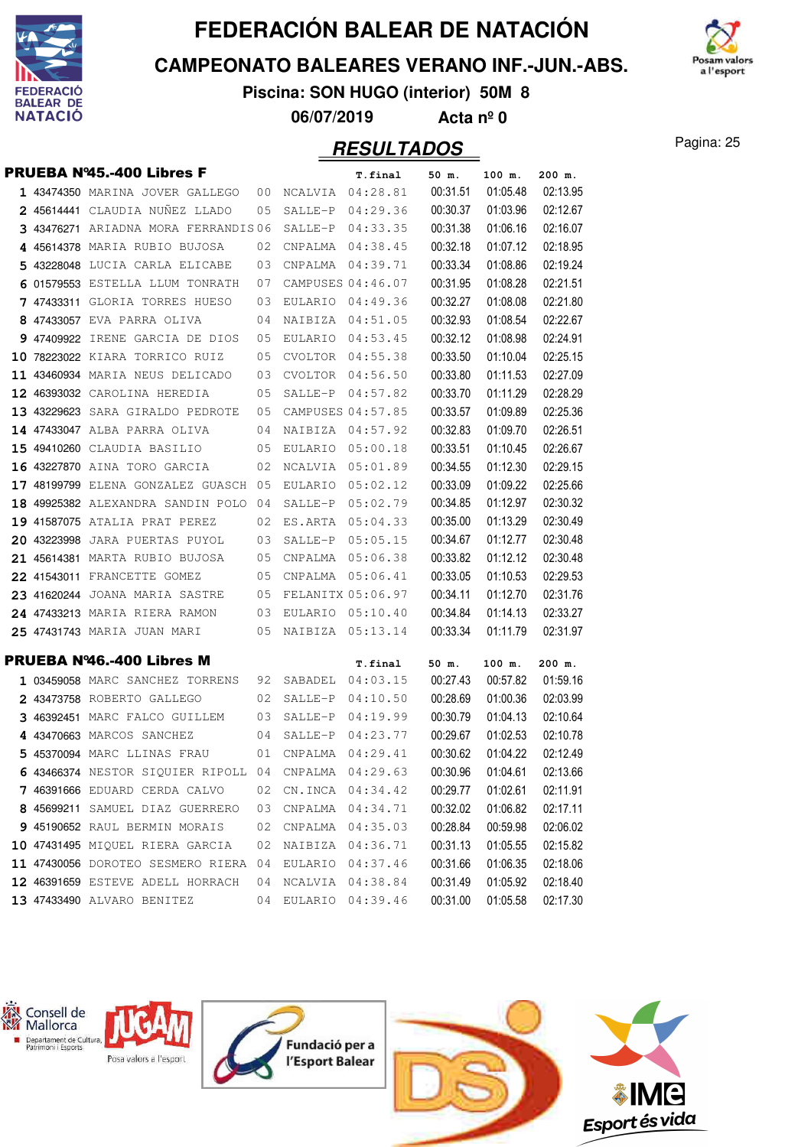

**CAMPEONATO BALEARES VERANO INF.-JUN.-ABS.**



**Piscina: SON HUGO (interior) 50M 8 06/07/2019 Acta nº 0**

#### Pagina: 25 **RESULTADOS**

|  | <b>PRUEBA Nº45.-400 Libres F</b>            |    |           | T.final           | 50 m.    | 100 m.   | 200 m.   |
|--|---------------------------------------------|----|-----------|-------------------|----------|----------|----------|
|  | 1 43474350 MARINA JOVER GALLEGO             | 00 |           | NCALVIA 04:28.81  | 00:31.51 | 01:05.48 | 02:13.95 |
|  | 2 45614441 CLAUDIA NUÑEZ LLADO              | 05 | SALLE-P   | 04:29.36          | 00:30.37 | 01:03.96 | 02:12.67 |
|  | 3 43476271 ARIADNA MORA FERRANDIS06         |    |           | SALLE-P 04:33.35  | 00:31.38 | 01:06.16 | 02:16.07 |
|  | 4 45614378 MARIA RUBIO BUJOSA               | 02 |           | CNPALMA 04:38.45  | 00:32.18 | 01:07.12 | 02:18.95 |
|  | 5 43228048 LUCIA CARLA ELICABE              | 03 |           | CNPALMA 04:39.71  | 00:33.34 | 01:08.86 | 02:19.24 |
|  | 6 01579553 ESTELLA LLUM TONRATH             | 07 |           | CAMPUSES 04:46.07 | 00:31.95 | 01:08.28 | 02:21.51 |
|  | 7 47433311 GLORIA TORRES HUESO              | 03 | EULARIO   | 04:49.36          | 00:32.27 | 01:08.08 | 02:21.80 |
|  | 8 47433057 EVA PARRA OLIVA                  | 04 |           | NAIBIZA 04:51.05  | 00:32.93 | 01:08.54 | 02:22.67 |
|  | 9 47409922 IRENE GARCIA DE DIOS             | 05 |           | EULARIO 04:53.45  | 00:32.12 | 01:08.98 | 02:24.91 |
|  | 10 78223022 KIARA TORRICO RUIZ              | 05 |           | CVOLTOR 04:55.38  | 00:33.50 | 01:10.04 | 02:25.15 |
|  | 11 43460934 MARIA NEUS DELICADO             | 03 |           | CVOLTOR 04:56.50  | 00:33.80 | 01:11.53 | 02:27.09 |
|  | 12 46393032 CAROLINA HEREDIA                | 05 |           | SALLE-P 04:57.82  | 00:33.70 | 01:11.29 | 02:28.29 |
|  | 13 43229623 SARA GIRALDO PEDROTE            | 05 |           | CAMPUSES 04:57.85 | 00:33.57 | 01:09.89 | 02:25.36 |
|  | 14 47433047 ALBA PARRA OLIVA                | 04 | NAIBIZA   | 04:57.92          | 00:32.83 | 01:09.70 | 02:26.51 |
|  | 15 49410260 CLAUDIA BASILIO                 | 05 | EULARIO   | 05:00.18          | 00:33.51 | 01:10.45 | 02:26.67 |
|  | 16 43227870 AINA TORO GARCIA                | 02 | NCALVIA   | 05:01.89          | 00:34.55 | 01:12.30 | 02:29.15 |
|  | 17 48199799 ELENA GONZALEZ GUASCH 05        |    |           | EULARIO 05:02.12  | 00:33.09 | 01:09.22 | 02:25.66 |
|  | 18 49925382 ALEXANDRA SANDIN POLO 04        |    | SALLE-P   | 05:02.79          | 00:34.85 | 01:12.97 | 02:30.32 |
|  | 19 41587075 ATALIA PRAT PEREZ               | 02 |           | ES.ARTA 05:04.33  | 00:35.00 | 01:13.29 | 02:30.49 |
|  | 20 43223998 JARA PUERTAS PUYOL              | 03 | $SALLE-P$ | 05:05.15          | 00:34.67 | 01:12.77 | 02:30.48 |
|  | 21 45614381 MARTA RUBIO BUJOSA              | 05 |           | CNPALMA 05:06.38  | 00:33.82 | 01:12.12 | 02:30.48 |
|  | 22 41543011 FRANCETTE GOMEZ                 | 05 |           | CNPALMA 05:06.41  | 00:33.05 | 01:10.53 | 02:29.53 |
|  | 23 41620244 JOANA MARIA SASTRE              | 05 |           | FELANITX 05:06.97 | 00:34.11 | 01:12.70 | 02:31.76 |
|  | 24 47433213 MARIA RIERA RAMON               | 03 | EULARIO   | 05:10.40          | 00:34.84 | 01:14.13 | 02:33.27 |
|  | 25 47431743 MARIA JUAN MARI                 | 05 |           | NAIBIZA 05:13.14  | 00:33.34 | 01:11.79 | 02:31.97 |
|  | PRUEBA Nº46.-400 Libres M                   |    |           | T.final           | 50 m.    | 100 m.   | 200 m.   |
|  | 1 03459058 MARC SANCHEZ TORRENS             | 92 |           | SABADEL 04:03.15  | 00:27.43 | 00:57.82 | 01:59.16 |
|  | 2 43473758 ROBERTO GALLEGO                  | 02 |           | SALLE-P 04:10.50  | 00:28.69 | 01:00.36 | 02:03.99 |
|  | 3 46392451 MARC FALCO GUILLEM               | 03 | SALLE-P   | 04:19.99          | 00:30.79 | 01:04.13 | 02:10.64 |
|  | 4 43470663 MARCOS SANCHEZ                   | 04 | SALLE-P   | 04:23.77          | 00:29.67 | 01:02.53 | 02:10.78 |
|  | 5 45370094 MARC LLINAS FRAU                 | 01 |           | CNPALMA 04:29.41  | 00:30.62 | 01:04.22 | 02:12.49 |
|  | 6 43466374 NESTOR SIQUIER RIPOLL 04 CNPALMA |    |           | 04:29.63          | 00:30.96 | 01:04.61 | 02:13.66 |
|  | 7 46391666 EDUARD CERDA CALVO               | 02 |           | CN. INCA 04:34.42 | 00:29.77 | 01:02.61 | 02:11.91 |
|  | 8 45699211 SAMUEL DIAZ GUERRERO             | 03 |           | CNPALMA 04:34.71  | 00:32.02 | 01:06.82 | 02:17.11 |
|  | 9 45190652 RAUL BERMIN MORAIS               | 02 |           | CNPALMA 04:35.03  | 00:28.84 | 00:59.98 | 02:06.02 |
|  | 10 47431495 MIQUEL RIERA GARCIA             | 02 |           | NAIBIZA 04:36.71  | 00:31.13 | 01:05.55 | 02:15.82 |
|  | 11 47430056 DOROTEO SESMERO RIERA 04        |    | EULARIO   | 04:37.46          | 00:31.66 | 01:06.35 | 02:18.06 |
|  | 12 46391659 ESTEVE ADELL HORRACH            | 04 | NCALVIA   | 04:38.84          | 00:31.49 | 01:05.92 | 02:18.40 |
|  | 13 47433490 ALVARO BENITEZ                  | 04 |           | EULARIO 04:39.46  | 00:31.00 | 01:05.58 | 02:17.30 |

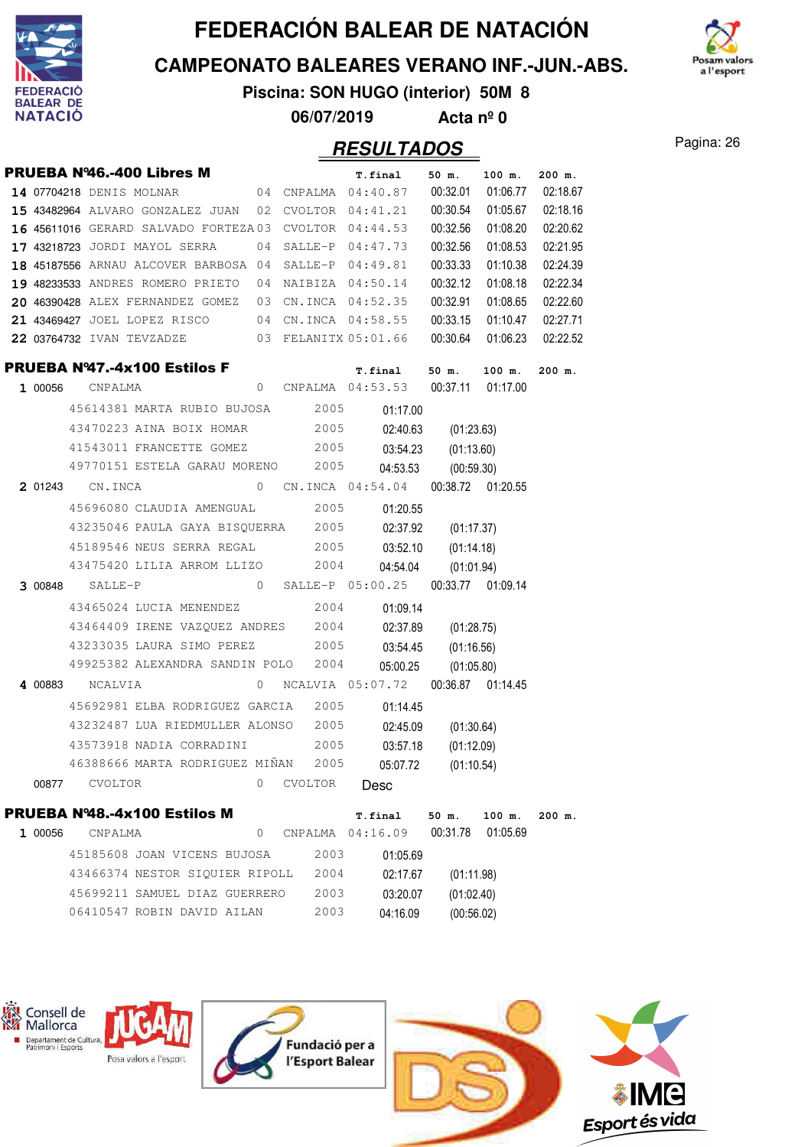

**CAMPEONATO BALEARES VERANO INF.-JUN.-ABS.**



**Piscina: SON HUGO (interior) 50M 8**

**06/07/2019 Acta nº 0**

#### Pagina: 26 **RESULTADOS**

|         |                          | <b>PRUEBA Nº46.-400 Libres M</b>                      |          |         | T.final                                            | 50 m.               | 100 m.   | 200 m.   |
|---------|--------------------------|-------------------------------------------------------|----------|---------|----------------------------------------------------|---------------------|----------|----------|
|         | 14 07704218 DENIS MOLNAR |                                                       |          |         | 04 CNPALMA 04:40.87 00:32.01                       |                     | 01:06.77 | 02:18.67 |
|         |                          | 15 43482964 ALVARO GONZALEZ JUAN 02 CVOLTOR 04:41.21  |          |         |                                                    | 00:30.54            | 01:05.67 | 02:18.16 |
|         |                          | 16 45611016 GERARD SALVADO FORTEZA03 CVOLTOR 04:44.53 |          |         |                                                    | 00:32.56            | 01:08.20 | 02:20.62 |
|         |                          | <b>17 43218723</b> JORDI MAYOL SERRA                  | 04       |         | SALLE-P 04:47.73                                   | 00:32.56            | 01:08.53 | 02:21.95 |
|         |                          | 18 45187556 ARNAU ALCOVER BARBOSA 04                  |          |         | SALLE-P 04:49.81                                   | 00:33.33            | 01:10.38 | 02:24.39 |
|         |                          | 19 48233533 ANDRES ROMERO PRIETO 04 NAIBIZA 04:50.14  |          |         |                                                    | 00:32.12            | 01:08.18 | 02:22.34 |
|         |                          | 20 46390428 ALEX FERNANDEZ GOMEZ 03 CN.INCA 04:52.35  |          |         |                                                    | 00:32.91            | 01:08.65 | 02:22.60 |
|         |                          | 21 43469427 JOEL LOPEZ RISCO 04 CN.INCA 04:58.55      |          |         |                                                    | 00:33.15            | 01:10.47 | 02:27.71 |
|         |                          | 22 03764732 IVAN TEVZADZE 03 FELANITX 05:01.66        |          |         |                                                    | 00:30.64            | 01:06.23 | 02:22.52 |
|         |                          | PRUEBA Nº47.-4x100 Estilos F                          |          |         | T.final                                            | 50 m.               | 100 m.   | $200$ m. |
|         | <b>1</b> 00056 CNPALMA   |                                                       |          |         | 0 CNPALMA 04:53.53 00:37.11 01:17.00               |                     |          |          |
|         |                          | 45614381 MARTA RUBIO BUJOSA 2005                      |          |         | 01:17.00                                           |                     |          |          |
|         |                          | 43470223 AINA BOIX HOMAR 2005                         |          |         | 02:40.63                                           | (01:23.63)          |          |          |
|         |                          | 41543011 FRANCETTE GOMEZ 2005 03:54.23                |          |         |                                                    | (01:13.60)          |          |          |
|         |                          | 49770151 ESTELA GARAU MORENO 2005                     |          |         | 04:53.53                                           | (00:59.30)          |          |          |
|         | 201243 CN.INCA           |                                                       |          |         | 0 CN.INCA  04:54.04  00:38.72  01:20.55            |                     |          |          |
|         |                          | 45696080 CLAUDIA AMENGUAL 2005                        |          |         | 01:20.55                                           |                     |          |          |
|         |                          | 43235046 PAULA GAYA BISQUERRA 2005                    |          |         | 02:37.92                                           | (01:17.37)          |          |          |
|         |                          | 45189546 NEUS SERRA REGAL 2005                        |          |         | 03:52.10                                           | (01:14.18)          |          |          |
|         |                          | 43475420 LILIA ARROM LLIZO 2004                       |          |         | 04:54.04                                           | (01:01.94)          |          |          |
|         | 3 00848 SALLE-P          |                                                       |          |         | 0 SALLE-P $05:00.25$ 00:33.77 01:09.14             |                     |          |          |
|         |                          | 43465024 LUCIA MENENDEZ 2004                          |          |         | 01:09.14                                           |                     |          |          |
|         |                          | 43464409 IRENE VAZQUEZ ANDRES 2004                    |          |         |                                                    | 02:37.89 (01:28.75) |          |          |
|         |                          | 43233035 LAURA SIMO PEREZ 2005                        |          |         | 03:54.45                                           | (01:16.56)          |          |          |
|         |                          | 49925382 ALEXANDRA SANDIN POLO 2004                   |          |         | 05:00.25                                           | (01:05.80)          |          |          |
|         | 4 00883 NCALVIA          |                                                       | $\sim$ 0 |         | NCALVIA 05:07.72 00:36.87 01:14.45                 |                     |          |          |
|         |                          | 45692981 ELBA RODRIGUEZ GARCIA 2005                   |          |         | 01:14.45                                           |                     |          |          |
|         |                          | 43232487 LUA RIEDMULLER ALONSO 2005                   |          |         |                                                    | 02:45.09 (01:30.64) |          |          |
|         |                          | 43573918 NADIA CORRADINI 2005                         |          |         | 03:57.18                                           | (01:12.09)          |          |          |
|         |                          | 46388666 MARTA RODRIGUEZ MIÑAN                        |          | 2005    |                                                    | 05:07.72 (01:10.54) |          |          |
| 00877   | CVOLTOR                  |                                                       | 0        | CVOLTOR | Desc                                               |                     |          |          |
|         |                          | PRUEBA Nº48.-4x100 Estilos M                          |          |         |                                                    |                     |          |          |
| 1 00056 | CNPALMA                  |                                                       |          |         | T.final<br>0 CNPALMA  04:16.09  00:31.78  01:05.69 | 50 m.               | $100$ m. | 200 m.   |
|         |                          | 45185608 JOAN VICENS BUJOSA                           |          | 2003    | 01:05.69                                           |                     |          |          |
|         |                          | 43466374 NESTOR SIOUIER RIPOLL                        |          | 2004    |                                                    |                     |          |          |
|         |                          |                                                       |          |         | 02:17.67                                           | (01:11.98)          |          |          |



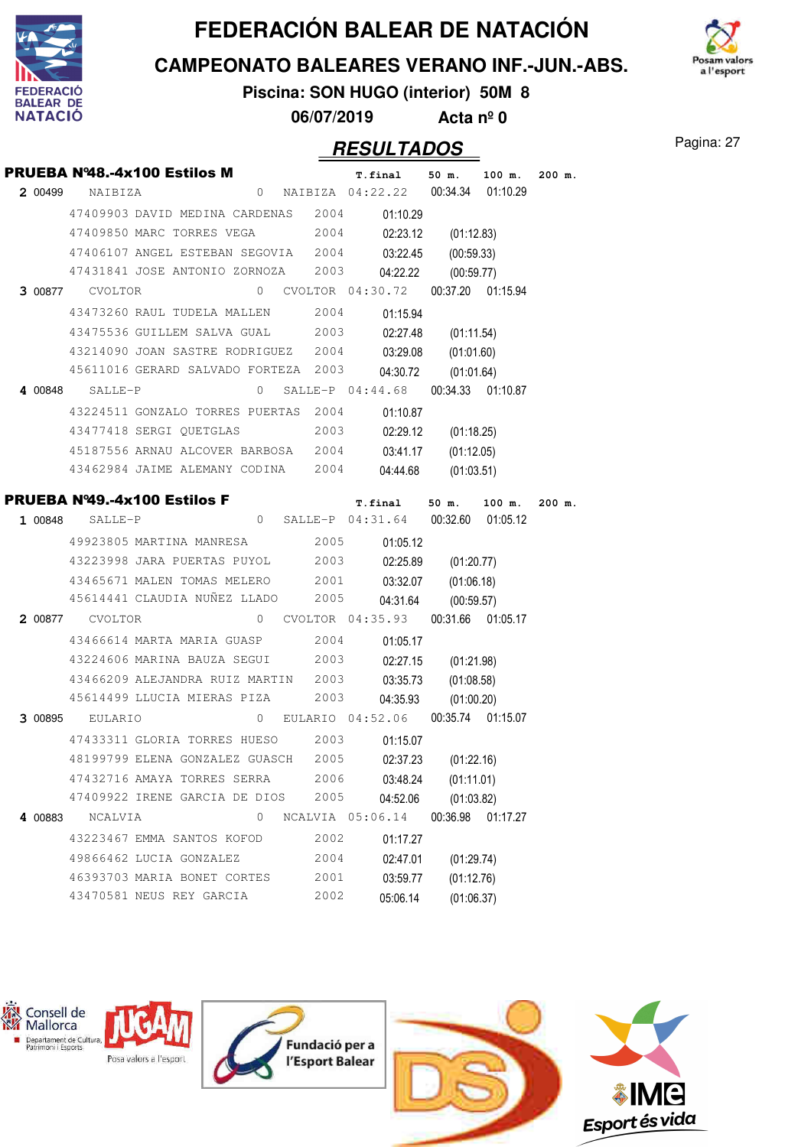

**CAMPEONATO BALEARES VERANO INF.-JUN.-ABS.**



**Piscina: SON HUGO (interior) 50M 8 06/07/2019 Acta nº 0**

### Pagina: 27 **RESULTADOS**

|         |                        | PRUEBA Nº48.-4x100 Estilos M         |   |      | T.final                                                  | 50 m.               | $100$ m. | 200 m.   |
|---------|------------------------|--------------------------------------|---|------|----------------------------------------------------------|---------------------|----------|----------|
|         | 2 00499 NAIBIZA        |                                      |   |      | 0 NAIBIZA 04:22.22  00:34.34  01:10.29                   |                     |          |          |
|         |                        |                                      |   |      | 47409903 DAVID MEDINA CARDENAS 2004 01:10.29             |                     |          |          |
|         |                        | 47409850 MARC TORRES VEGA 2004       |   |      | 02:23.12                                                 | (01:12.83)          |          |          |
|         |                        | 47406107 ANGEL ESTEBAN SEGOVIA 2004  |   |      | 03:22.45                                                 | (00:59.33)          |          |          |
|         |                        | 47431841 JOSE ANTONIO ZORNOZA 2003   |   |      | 04:22.22                                                 | (00:59.77)          |          |          |
|         | <b>3 00877</b> CVOLTOR |                                      |   |      |                                                          |                     |          |          |
|         |                        | 43473260 RAUL TUDELA MALLEN 2004     |   |      | 01:15.94                                                 |                     |          |          |
|         |                        | 43475536 GUILLEM SALVA GUAL 2003     |   |      | 02:27.48                                                 | (01:11.54)          |          |          |
|         |                        | 43214090 JOAN SASTRE RODRIGUEZ 2004  |   |      | 03:29.08                                                 | (01:01.60)          |          |          |
|         |                        | 45611016 GERARD SALVADO FORTEZA 2003 |   |      |                                                          | 04:30.72 (01:01.64) |          |          |
|         | 4 00848 SALLE-P        |                                      |   |      | 0 SALLE-P 04:44.68 00:34.33 01:10.87                     |                     |          |          |
|         |                        | 43224511 GONZALO TORRES PUERTAS 2004 |   |      | 01:10.87                                                 |                     |          |          |
|         |                        | 43477418 SERGI QUETGLAS              |   | 2003 | 02:29.12                                                 | (01:18.25)          |          |          |
|         |                        |                                      |   |      | 45187556 ARNAU ALCOVER BARBOSA 2004 03:41.17             | (01:12.05)          |          |          |
|         |                        | 43462984 JAIME ALEMANY CODINA 2004   |   |      | 04:44.68                                                 | (01:03.51)          |          |          |
|         |                        |                                      |   |      | <b>PRUEBA Nº49.-4x100 Estilos F</b> 7.final 50 m. 100 m. |                     |          | $200$ m. |
|         |                        |                                      |   |      | 1 00848 SALLE-P 04:31.64 00:32.60 01:05.12               |                     |          |          |
|         |                        |                                      |   |      | 49923805 MARTINA MANRESA 2005 01:05.12                   |                     |          |          |
|         |                        |                                      |   |      | 43223998 JARA PUERTAS PUYOL 2003 02:25.89                | (01:20.77)          |          |          |
|         |                        | 43465671 MALEN TOMAS MELERO 2001     |   |      | 03:32.07                                                 | (01:06.18)          |          |          |
|         |                        | 45614441 CLAUDIA NUÑEZ LLADO 2005    |   |      | 04:31.64                                                 | (00:59.57)          |          |          |
|         |                        |                                      |   |      | 2 00877 CVOLTOR 0 CVOLTOR 04:35.93 00:31.66 01:05.17     |                     |          |          |
|         |                        | 43466614 MARTA MARIA GUASP 2004      |   |      | 01:05.17                                                 |                     |          |          |
|         |                        | 43224606 MARINA BAUZA SEGUI 2003     |   |      | 02:27.15                                                 | (01:21.98)          |          |          |
|         |                        | 43466209 ALEJANDRA RUIZ MARTIN 2003  |   |      | 03:35.73                                                 | (01:08.58)          |          |          |
|         |                        | 45614499 LLUCIA MIERAS PIZA 2003     |   |      | 04:35.93                                                 | (01:00.20)          |          |          |
|         |                        |                                      |   |      | 3 00895 EULARIO 0 EULARIO 04:52.06 00:35.74 01:15.07     |                     |          |          |
|         |                        | 47433311 GLORIA TORRES HUESO 2003    |   |      | 01:15.07                                                 |                     |          |          |
|         |                        | 48199799 ELENA GONZALEZ GUASCH 2005  |   |      | 02:37.23                                                 | (01:22.16)          |          |          |
|         |                        | 47432716 AMAYA TORRES SERRA          |   | 2006 | 03:48.24                                                 | (01:11.01)          |          |          |
|         |                        | 47409922 IRENE GARCIA DE DIOS        |   | 2005 | 04:52.06                                                 | (01:03.82)          |          |          |
| 4 00883 | NCALVIA                |                                      | 0 |      | NCALVIA 05:06.14                                         | 00:36.98            | 01:17.27 |          |
|         |                        | 43223467 EMMA SANTOS KOFOD           |   | 2002 | 01:17.27                                                 |                     |          |          |
|         |                        | 49866462 LUCIA GONZALEZ              |   | 2004 | 02:47.01                                                 | (01:29.74)          |          |          |
|         |                        | 46393703 MARIA BONET CORTES          |   | 2001 | 03:59.77                                                 | (01:12.76)          |          |          |
|         |                        | 43470581 NEUS REY GARCIA             |   | 2002 | 05:06.14                                                 | (01:06.37)          |          |          |